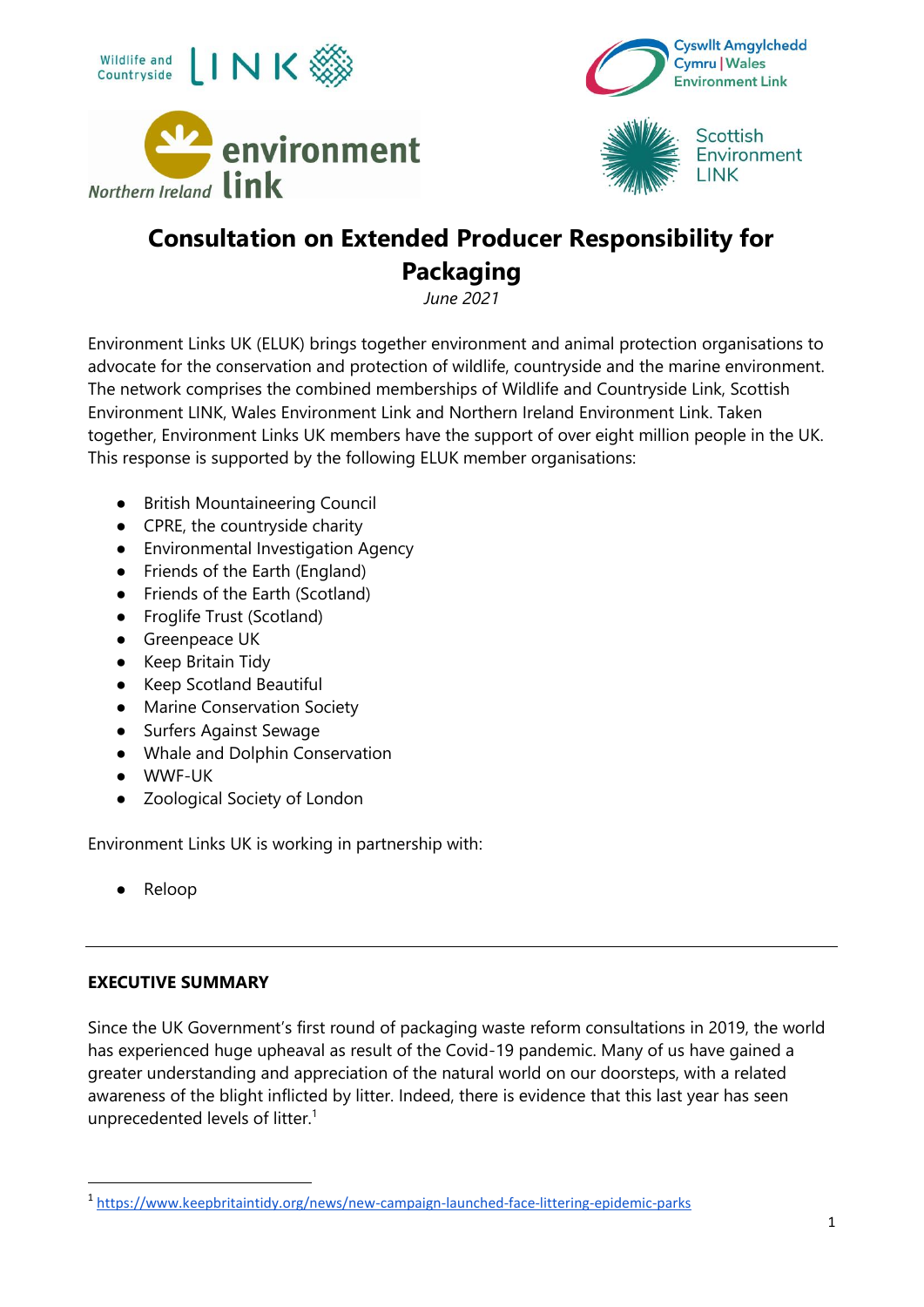





**Scottish** Environment **LINK** 

# **Consultation on Extended Producer Responsibility for Packaging**

*June 2021*

Environment Links UK (ELUK) brings together environment and animal protection organisations to advocate for the conservation and protection of wildlife, countryside and the marine environment. The network comprises the combined memberships of Wildlife and Countryside Link, Scottish Environment LINK, Wales Environment Link and Northern Ireland Environment Link. Taken together, Environment Links UK members have the support of over eight million people in the UK. This response is supported by the following ELUK member organisations:

- British Mountaineering Council
- CPRE, the countryside charity
- Environmental Investigation Agency
- Friends of the Earth (England)
- Friends of the Earth (Scotland)
- Froglife Trust (Scotland)
- Greenpeace UK
- Keep Britain Tidy
- Keep Scotland Beautiful
- Marine Conservation Society
- Surfers Against Sewage
- Whale and Dolphin Conservation
- WWF-UK
- Zoological Society of London

Environment Links UK is working in partnership with:

● Reloop

#### **EXECUTIVE SUMMARY**

Since the UK Government's first round of packaging waste reform consultations in 2019, the world has experienced huge upheaval as result of the Covid-19 pandemic. Many of us have gained a greater understanding and appreciation of the natural world on our doorsteps, with a related awareness of the blight inflicted by litter. Indeed, there is evidence that this last year has seen unprecedented levels of litter.<sup>1</sup>

<sup>1</sup> <https://www.keepbritaintidy.org/news/new-campaign-launched-face-littering-epidemic-parks>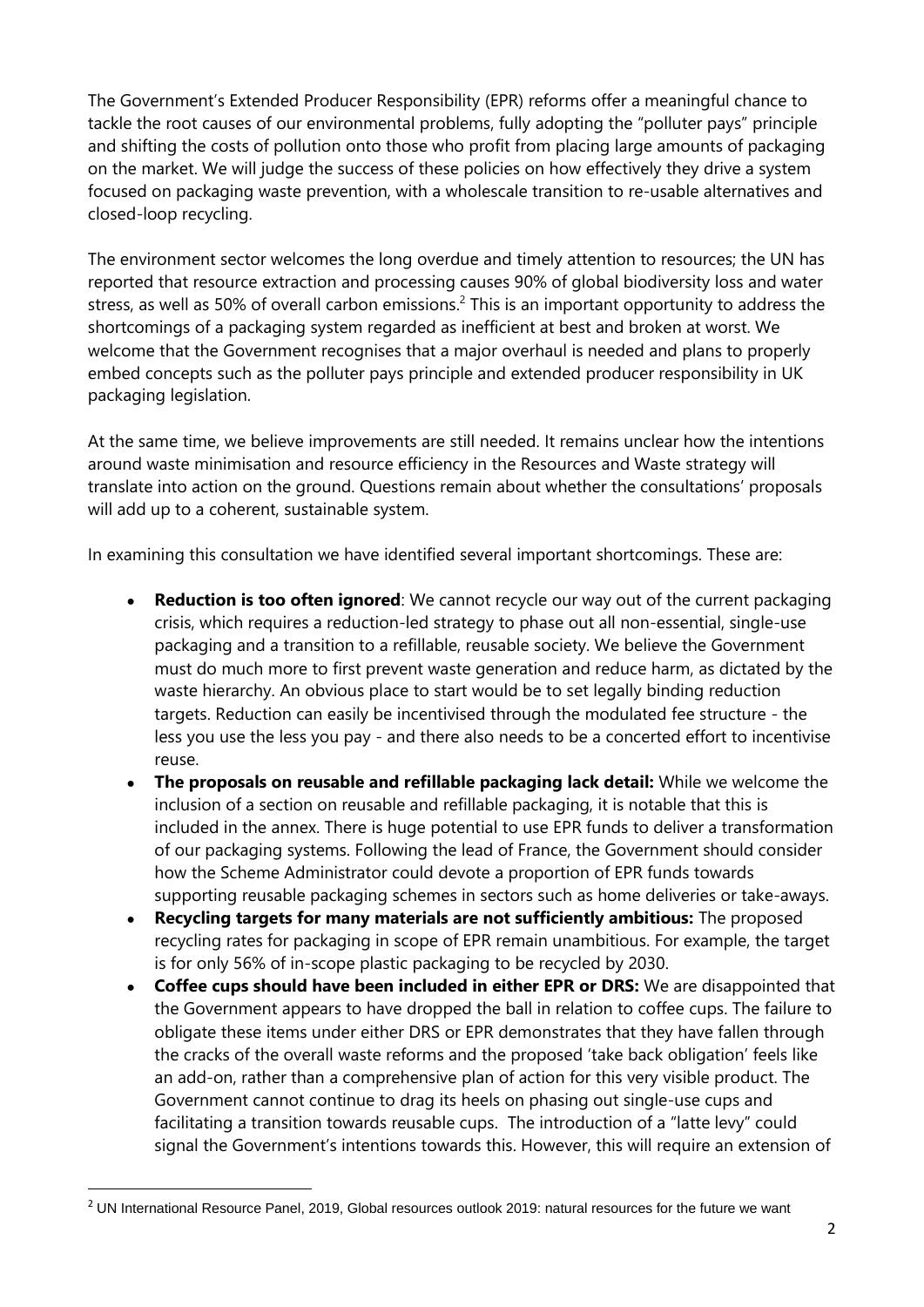The Government's Extended Producer Responsibility (EPR) reforms offer a meaningful chance to tackle the root causes of our environmental problems, fully adopting the "polluter pays" principle and shifting the costs of pollution onto those who profit from placing large amounts of packaging on the market. We will judge the success of these policies on how effectively they drive a system focused on packaging waste prevention, with a wholescale transition to re-usable alternatives and closed-loop recycling.

The environment sector welcomes the long overdue and timely attention to resources; the UN has reported that resource extraction and processing causes 90% of global biodiversity loss and water stress, as well as 50% of overall carbon emissions.<sup>2</sup> This is an important opportunity to address the shortcomings of a packaging system regarded as inefficient at best and broken at worst. We welcome that the Government recognises that a major overhaul is needed and plans to properly embed concepts such as the polluter pays principle and extended producer responsibility in UK packaging legislation.

At the same time, we believe improvements are still needed. It remains unclear how the intentions around waste minimisation and resource efficiency in the Resources and Waste strategy will translate into action on the ground. Questions remain about whether the consultations' proposals will add up to a coherent, sustainable system.

In examining this consultation we have identified several important shortcomings. These are:

- **Reduction is too often ignored**: We cannot recycle our way out of the current packaging crisis, which requires a reduction-led strategy to phase out all non-essential, single-use packaging and a transition to a refillable, reusable society. We believe the Government must do much more to first prevent waste generation and reduce harm, as dictated by the waste hierarchy. An obvious place to start would be to set legally binding reduction targets. Reduction can easily be incentivised through the modulated fee structure - the less you use the less you pay - and there also needs to be a concerted effort to incentivise reuse.
- **The proposals on reusable and refillable packaging lack detail:** While we welcome the inclusion of a section on reusable and refillable packaging, it is notable that this is included in the annex. There is huge potential to use EPR funds to deliver a transformation of our packaging systems. Following the lead of France, the Government should consider how the Scheme Administrator could devote a proportion of EPR funds towards supporting reusable packaging schemes in sectors such as home deliveries or take-aways.
- **Recycling targets for many materials are not sufficiently ambitious:** The proposed recycling rates for packaging in scope of EPR remain unambitious. For example, the target is for only 56% of in-scope plastic packaging to be recycled by 2030.
- **Coffee cups should have been included in either EPR or DRS:** We are disappointed that the Government appears to have dropped the ball in relation to coffee cups. The failure to obligate these items under either DRS or EPR demonstrates that they have fallen through the cracks of the overall waste reforms and the proposed 'take back obligation' feels like an add-on, rather than a comprehensive plan of action for this very visible product. The Government cannot continue to drag its heels on phasing out single-use cups and facilitating a transition towards reusable cups. The introduction of a "latte levy" could signal the Government's intentions towards this. However, this will require an extension of

 $2$  UN International Resource Panel, 2019, Global resources outlook 2019: natural resources for the future we want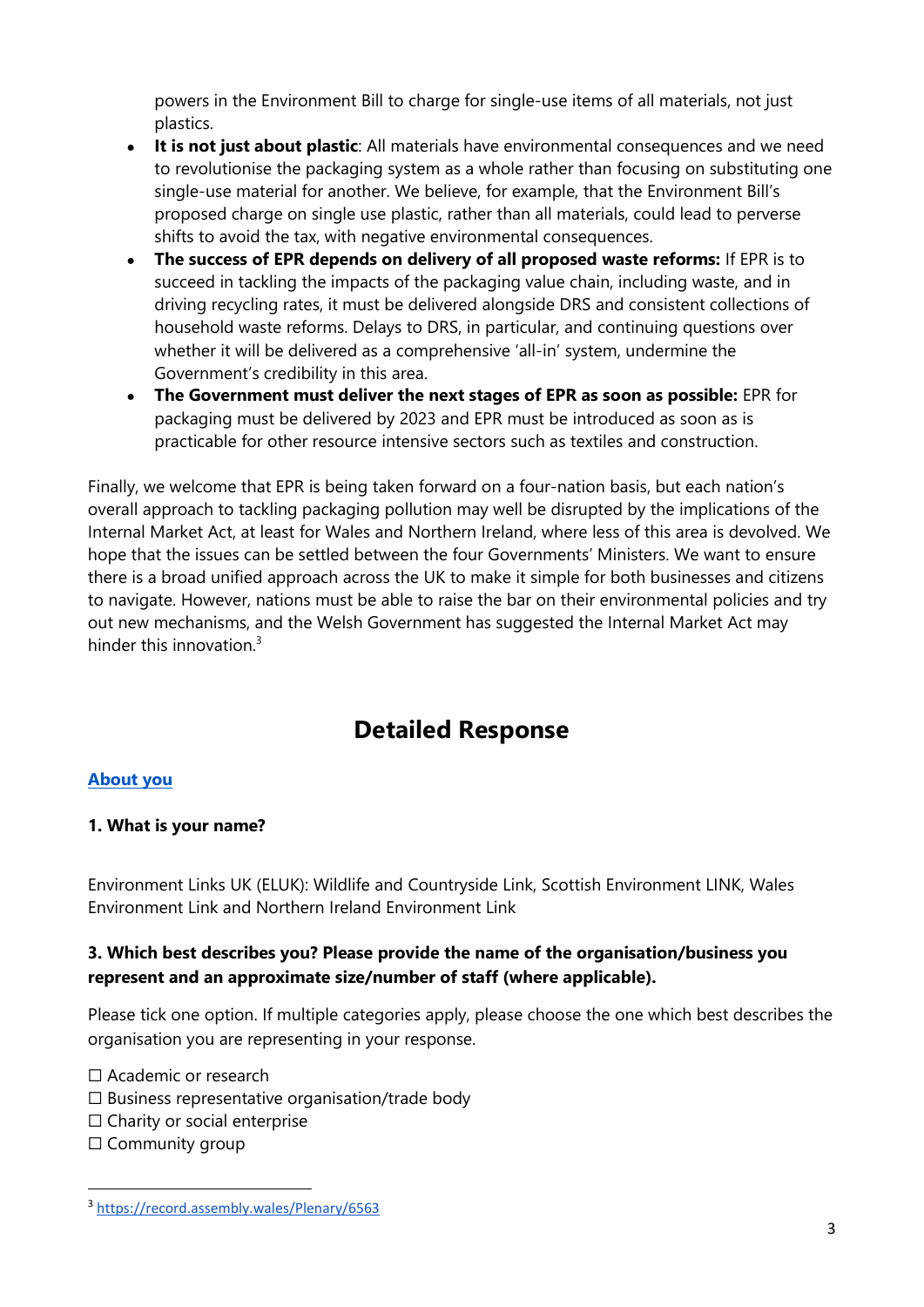powers in the Environment Bill to charge for single-use items of all materials, not just plastics.

- **It is not just about plastic**: All materials have environmental consequences and we need to revolutionise the packaging system as a whole rather than focusing on substituting one single-use material for another. We believe, for example, that the Environment Bill's proposed charge on single use plastic, rather than all materials, could lead to perverse shifts to avoid the tax, with negative environmental consequences.
- **The success of EPR depends on delivery of all proposed waste reforms:** If EPR is to succeed in tackling the impacts of the packaging value chain, including waste, and in driving recycling rates, it must be delivered alongside DRS and consistent collections of household waste reforms. Delays to DRS, in particular, and continuing questions over whether it will be delivered as a comprehensive 'all-in' system, undermine the Government's credibility in this area.
- **The Government must deliver the next stages of EPR as soon as possible:** EPR for packaging must be delivered by 2023 and EPR must be introduced as soon as is practicable for other resource intensive sectors such as textiles and construction.

Finally, we welcome that EPR is being taken forward on a four-nation basis, but each nation's overall approach to tackling packaging pollution may well be disrupted by the implications of the Internal Market Act, at least for Wales and Northern Ireland, where less of this area is devolved. We hope that the issues can be settled between the four Governments' Ministers. We want to ensure there is a broad unified approach across the UK to make it simple for both businesses and citizens to navigate. However, nations must be able to raise the bar on their environmental policies and try out new mechanisms, and the Welsh Government has suggested the Internal Market Act may hinder this innovation  $3$ 

# **Detailed Response**

#### **About you**

#### **1. What is your name?**

Environment Links UK (ELUK): Wildlife and Countryside Link, Scottish Environment LINK, Wales Environment Link and Northern Ireland Environment Link

#### **3. Which best describes you? Please provide the name of the organisation/business you represent and an approximate size/number of staff (where applicable).**

Please tick one option. If multiple categories apply, please choose the one which best describes the organisation you are representing in your response.

□ Academic or research

- $\Box$  Business representative organisation/trade body
- □ Charity or social enterprise
- □ Community group

<sup>3</sup> <https://record.assembly.wales/Plenary/6563>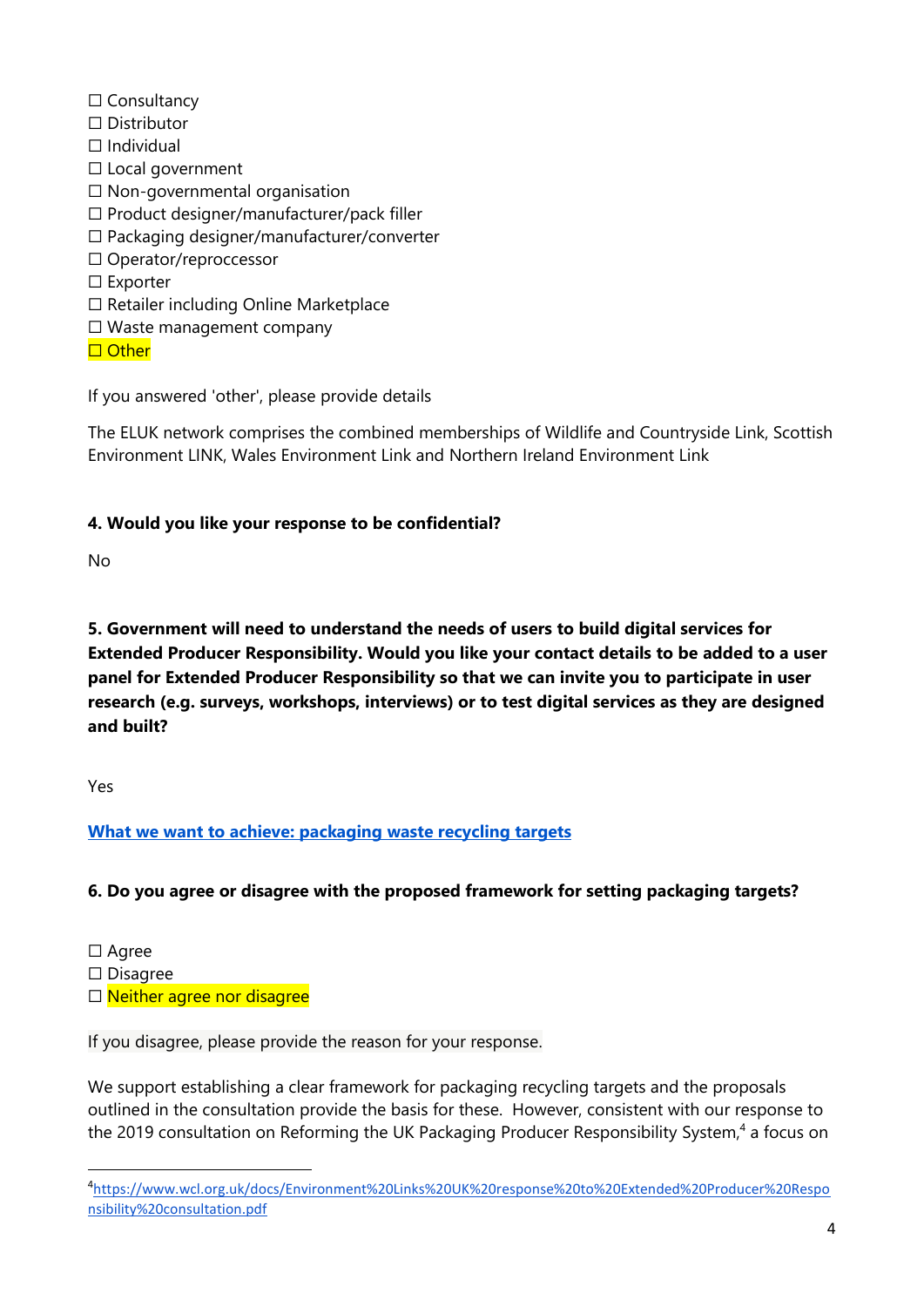- ☐ Consultancy
- ☐ Distributor
- ☐ Individual
- ☐ Local government
- ☐ Non-governmental organisation
- ☐ Product designer/manufacturer/pack filler
- ☐ Packaging designer/manufacturer/converter
- ☐ Operator/reproccessor
- ☐ Exporter
- ☐ Retailer including Online Marketplace
- ☐ Waste management company
- □ Other

If you answered 'other', please provide details

The ELUK network comprises the combined memberships of Wildlife and Countryside Link, Scottish Environment LINK, Wales Environment Link and Northern Ireland Environment Link

# **4. Would you like your response to be confidential?**

No

**5. Government will need to understand the needs of users to build digital services for Extended Producer Responsibility. Would you like your contact details to be added to a user panel for Extended Producer Responsibility so that we can invite you to participate in user research (e.g. surveys, workshops, interviews) or to test digital services as they are designed and built?**

Yes

# **What we want to achieve: packaging waste recycling targets**

# **6. Do you agree or disagree with the proposed framework for setting packaging targets?**

- ☐ Agree
- ☐ Disagree
- □ Neither agree nor disagree

If you disagree, please provide the reason for your response.

We support establishing a clear framework for packaging recycling targets and the proposals outlined in the consultation provide the basis for these. However, consistent with our response to the 2019 consultation on Reforming the UK Packaging Producer Responsibility System,<sup>4</sup> a focus on

<sup>4</sup> [https://www.wcl.org.uk/docs/Environment%20Links%20UK%20response%20to%20Extended%20Producer%20Respo](https://www.wcl.org.uk/docs/Environment%20Links%20UK%20response%20to%20Extended%20Producer%20Responsibility%20consultation.pdf) [nsibility%20consultation.pdf](https://www.wcl.org.uk/docs/Environment%20Links%20UK%20response%20to%20Extended%20Producer%20Responsibility%20consultation.pdf)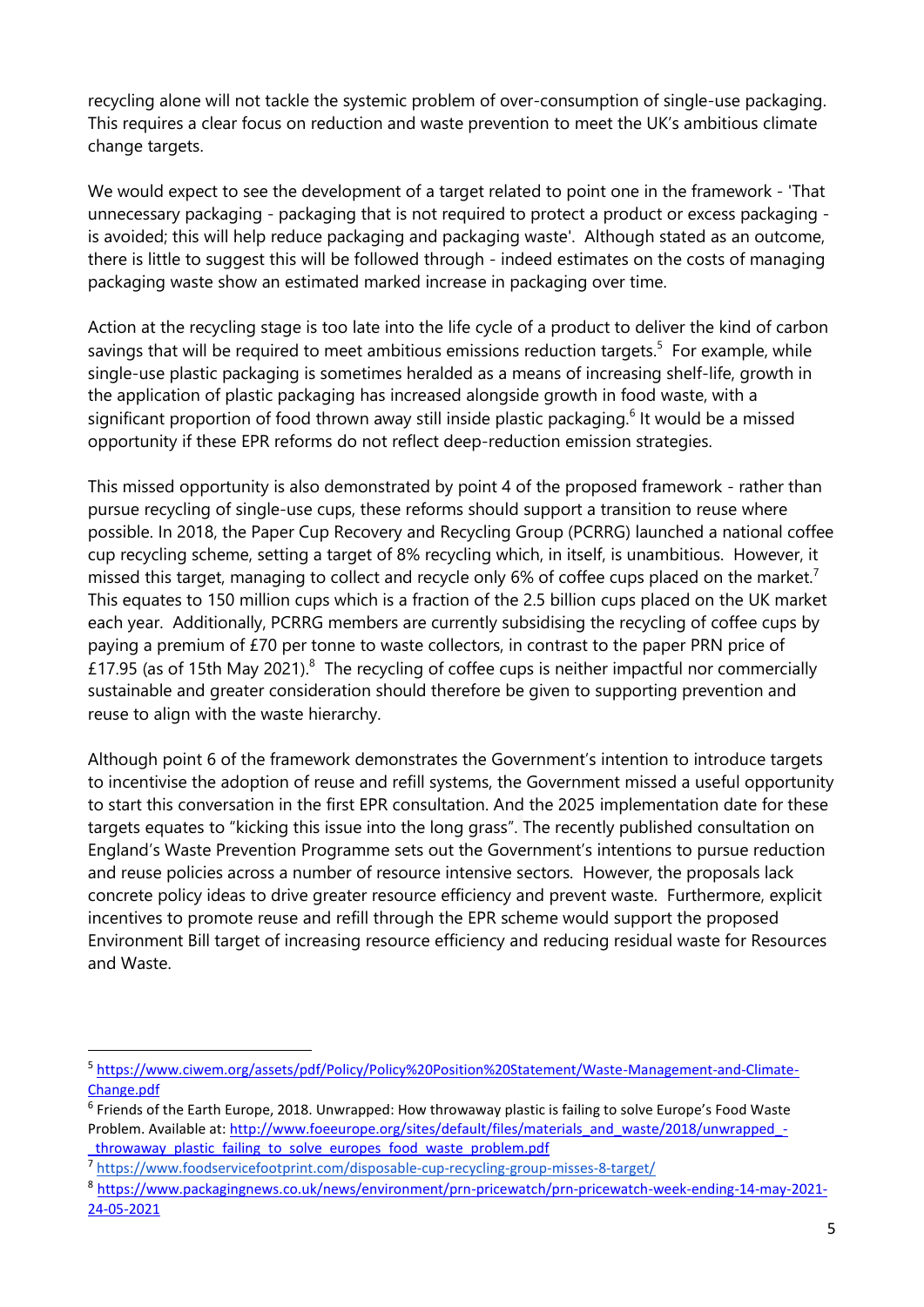recycling alone will not tackle the systemic problem of over-consumption of single-use packaging. This requires a clear focus on reduction and waste prevention to meet the UK's ambitious climate change targets.

We would expect to see the development of a target related to point one in the framework - 'That unnecessary packaging - packaging that is not required to protect a product or excess packaging is avoided; this will help reduce packaging and packaging waste'. Although stated as an outcome, there is little to suggest this will be followed through - indeed estimates on the costs of managing packaging waste show an estimated marked increase in packaging over time.

Action at the recycling stage is too late into the life cycle of a product to deliver the kind of carbon savings that will be required to meet ambitious emissions reduction targets.<sup>5</sup> For example, while single-use plastic packaging is sometimes heralded as a means of increasing shelf-life, growth in the application of plastic packaging has increased alongside growth in food waste, with a significant proportion of food thrown away still inside plastic packaging.<sup>6</sup> It would be a missed opportunity if these EPR reforms do not reflect deep-reduction emission strategies.

This missed opportunity is also demonstrated by point 4 of the proposed framework - rather than pursue recycling of single-use cups, these reforms should support a transition to reuse where possible. In 2018, the Paper Cup Recovery and Recycling Group (PCRRG) launched a national coffee cup recycling scheme, setting a target of 8% recycling which, in itself, is unambitious. However, it missed this target, managing to collect and recycle only 6% of coffee cups placed on the market.<sup>7</sup> This equates to 150 million cups which is a fraction of the 2.5 billion cups placed on the UK market each year. Additionally, PCRRG members are currently subsidising the recycling of coffee cups by paying a premium of £70 per tonne to waste collectors, in contrast to the paper PRN price of £17.95 (as of 15th May 2021).<sup>8</sup> The recycling of coffee cups is neither impactful nor commercially sustainable and greater consideration should therefore be given to supporting prevention and reuse to align with the waste hierarchy.

Although point 6 of the framework demonstrates the Government's intention to introduce targets to incentivise the adoption of reuse and refill systems, the Government missed a useful opportunity to start this conversation in the first EPR consultation. And the 2025 implementation date for these targets equates to "kicking this issue into the long grass". The recently published consultation on England's Waste Prevention Programme sets out the Government's intentions to pursue reduction and reuse policies across a number of resource intensive sectors. However, the proposals lack concrete policy ideas to drive greater resource efficiency and prevent waste. Furthermore, explicit incentives to promote reuse and refill through the EPR scheme would support the proposed Environment Bill target of increasing resource efficiency and reducing residual waste for Resources and Waste.

<sup>5</sup> <https://www.ciwem.org/assets/pdf/Policy/Policy%20Position%20Statement/Waste-Management-and-Climate->[Change.pdf](https://www.ciwem.org/assets/pdf/Policy/Policy%20Position%20Statement/Waste-Management-and-Climate-)

<sup>&</sup>lt;sup>6</sup> Friends of the Earth Europe, 2018. Unwrapped: How throwaway plastic is failing to solve Europe's Food Waste Problem. Available at: [http://www.foeeurope.org/sites/default/files/materials\\_and\\_waste/2018/unwrapped\\_](http://www.foeeurope.org/sites/default/files/materials_and_waste/2018/unwrapped_-) throwaway\_plastic\_failing\_to\_solve\_europes\_food\_waste\_problem.pdf

<sup>7</sup> <https://www.foodservicefootprint.com/disposable-cup-recycling-group-misses-8-target/>

<sup>8</sup> [https://www.packagingnews.co.uk/news/environment/prn-pricewatch/prn-pricewatch-week-ending-14-may-2021-](https://www.packagingnews.co.uk/news/environment/prn-pricewatch/prn-pricewatch-week-ending-14-may-2021-24-05-2021) [24-05-2021](https://www.packagingnews.co.uk/news/environment/prn-pricewatch/prn-pricewatch-week-ending-14-may-2021-24-05-2021)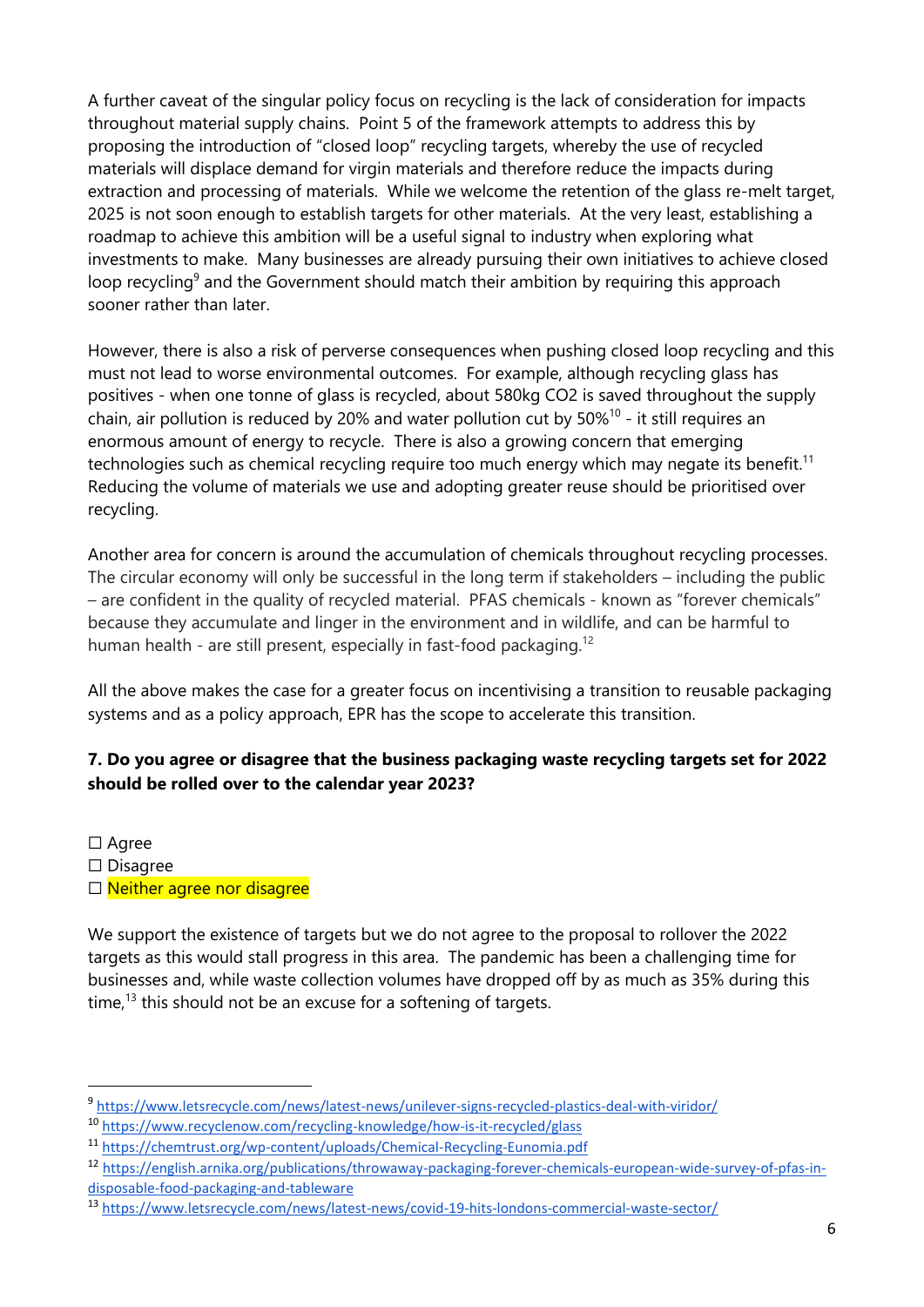A further caveat of the singular policy focus on recycling is the lack of consideration for impacts throughout material supply chains. Point 5 of the framework attempts to address this by proposing the introduction of "closed loop" recycling targets, whereby the use of recycled materials will displace demand for virgin materials and therefore reduce the impacts during extraction and processing of materials. While we welcome the retention of the glass re-melt target, 2025 is not soon enough to establish targets for other materials. At the very least, establishing a roadmap to achieve this ambition will be a useful signal to industry when exploring what investments to make. Many businesses are already pursuing their own initiatives to achieve closed loop recycling<sup>9</sup> and the Government should match their ambition by requiring this approach sooner rather than later.

However, there is also a risk of perverse consequences when pushing closed loop recycling and this must not lead to worse environmental outcomes. For example, although recycling glass has positives - when one tonne of glass is recycled, about 580kg CO2 is saved throughout the supply chain, air pollution is reduced by 20% and water pollution cut by  $50\%$ <sup>10</sup> - it still requires an enormous amount of energy to recycle. There is also a growing concern that emerging technologies such as chemical recycling require too much energy which may negate its benefit.<sup>11</sup> Reducing the volume of materials we use and adopting greater reuse should be prioritised over recycling.

Another area for concern is around the accumulation of chemicals throughout recycling processes. The circular economy will only be successful in the long term if stakeholders – including the public – are confident in the quality of recycled material. PFAS chemicals - known as "forever chemicals" because they accumulate and linger in the environment and in wildlife, and can be harmful to human health - are still present, especially in fast-food packaging.<sup>12</sup>

All the above makes the case for a greater focus on incentivising a transition to reusable packaging systems and as a policy approach, EPR has the scope to accelerate this transition.

# **7. Do you agree or disagree that the business packaging waste recycling targets set for 2022 should be rolled over to the calendar year 2023?**

□ Agree

☐ Disagree

□ Neither agree nor disagree

We support the existence of targets but we do not agree to the proposal to rollover the 2022 targets as this would stall progress in this area. The pandemic has been a challenging time for businesses and, while waste collection volumes have dropped off by as much as 35% during this time.<sup>13</sup> this should not be an excuse for a softening of targets.

<sup>9</sup> <https://www.letsrecycle.com/news/latest-news/unilever-signs-recycled-plastics-deal-with-viridor/>

<sup>10</sup> <https://www.recyclenow.com/recycling-knowledge/how-is-it-recycled/glass>

<sup>11</sup> <https://chemtrust.org/wp-content/uploads/Chemical-Recycling-Eunomia.pdf>

<sup>12</sup> [https://english.arnika.org/publications/throwaway-packaging-forever-chemicals-european-wide-survey-of-pfas-in](https://english.arnika.org/publications/throwaway-packaging-forever-chemicals-european-wide-survey-of-pfas-in-disposable-food-packaging-and-tableware)[disposable-food-packaging-and-tableware](https://english.arnika.org/publications/throwaway-packaging-forever-chemicals-european-wide-survey-of-pfas-in-disposable-food-packaging-and-tableware)

<sup>13</sup> <https://www.letsrecycle.com/news/latest-news/covid-19-hits-londons-commercial-waste-sector/>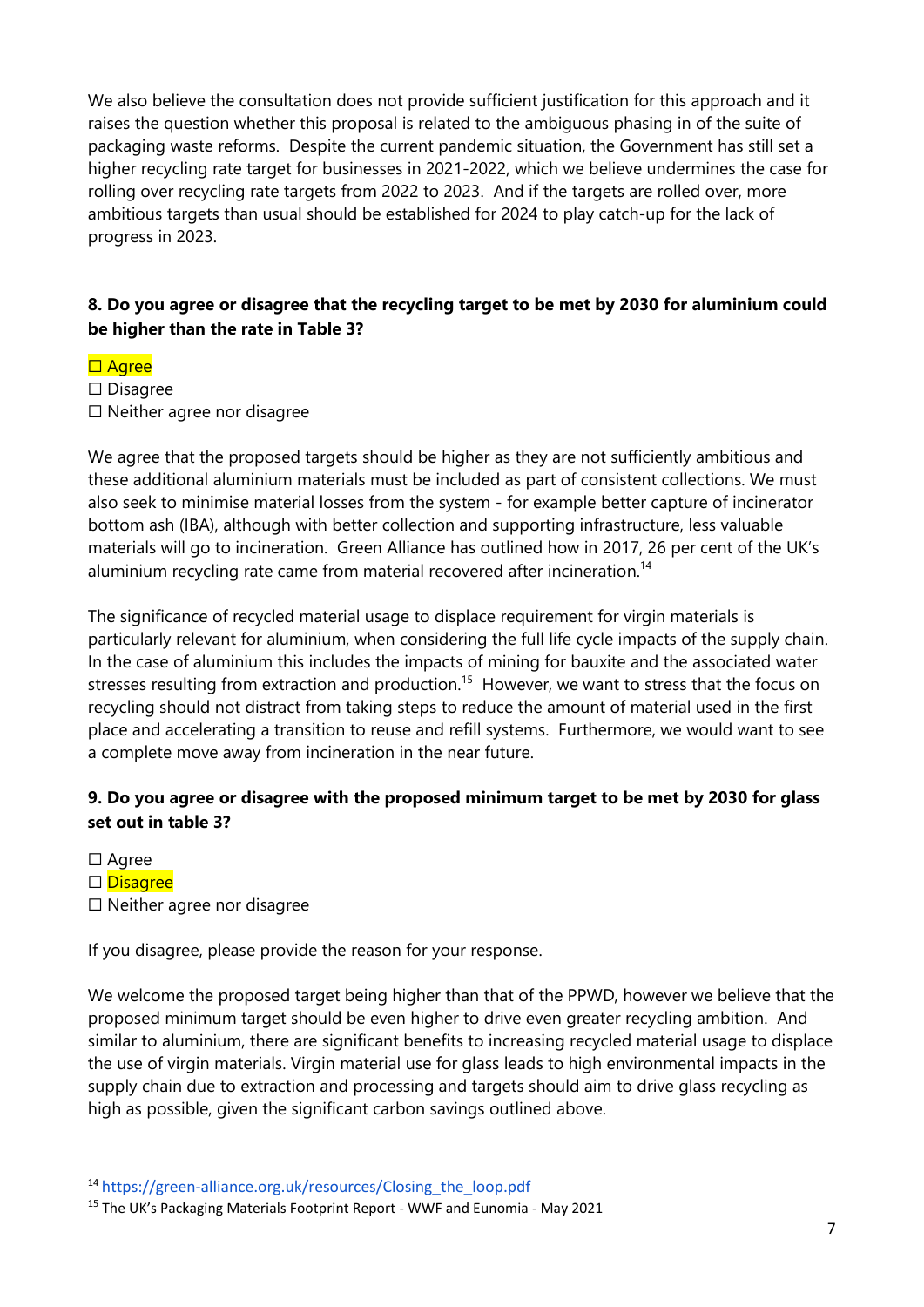We also believe the consultation does not provide sufficient iustification for this approach and it raises the question whether this proposal is related to the ambiguous phasing in of the suite of packaging waste reforms. Despite the current pandemic situation, the Government has still set a higher recycling rate target for businesses in 2021-2022, which we believe undermines the case for rolling over recycling rate targets from 2022 to 2023. And if the targets are rolled over, more ambitious targets than usual should be established for 2024 to play catch-up for the lack of progress in 2023.

#### **8. Do you agree or disagree that the recycling target to be met by 2030 for aluminium could be higher than the rate in Table 3?**

#### □ Agree

☐ Disagree ☐ Neither agree nor disagree

We agree that the proposed targets should be higher as they are not sufficiently ambitious and these additional aluminium materials must be included as part of consistent collections. We must also seek to minimise material losses from the system - for example better capture of incinerator bottom ash (IBA), although with better collection and supporting infrastructure, less valuable materials will go to incineration. Green Alliance has outlined how in 2017, 26 per cent of the UK's aluminium recycling rate came from material recovered after incineration.<sup>14</sup>

The significance of recycled material usage to displace requirement for virgin materials is particularly relevant for aluminium, when considering the full life cycle impacts of the supply chain. In the case of aluminium this includes the impacts of mining for bauxite and the associated water stresses resulting from extraction and production.<sup>15</sup> However, we want to stress that the focus on recycling should not distract from taking steps to reduce the amount of material used in the first place and accelerating a transition to reuse and refill systems. Furthermore, we would want to see a complete move away from incineration in the near future.

#### **9. Do you agree or disagree with the proposed minimum target to be met by 2030 for glass set out in table 3?**

☐ Agree

□ Disagree

☐ Neither agree nor disagree

If you disagree, please provide the reason for your response.

We welcome the proposed target being higher than that of the PPWD, however we believe that the proposed minimum target should be even higher to drive even greater recycling ambition. And similar to aluminium, there are significant benefits to increasing recycled material usage to displace the use of virgin materials. Virgin material use for glass leads to high environmental impacts in the supply chain due to extraction and processing and targets should aim to drive glass recycling as high as possible, given the significant carbon savings outlined above.

<sup>14</sup> [https://green-alliance.org.uk/resources/Closing\\_the\\_loop.pdf](https://green-alliance.org.uk/resources/Closing_the_loop.pdf) 

<sup>&</sup>lt;sup>15</sup> The UK's Packaging Materials Footprint Report - WWF and Eunomia - May 2021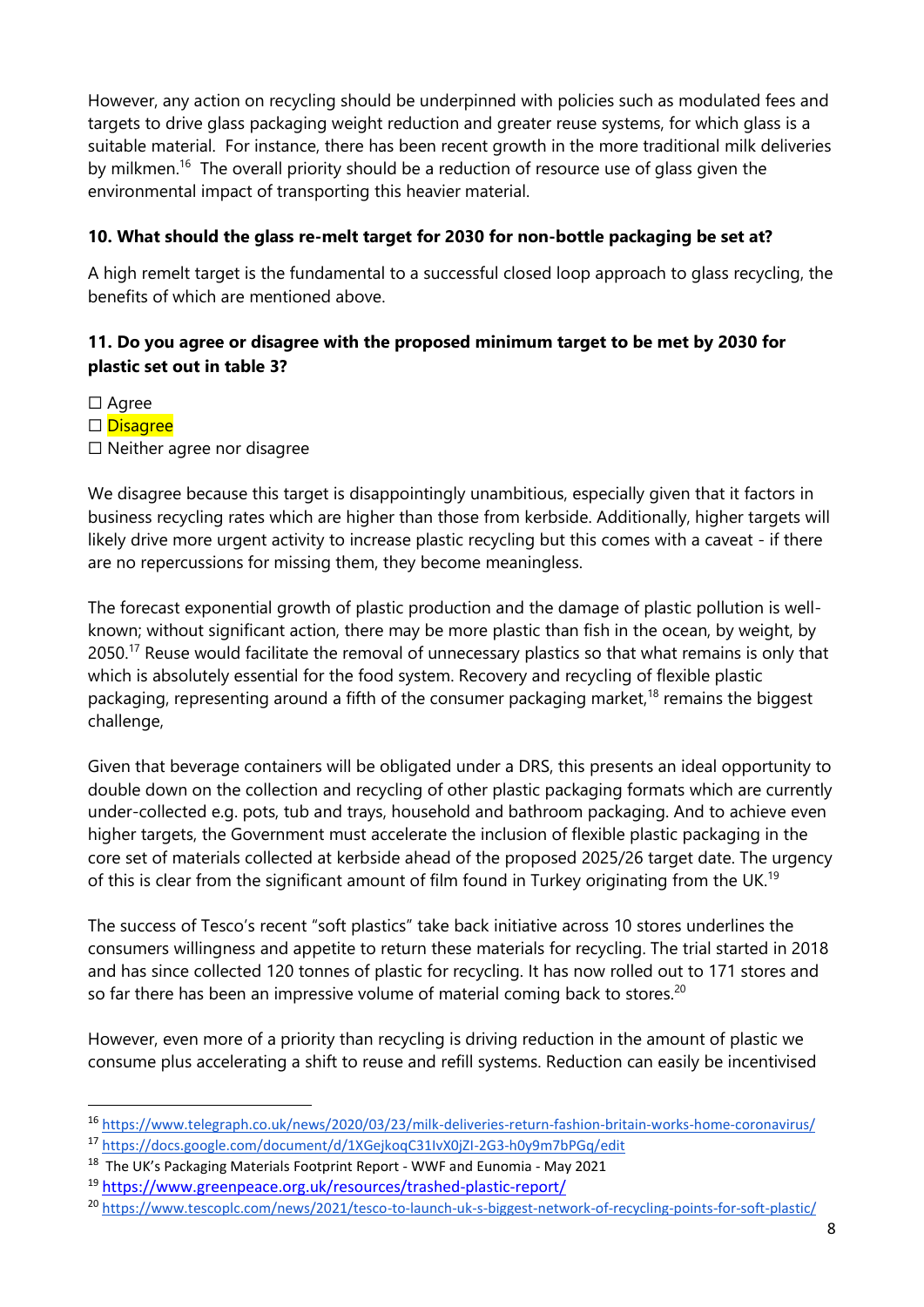However, any action on recycling should be underpinned with policies such as modulated fees and targets to drive glass packaging weight reduction and greater reuse systems, for which glass is a suitable material. For instance, there has been recent growth in the more traditional milk deliveries by milkmen.<sup>16</sup> The overall priority should be a reduction of resource use of glass given the environmental impact of transporting this heavier material.

#### **10. What should the glass re-melt target for 2030 for non-bottle packaging be set at?**

A high remelt target is the fundamental to a successful closed loop approach to glass recycling, the benefits of which are mentioned above.

## **11. Do you agree or disagree with the proposed minimum target to be met by 2030 for plastic set out in table 3?**

☐ Agree

□ Disagree

☐ Neither agree nor disagree

We disagree because this target is disappointingly unambitious, especially given that it factors in business recycling rates which are higher than those from kerbside. Additionally, higher targets will likely drive more urgent activity to increase plastic recycling but this comes with a caveat - if there are no repercussions for missing them, they become meaningless.

The forecast exponential growth of plastic production and the damage of plastic pollution is wellknown; without significant action, there may be more plastic than fish in the ocean, by weight, by 2050.<sup>17</sup> Reuse would facilitate the removal of unnecessary plastics so that what remains is only that which is absolutely essential for the food system. Recovery and recycling of flexible plastic packaging, representing around a fifth of the consumer packaging market,<sup>18</sup> remains the biggest challenge,

Given that beverage containers will be obligated under a DRS, this presents an ideal opportunity to double down on the collection and recycling of other plastic packaging formats which are currently under-collected e.g. pots, tub and trays, household and bathroom packaging. And to achieve even higher targets, the Government must accelerate the inclusion of flexible plastic packaging in the core set of materials collected at kerbside ahead of the proposed 2025/26 target date. The urgency of this is clear from the significant amount of film found in Turkey originating from the UK.<sup>19</sup>

The success of Tesco's recent "soft plastics" take back initiative across 10 stores underlines the consumers willingness and appetite to return these materials for recycling. The trial started in 2018 and has since collected 120 tonnes of plastic for recycling. It has now rolled out to 171 stores and so far there has been an impressive volume of material coming back to stores.<sup>20</sup>

However, even more of a priority than recycling is driving reduction in the amount of plastic we consume plus accelerating a shift to reuse and refill systems. Reduction can easily be incentivised

<sup>16</sup> <https://www.telegraph.co.uk/news/2020/03/23/milk-deliveries-return-fashion-britain-works-home-coronavirus/>

<sup>17</sup> <https://docs.google.com/document/d/1XGejkoqC31IvX0jZI-2G3-h0y9m7bPGq/edit>

<sup>&</sup>lt;sup>18</sup> The UK's Packaging Materials Footprint Report - WWF and Eunomia - May 2021

<sup>19</sup> <https://www.greenpeace.org.uk/resources/trashed-plastic-report/>

<sup>20</sup> <https://www.tescoplc.com/news/2021/tesco-to-launch-uk-s-biggest-network-of-recycling-points-for-soft-plastic/>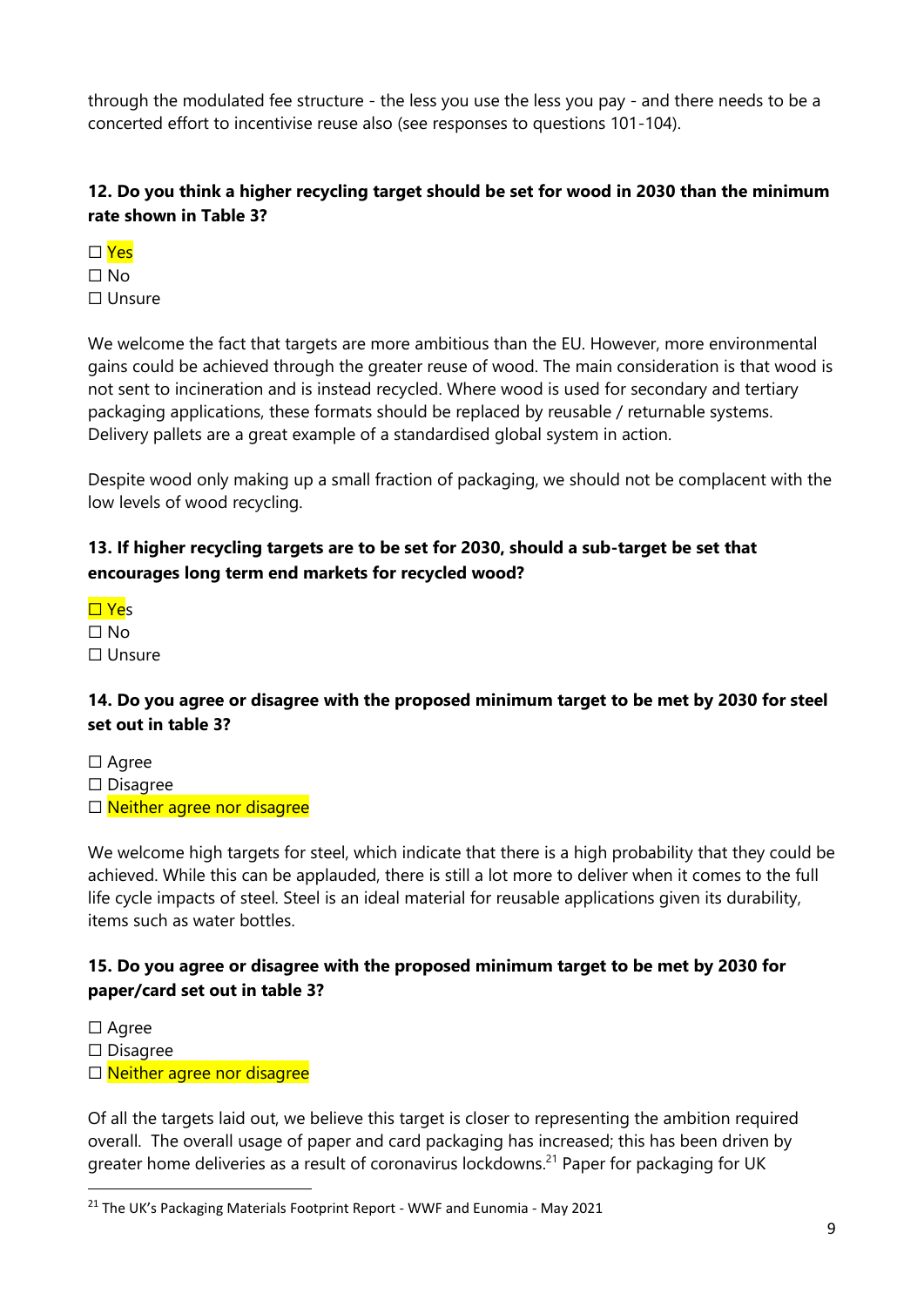through the modulated fee structure - the less you use the less you pay - and there needs to be a concerted effort to incentivise reuse also (see responses to questions 101-104).

# **12. Do you think a higher recycling target should be set for wood in 2030 than the minimum rate shown in Table 3?**

- $\Box$  Yes  $\Box$  No
- ☐ Unsure

We welcome the fact that targets are more ambitious than the EU. However, more environmental gains could be achieved through the greater reuse of wood. The main consideration is that wood is not sent to incineration and is instead recycled. Where wood is used for secondary and tertiary packaging applications, these formats should be replaced by reusable / returnable systems. Delivery pallets are a great example of a standardised global system in action.

Despite wood only making up a small fraction of packaging, we should not be complacent with the low levels of wood recycling.

# **13. If higher recycling targets are to be set for 2030, should a sub-target be set that encourages long term end markets for recycled wood?**

☐ Yes  $\Box$  No ☐ Unsure

#### **14. Do you agree or disagree with the proposed minimum target to be met by 2030 for steel set out in table 3?**

☐ Agree ☐ Disagree

□ Neither agree nor disagree

We welcome high targets for steel, which indicate that there is a high probability that they could be achieved. While this can be applauded, there is still a lot more to deliver when it comes to the full life cycle impacts of steel. Steel is an ideal material for reusable applications given its durability, items such as water bottles.

#### **15. Do you agree or disagree with the proposed minimum target to be met by 2030 for paper/card set out in table 3?**

□ Agree

☐ Disagree

□ Neither agree nor disagree

Of all the targets laid out, we believe this target is closer to representing the ambition required overall. The overall usage of paper and card packaging has increased; this has been driven by greater home deliveries as a result of coronavirus lockdowns.<sup>21</sup> Paper for packaging for UK

<sup>&</sup>lt;sup>21</sup> The UK's Packaging Materials Footprint Report - WWF and Eunomia - May 2021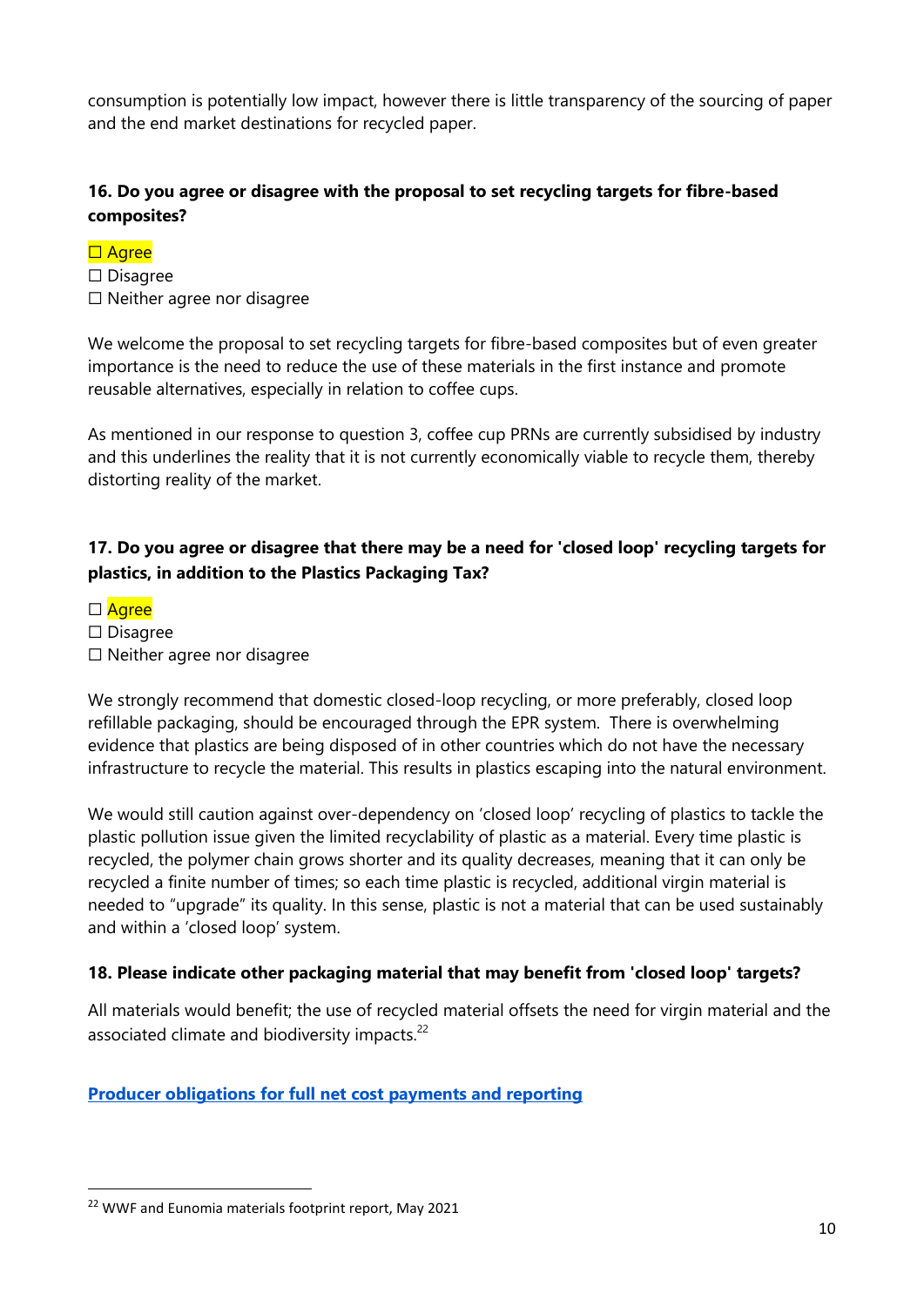consumption is potentially low impact, however there is little transparency of the sourcing of paper and the end market destinations for recycled paper.

#### **16. Do you agree or disagree with the proposal to set recycling targets for fibre-based composites?**

#### □ Agree

☐ Disagree ☐ Neither agree nor disagree

We welcome the proposal to set recycling targets for fibre-based composites but of even greater importance is the need to reduce the use of these materials in the first instance and promote reusable alternatives, especially in relation to coffee cups.

As mentioned in our response to question 3, coffee cup PRNs are currently subsidised by industry and this underlines the reality that it is not currently economically viable to recycle them, thereby distorting reality of the market.

# **17. Do you agree or disagree that there may be a need for 'closed loop' recycling targets for plastics, in addition to the Plastics Packaging Tax?**

- □ Agree
- ☐ Disagree
- ☐ Neither agree nor disagree

We strongly recommend that domestic closed-loop recycling, or more preferably, closed loop refillable packaging, should be encouraged through the EPR system. There is overwhelming evidence that plastics are being disposed of in other countries which do not have the necessary infrastructure to recycle the material. This results in plastics escaping into the natural environment.

We would still caution against over-dependency on 'closed loop' recycling of plastics to tackle the plastic pollution issue given the limited recyclability of plastic as a material. Every time plastic is recycled, the polymer chain grows shorter and its quality decreases, meaning that it can only be recycled a finite number of times; so each time plastic is recycled, additional virgin material is needed to "upgrade" its quality. In this sense, plastic is not a material that can be used sustainably and within a 'closed loop' system.

#### **18. Please indicate other packaging material that may benefit from 'closed loop' targets?**

All materials would benefit; the use of recycled material offsets the need for virgin material and the associated climate and biodiversity impacts.<sup>22</sup>

#### **Producer obligations for full net cost payments and reporting**

<sup>&</sup>lt;sup>22</sup> WWF and Eunomia materials footprint report, May 2021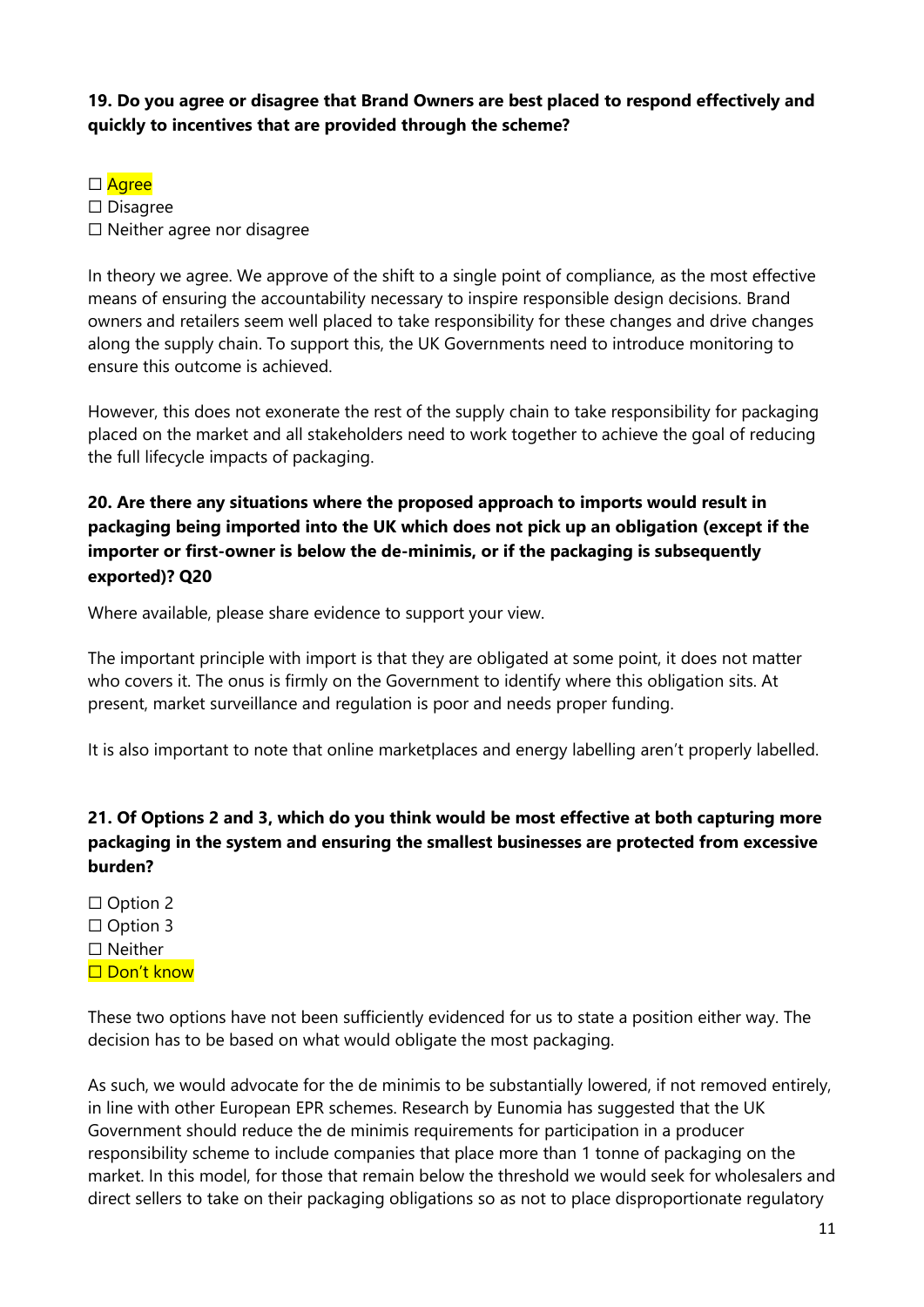## **19. Do you agree or disagree that Brand Owners are best placed to respond effectively and quickly to incentives that are provided through the scheme?**

#### □ Agree

☐ Disagree ☐ Neither agree nor disagree

In theory we agree. We approve of the shift to a single point of compliance, as the most effective means of ensuring the accountability necessary to inspire responsible design decisions. Brand owners and retailers seem well placed to take responsibility for these changes and drive changes along the supply chain. To support this, the UK Governments need to introduce monitoring to ensure this outcome is achieved.

However, this does not exonerate the rest of the supply chain to take responsibility for packaging placed on the market and all stakeholders need to work together to achieve the goal of reducing the full lifecycle impacts of packaging.

## **20. Are there any situations where the proposed approach to imports would result in packaging being imported into the UK which does not pick up an obligation (except if the importer or first-owner is below the de-minimis, or if the packaging is subsequently exported)? Q20**

Where available, please share evidence to support your view.

The important principle with import is that they are obligated at some point, it does not matter who covers it. The onus is firmly on the Government to identify where this obligation sits. At present, market surveillance and regulation is poor and needs proper funding.

It is also important to note that online marketplaces and energy labelling aren't properly labelled.

# **21. Of Options 2 and 3, which do you think would be most effective at both capturing more packaging in the system and ensuring the smallest businesses are protected from excessive burden?**

□ Option 2 □ Option 3 ☐ Neither □ Don't know

These two options have not been sufficiently evidenced for us to state a position either way. The decision has to be based on what would obligate the most packaging.

As such, we would advocate for the de minimis to be substantially lowered, if not removed entirely, in line with other European EPR schemes. Research by Eunomia has suggested that the UK Government should reduce the de minimis requirements for participation in a producer responsibility scheme to include companies that place more than 1 tonne of packaging on the market. In this model, for those that remain below the threshold we would seek for wholesalers and direct sellers to take on their packaging obligations so as not to place disproportionate regulatory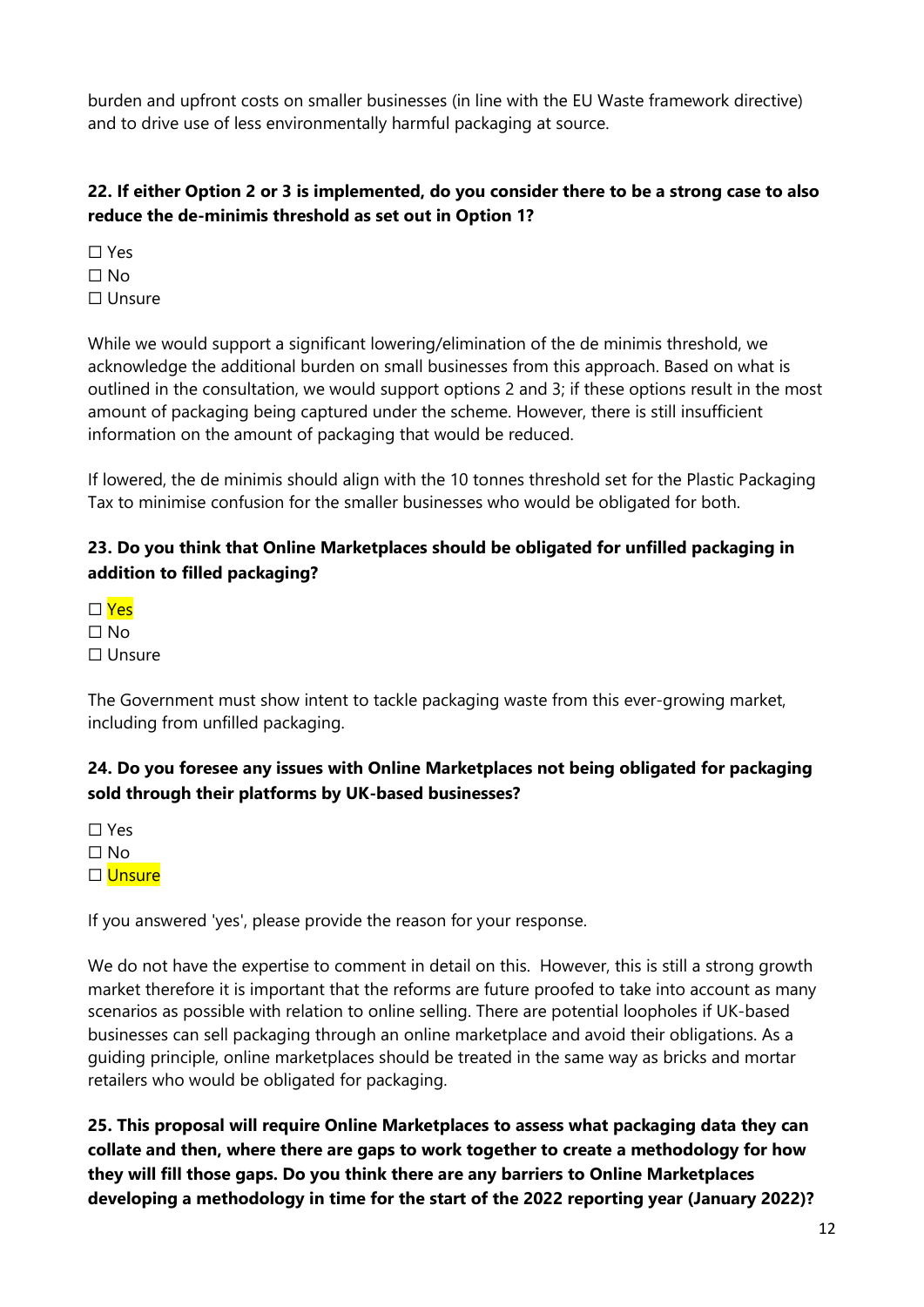burden and upfront costs on smaller businesses (in line with the EU Waste framework directive) and to drive use of less environmentally harmful packaging at source.

# **22. If either Option 2 or 3 is implemented, do you consider there to be a strong case to also reduce the de-minimis threshold as set out in Option 1?**

☐ Yes  $\Box$  No ☐ Unsure

While we would support a significant lowering/elimination of the de minimis threshold, we acknowledge the additional burden on small businesses from this approach. Based on what is outlined in the consultation, we would support options 2 and 3; if these options result in the most amount of packaging being captured under the scheme. However, there is still insufficient information on the amount of packaging that would be reduced.

If lowered, the de minimis should align with the 10 tonnes threshold set for the Plastic Packaging Tax to minimise confusion for the smaller businesses who would be obligated for both.

## **23. Do you think that Online Marketplaces should be obligated for unfilled packaging in addition to filled packaging?**

 $\Box$  Yes  $\Box$  No ☐ Unsure

The Government must show intent to tackle packaging waste from this ever-growing market, including from unfilled packaging.

# **24. Do you foresee any issues with Online Marketplaces not being obligated for packaging sold through their platforms by UK-based businesses?**

☐ Yes  $\square$  No

☐ Unsure

If you answered 'yes', please provide the reason for your response.

We do not have the expertise to comment in detail on this. However, this is still a strong growth market therefore it is important that the reforms are future proofed to take into account as many scenarios as possible with relation to online selling. There are potential loopholes if UK-based businesses can sell packaging through an online marketplace and avoid their obligations. As a guiding principle, online marketplaces should be treated in the same way as bricks and mortar retailers who would be obligated for packaging.

**25. This proposal will require Online Marketplaces to assess what packaging data they can collate and then, where there are gaps to work together to create a methodology for how they will fill those gaps. Do you think there are any barriers to Online Marketplaces developing a methodology in time for the start of the 2022 reporting year (January 2022)?**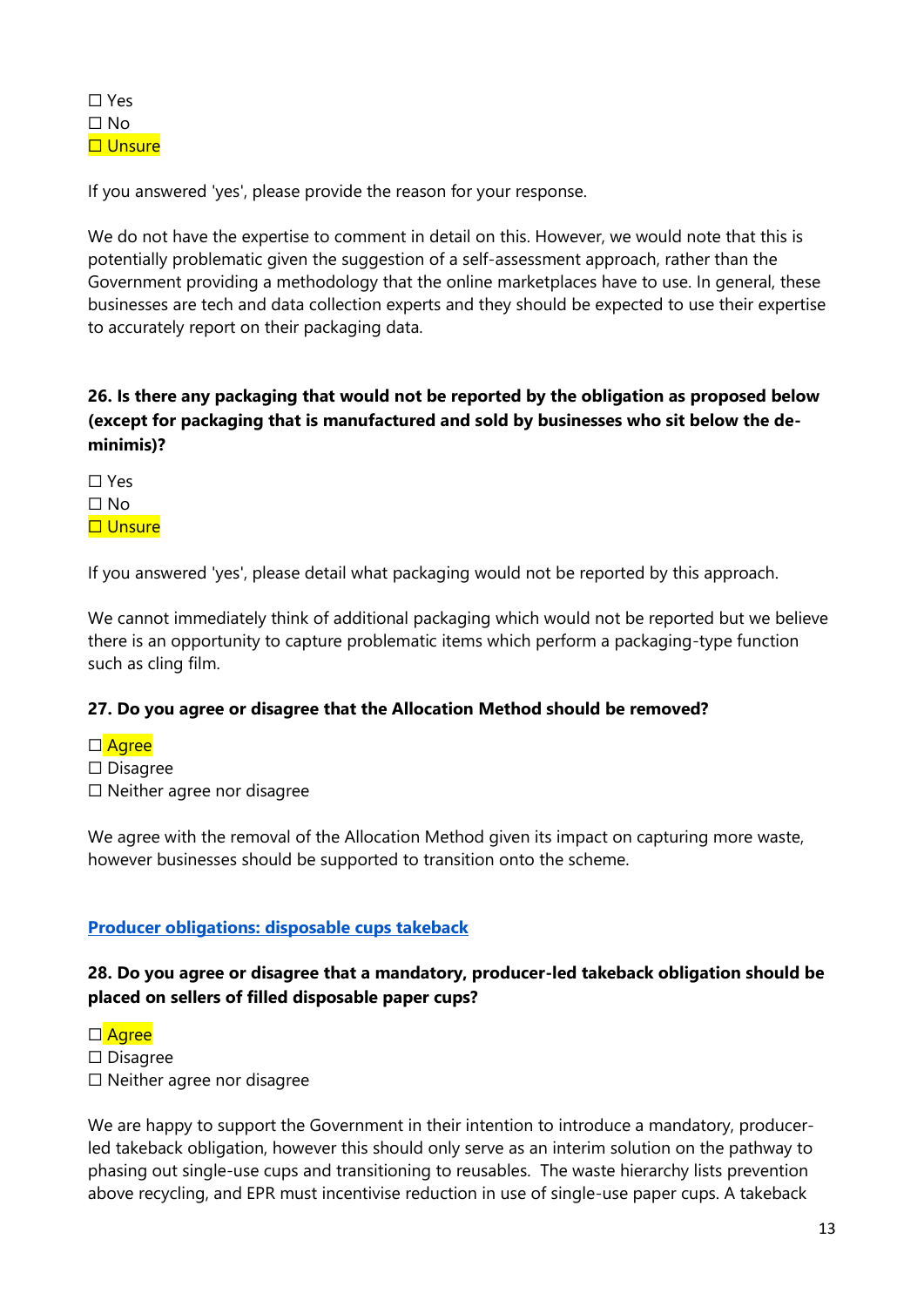If you answered 'yes', please provide the reason for your response.

We do not have the expertise to comment in detail on this. However, we would note that this is potentially problematic given the suggestion of a self-assessment approach, rather than the Government providing a methodology that the online marketplaces have to use. In general, these businesses are tech and data collection experts and they should be expected to use their expertise to accurately report on their packaging data.

#### **26. Is there any packaging that would not be reported by the obligation as proposed below (except for packaging that is manufactured and sold by businesses who sit below the deminimis)?**

☐ Yes ☐ No □ Unsure

If you answered 'yes', please detail what packaging would not be reported by this approach.

We cannot immediately think of additional packaging which would not be reported but we believe there is an opportunity to capture problematic items which perform a packaging-type function such as cling film.

#### **27. Do you agree or disagree that the Allocation Method should be removed?**

- □ Agree
- ☐ Disagree
- ☐ Neither agree nor disagree

We agree with the removal of the Allocation Method given its impact on capturing more waste, however businesses should be supported to transition onto the scheme.

#### **Producer obligations: disposable cups takeback**

#### **28. Do you agree or disagree that a mandatory, producer-led takeback obligation should be placed on sellers of filled disposable paper cups?**

□ Agree

☐ Disagree

☐ Neither agree nor disagree

We are happy to support the Government in their intention to introduce a mandatory, producerled takeback obligation, however this should only serve as an interim solution on the pathway to phasing out single-use cups and transitioning to reusables. The waste hierarchy lists prevention above recycling, and EPR must incentivise reduction in use of single-use paper cups. A takeback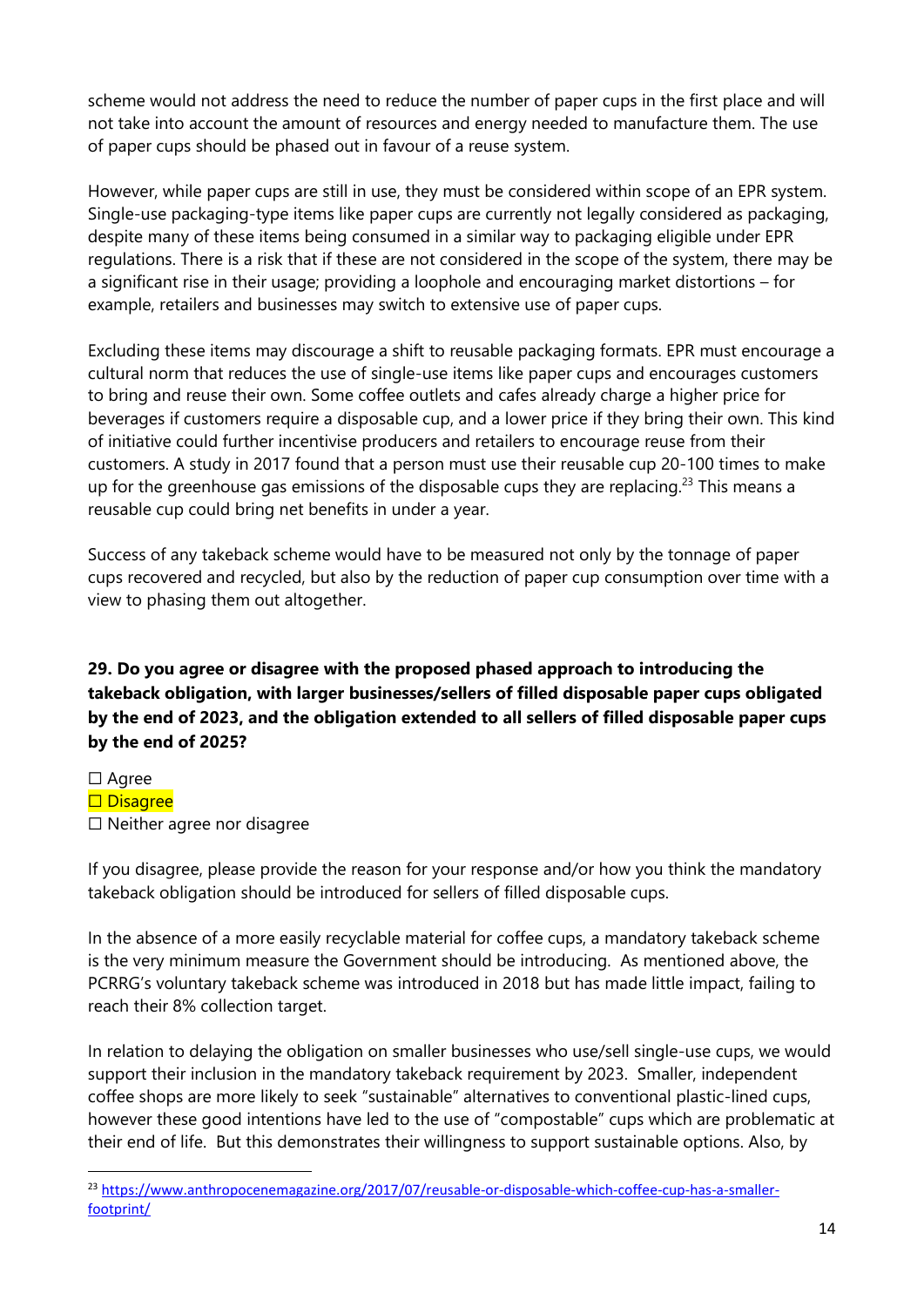scheme would not address the need to reduce the number of paper cups in the first place and will not take into account the amount of resources and energy needed to manufacture them. The use of paper cups should be phased out in favour of a reuse system.

However, while paper cups are still in use, they must be considered within scope of an EPR system. Single-use packaging-type items like paper cups are currently not legally considered as packaging, despite many of these items being consumed in a similar way to packaging eligible under EPR regulations. There is a risk that if these are not considered in the scope of the system, there may be a significant rise in their usage; providing a loophole and encouraging market distortions – for example, retailers and businesses may switch to extensive use of paper cups.

Excluding these items may discourage a shift to reusable packaging formats. EPR must encourage a cultural norm that reduces the use of single-use items like paper cups and encourages customers to bring and reuse their own. Some coffee outlets and cafes already charge a higher price for beverages if customers require a disposable cup, and a lower price if they bring their own. This kind of initiative could further incentivise producers and retailers to encourage reuse from their customers. A study in 2017 found that a person must use their reusable cup 20-100 times to make up for the greenhouse gas emissions of the disposable cups they are replacing.<sup>23</sup> This means a reusable cup could bring net benefits in under a year.

Success of any takeback scheme would have to be measured not only by the tonnage of paper cups recovered and recycled, but also by the reduction of paper cup consumption over time with a view to phasing them out altogether.

# **29. Do you agree or disagree with the proposed phased approach to introducing the takeback obligation, with larger businesses/sellers of filled disposable paper cups obligated by the end of 2023, and the obligation extended to all sellers of filled disposable paper cups by the end of 2025?**

□ Agree

- □ Disagree
- ☐ Neither agree nor disagree

If you disagree, please provide the reason for your response and/or how you think the mandatory takeback obligation should be introduced for sellers of filled disposable cups.

In the absence of a more easily recyclable material for coffee cups, a mandatory takeback scheme is the very minimum measure the Government should be introducing. As mentioned above, the PCRRG's voluntary takeback scheme was introduced in 2018 but has made little impact, failing to reach their 8% collection target.

In relation to delaying the obligation on smaller businesses who use/sell single-use cups, we would support their inclusion in the mandatory takeback requirement by 2023. Smaller, independent coffee shops are more likely to seek "sustainable" alternatives to conventional plastic-lined cups, however these good intentions have led to the use of "compostable" cups which are problematic at their end of life. But this demonstrates their willingness to support sustainable options. Also, by

<sup>&</sup>lt;sup>23</sup> https://ww<u>w.anthropocenemagazine.org/2017/07/reusable-or-disposable-which-coffee-cup-has-a-smaller-</u> [footprint/](https://www.anthropocenemagazine.org/2017/07/reusable-or-disposable-which-coffee-cup-has-a-smaller-footprint/)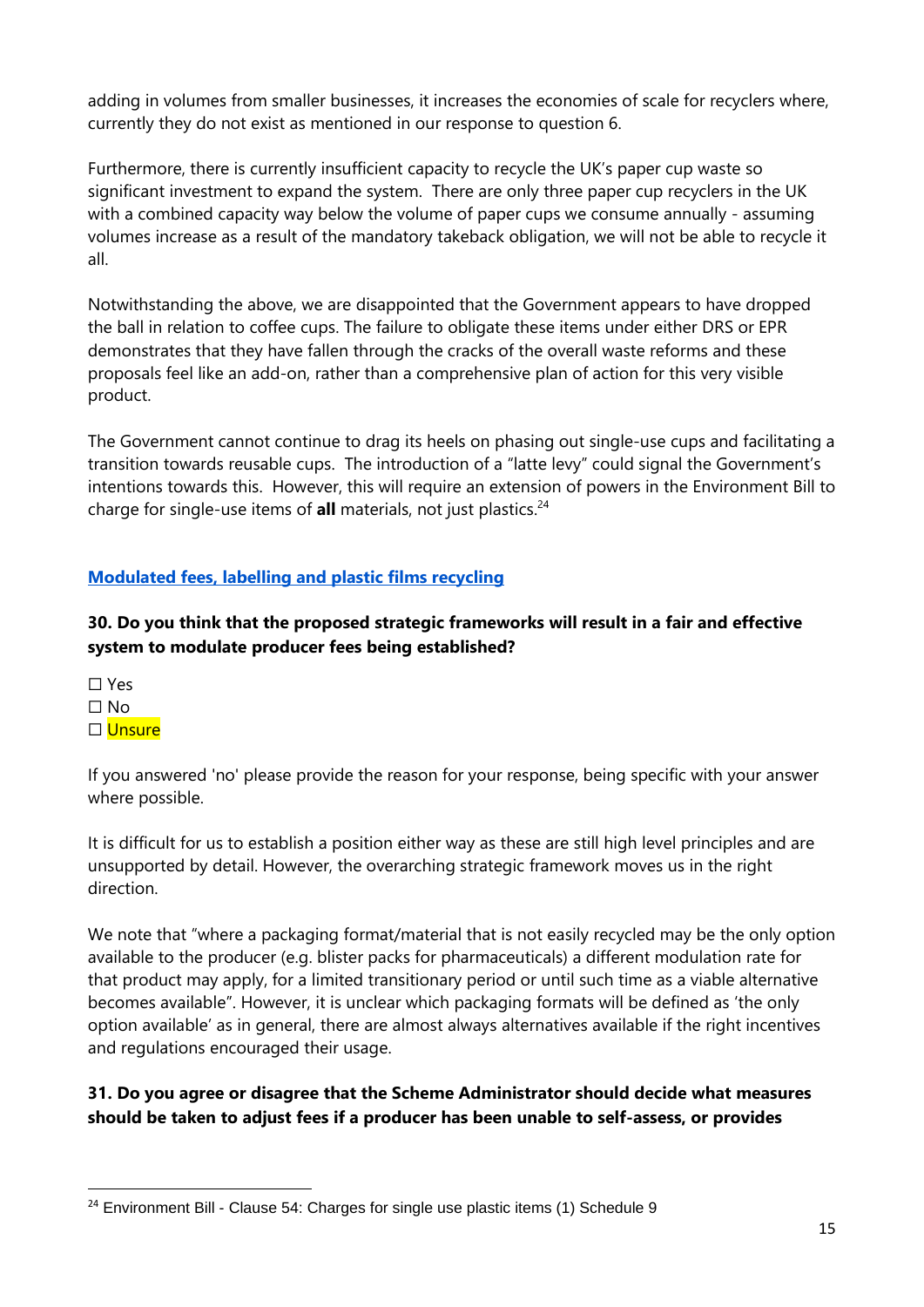adding in volumes from smaller businesses, it increases the economies of scale for recyclers where, currently they do not exist as mentioned in our response to question 6.

Furthermore, there is currently insufficient capacity to recycle the UK's paper cup waste so significant investment to expand the system. There are only three paper cup recyclers in the UK with a combined capacity way below the volume of paper cups we consume annually - assuming volumes increase as a result of the mandatory takeback obligation, we will not be able to recycle it all.

Notwithstanding the above, we are disappointed that the Government appears to have dropped the ball in relation to coffee cups. The failure to obligate these items under either DRS or EPR demonstrates that they have fallen through the cracks of the overall waste reforms and these proposals feel like an add-on, rather than a comprehensive plan of action for this very visible product.

The Government cannot continue to drag its heels on phasing out single-use cups and facilitating a transition towards reusable cups. The introduction of a "latte levy" could signal the Government's intentions towards this. However, this will require an extension of powers in the Environment Bill to charge for single-use items of **all** materials, not just plastics.<sup>24</sup>

# **Modulated fees, labelling and plastic films recycling**

**30. Do you think that the proposed strategic frameworks will result in a fair and effective system to modulate producer fees being established?** 

☐ Yes  $\Box$  No □ Unsure

If you answered 'no' please provide the reason for your response, being specific with your answer where possible.

It is difficult for us to establish a position either way as these are still high level principles and are unsupported by detail. However, the overarching strategic framework moves us in the right direction.

We note that "where a packaging format/material that is not easily recycled may be the only option available to the producer (e.g. blister packs for pharmaceuticals) a different modulation rate for that product may apply, for a limited transitionary period or until such time as a viable alternative becomes available". However, it is unclear which packaging formats will be defined as 'the only option available' as in general, there are almost always alternatives available if the right incentives and regulations encouraged their usage.

#### **31. Do you agree or disagree that the Scheme Administrator should decide what measures should be taken to adjust fees if a producer has been unable to self-assess, or provides**

 $24$  Environment Bill - Clause 54: Charges for single use plastic items (1) Schedule 9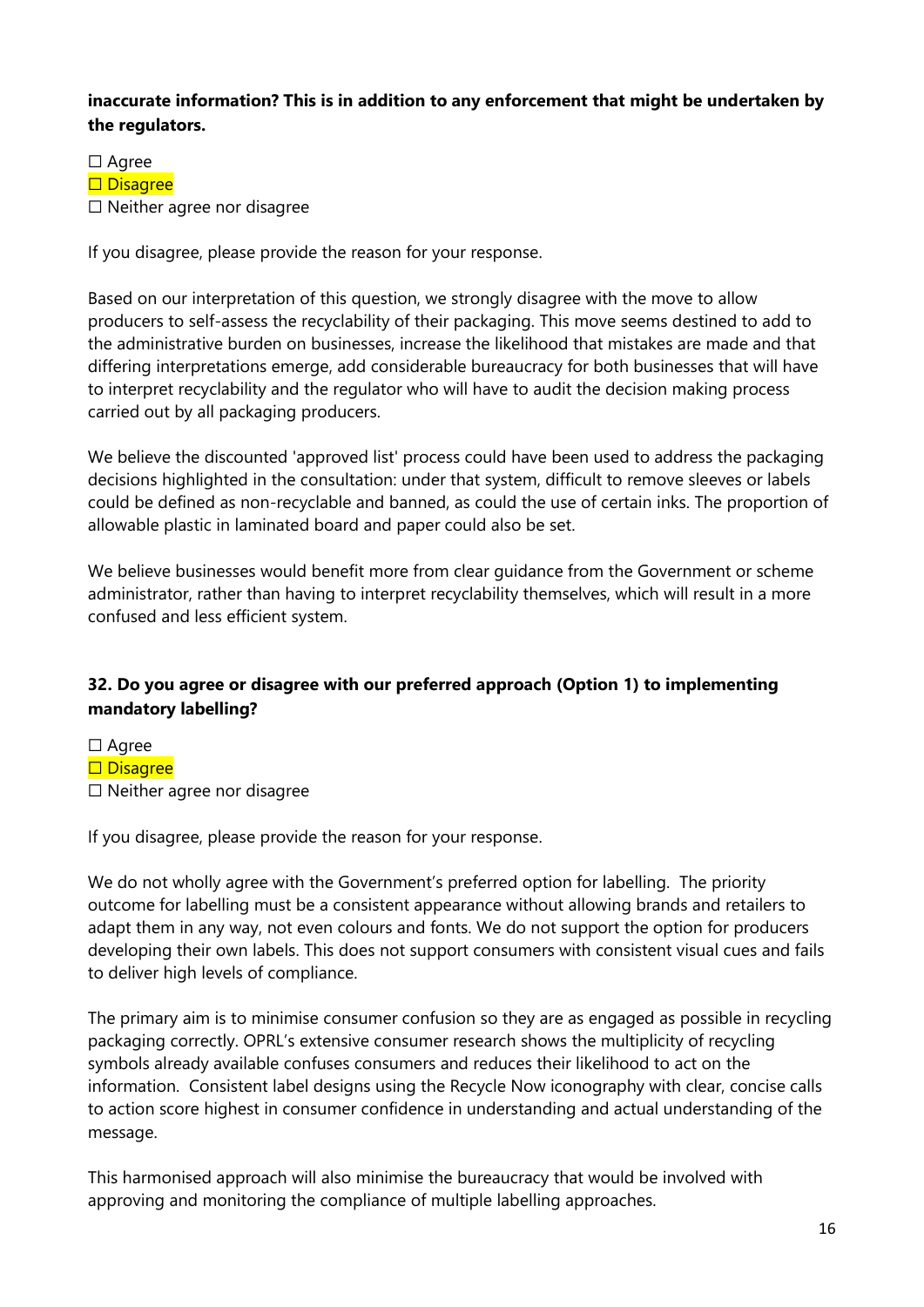#### **inaccurate information? This is in addition to any enforcement that might be undertaken by the regulators.**

☐ Agree □ Disagree ☐ Neither agree nor disagree

If you disagree, please provide the reason for your response.

Based on our interpretation of this question, we strongly disagree with the move to allow producers to self-assess the recyclability of their packaging. This move seems destined to add to the administrative burden on businesses, increase the likelihood that mistakes are made and that differing interpretations emerge, add considerable bureaucracy for both businesses that will have to interpret recyclability and the regulator who will have to audit the decision making process carried out by all packaging producers.

We believe the discounted 'approved list' process could have been used to address the packaging decisions highlighted in the consultation: under that system, difficult to remove sleeves or labels could be defined as non-recyclable and banned, as could the use of certain inks. The proportion of allowable plastic in laminated board and paper could also be set.

We believe businesses would benefit more from clear guidance from the Government or scheme administrator, rather than having to interpret recyclability themselves, which will result in a more confused and less efficient system.

# **32. Do you agree or disagree with our preferred approach (Option 1) to implementing mandatory labelling?**

- ☐ Agree
- □ Disagree
- ☐ Neither agree nor disagree

If you disagree, please provide the reason for your response.

We do not wholly agree with the Government's preferred option for labelling. The priority outcome for labelling must be a consistent appearance without allowing brands and retailers to adapt them in any way, not even colours and fonts. We do not support the option for producers developing their own labels. This does not support consumers with consistent visual cues and fails to deliver high levels of compliance.

The primary aim is to minimise consumer confusion so they are as engaged as possible in recycling packaging correctly. OPRL's extensive consumer research shows the multiplicity of recycling symbols already available confuses consumers and reduces their likelihood to act on the information. Consistent label designs using the Recycle Now iconography with clear, concise calls to action score highest in consumer confidence in understanding and actual understanding of the message.

This harmonised approach will also minimise the bureaucracy that would be involved with approving and monitoring the compliance of multiple labelling approaches.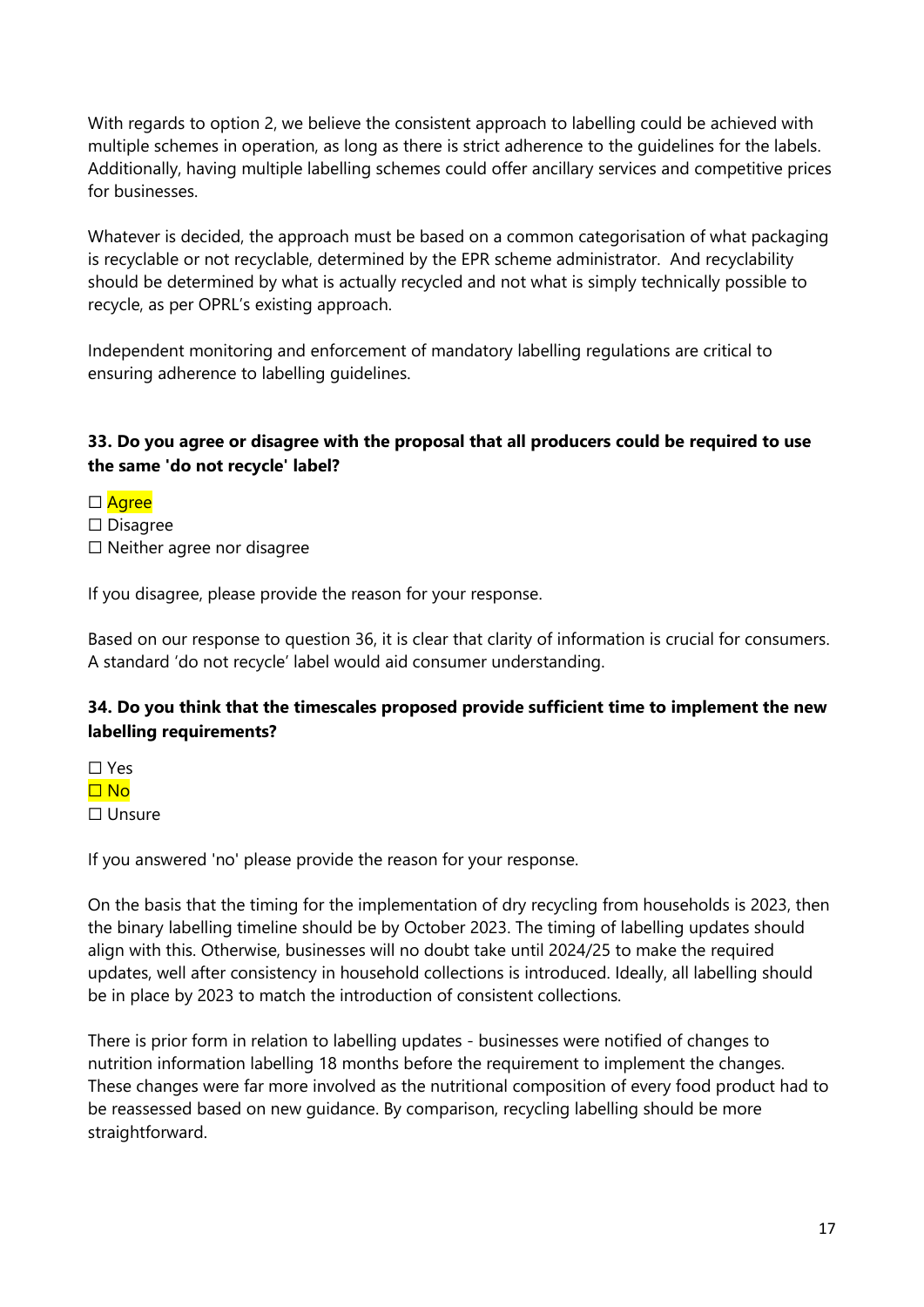With regards to option 2, we believe the consistent approach to labelling could be achieved with multiple schemes in operation, as long as there is strict adherence to the guidelines for the labels. Additionally, having multiple labelling schemes could offer ancillary services and competitive prices for businesses.

Whatever is decided, the approach must be based on a common categorisation of what packaging is recyclable or not recyclable, determined by the EPR scheme administrator. And recyclability should be determined by what is actually recycled and not what is simply technically possible to recycle, as per OPRL's existing approach.

Independent monitoring and enforcement of mandatory labelling regulations are critical to ensuring adherence to labelling guidelines.

#### **33. Do you agree or disagree with the proposal that all producers could be required to use the same 'do not recycle' label?**

- □ Agree
- ☐ Disagree
- ☐ Neither agree nor disagree

If you disagree, please provide the reason for your response.

Based on our response to question 36, it is clear that clarity of information is crucial for consumers. A standard 'do not recycle' label would aid consumer understanding.

#### **34. Do you think that the timescales proposed provide sufficient time to implement the new labelling requirements?**

☐ Yes ☐ No ☐ Unsure

If you answered 'no' please provide the reason for your response.

On the basis that the timing for the implementation of dry recycling from households is 2023, then the binary labelling timeline should be by October 2023. The timing of labelling updates should align with this. Otherwise, businesses will no doubt take until 2024/25 to make the required updates, well after consistency in household collections is introduced. Ideally, all labelling should be in place by 2023 to match the introduction of consistent collections.

There is prior form in relation to labelling updates - businesses were notified of changes to nutrition information labelling 18 months before the requirement to implement the changes. These changes were far more involved as the nutritional composition of every food product had to be reassessed based on new guidance. By comparison, recycling labelling should be more straightforward.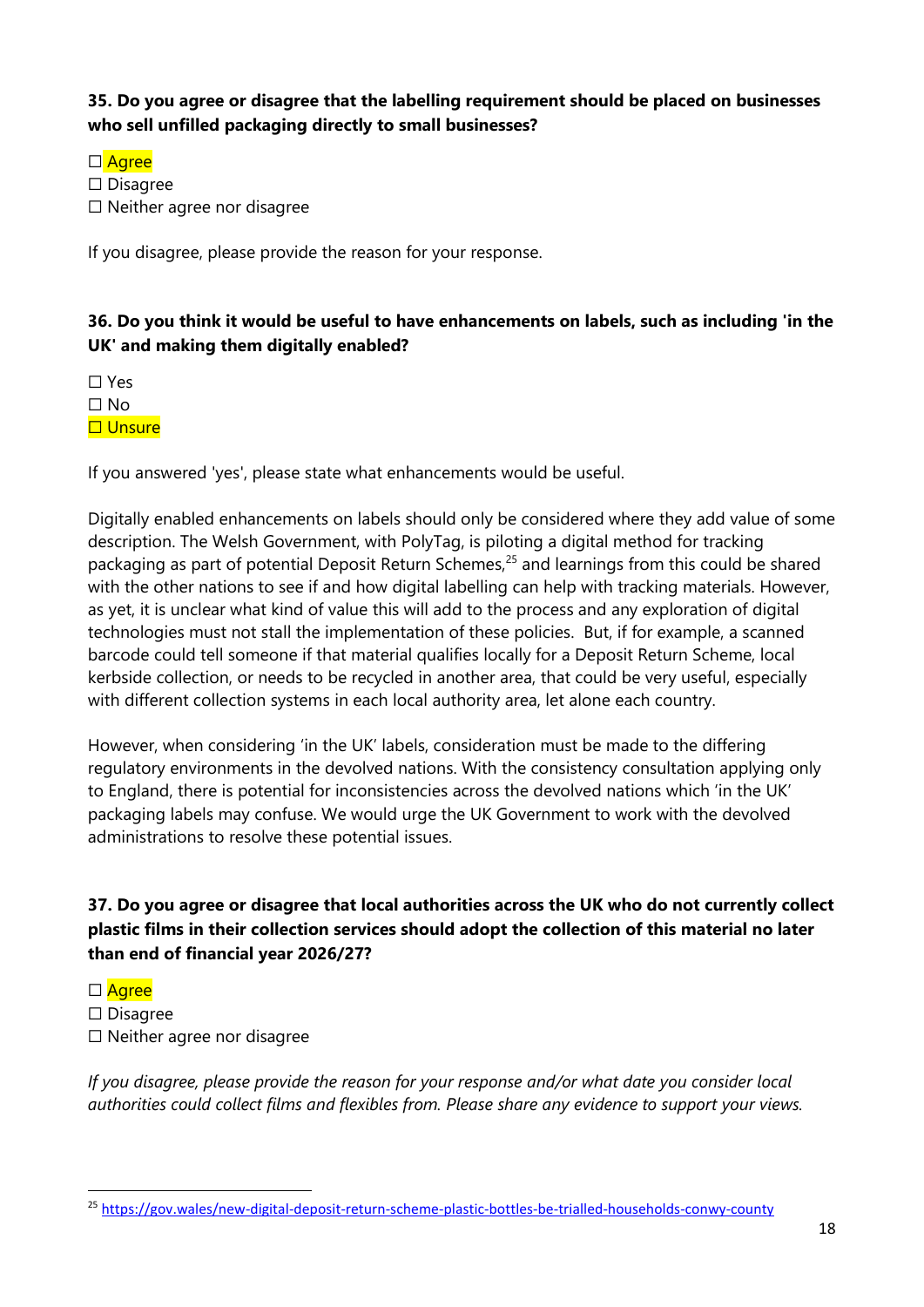#### **35. Do you agree or disagree that the labelling requirement should be placed on businesses who sell unfilled packaging directly to small businesses?**

□ Agree

☐ Disagree

☐ Neither agree nor disagree

If you disagree, please provide the reason for your response.

## **36. Do you think it would be useful to have enhancements on labels, such as including 'in the UK' and making them digitally enabled?**

☐ Yes

☐ No

□ Unsure

If you answered 'yes', please state what enhancements would be useful.

Digitally enabled enhancements on labels should only be considered where they add value of some description. The Welsh Government, with PolyTag, is piloting a digital method for tracking packaging as part of potential Deposit Return Schemes,<sup>25</sup> and learnings from this could be shared with the other nations to see if and how digital labelling can help with tracking materials. However, as yet, it is unclear what kind of value this will add to the process and any exploration of digital technologies must not stall the implementation of these policies. But, if for example, a scanned barcode could tell someone if that material qualifies locally for a Deposit Return Scheme, local kerbside collection, or needs to be recycled in another area, that could be very useful, especially with different collection systems in each local authority area, let alone each country.

However, when considering 'in the UK' labels, consideration must be made to the differing regulatory environments in the devolved nations. With the consistency consultation applying only to England, there is potential for inconsistencies across the devolved nations which 'in the UK' packaging labels may confuse. We would urge the UK Government to work with the devolved administrations to resolve these potential issues.

**37. Do you agree or disagree that local authorities across the UK who do not currently collect plastic films in their collection services should adopt the collection of this material no later than end of financial year 2026/27?** 

□ Agree

- ☐ Disagree
- ☐ Neither agree nor disagree

*If you disagree, please provide the reason for your response and/or what date you consider local authorities could collect films and flexibles from. Please share any evidence to support your views.*

<sup>25</sup> <https://gov.wales/new-digital-deposit-return-scheme-plastic-bottles-be-trialled-households-conwy-county>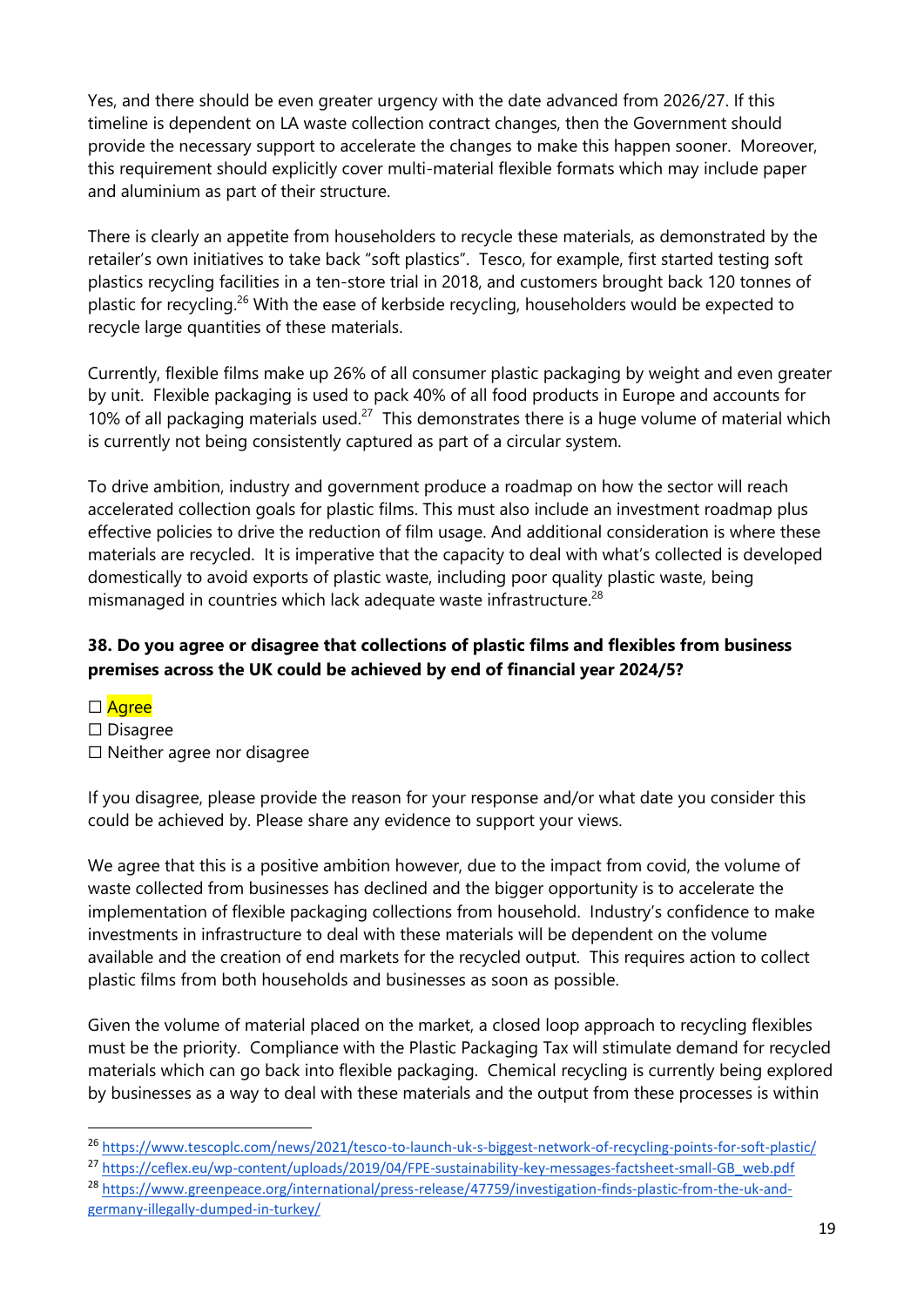Yes, and there should be even greater urgency with the date advanced from 2026/27. If this timeline is dependent on LA waste collection contract changes, then the Government should provide the necessary support to accelerate the changes to make this happen sooner. Moreover, this requirement should explicitly cover multi-material flexible formats which may include paper and aluminium as part of their structure.

There is clearly an appetite from householders to recycle these materials, as demonstrated by the retailer's own initiatives to take back "soft plastics". Tesco, for example, first started testing soft plastics recycling facilities in a ten-store trial in 2018, and customers brought back 120 tonnes of plastic for recycling.<sup>26</sup> With the ease of kerbside recycling, householders would be expected to recycle large quantities of these materials.

Currently, flexible films make up 26% of all consumer plastic packaging by weight and even greater by unit. Flexible packaging is used to pack 40% of all food products in Europe and accounts for 10% of all packaging materials used.<sup>27</sup> This demonstrates there is a huge volume of material which is currently not being consistently captured as part of a circular system.

To drive ambition, industry and government produce a roadmap on how the sector will reach accelerated collection goals for plastic films. This must also include an investment roadmap plus effective policies to drive the reduction of film usage. And additional consideration is where these materials are recycled. It is imperative that the capacity to deal with what's collected is developed domestically to avoid exports of plastic waste, including poor quality plastic waste, being mismanaged in countries which lack adequate waste infrastructure.<sup>28</sup>

# **38. Do you agree or disagree that collections of plastic films and flexibles from business premises across the UK could be achieved by end of financial year 2024/5?**

□ Agree ☐ Disagree ☐ Neither agree nor disagree

If you disagree, please provide the reason for your response and/or what date you consider this could be achieved by. Please share any evidence to support your views.

We agree that this is a positive ambition however, due to the impact from covid, the volume of waste collected from businesses has declined and the bigger opportunity is to accelerate the implementation of flexible packaging collections from household. Industry's confidence to make investments in infrastructure to deal with these materials will be dependent on the volume available and the creation of end markets for the recycled output. This requires action to collect plastic films from both households and businesses as soon as possible.

Given the volume of material placed on the market, a closed loop approach to recycling flexibles must be the priority. Compliance with the Plastic Packaging Tax will stimulate demand for recycled materials which can go back into flexible packaging. Chemical recycling is currently being explored by businesses as a way to deal with these materials and the output from these processes is within

- <sup>26</sup> <https://www.tescoplc.com/news/2021/tesco-to-launch-uk-s-biggest-network-of-recycling-points-for-soft-plastic/>
- <sup>27</sup> [https://ceflex.eu/wp-content/uploads/2019/04/FPE-sustainability-key-messages-factsheet-small-GB\\_web.pdf](https://ceflex.eu/wp-content/uploads/2019/04/FPE-sustainability-key-messages-factsheet-small-GB_web.pdf)

<sup>28</sup> [https://www.greenpeace.org/international/press-release/47759/investigation-finds-plastic-from-the-uk-and](https://www.greenpeace.org/international/press-release/47759/investigation-finds-plastic-from-the-uk-and-germany-illegally-dumped-in-turkey/)[germany-illegally-dumped-in-turkey/](https://www.greenpeace.org/international/press-release/47759/investigation-finds-plastic-from-the-uk-and-germany-illegally-dumped-in-turkey/)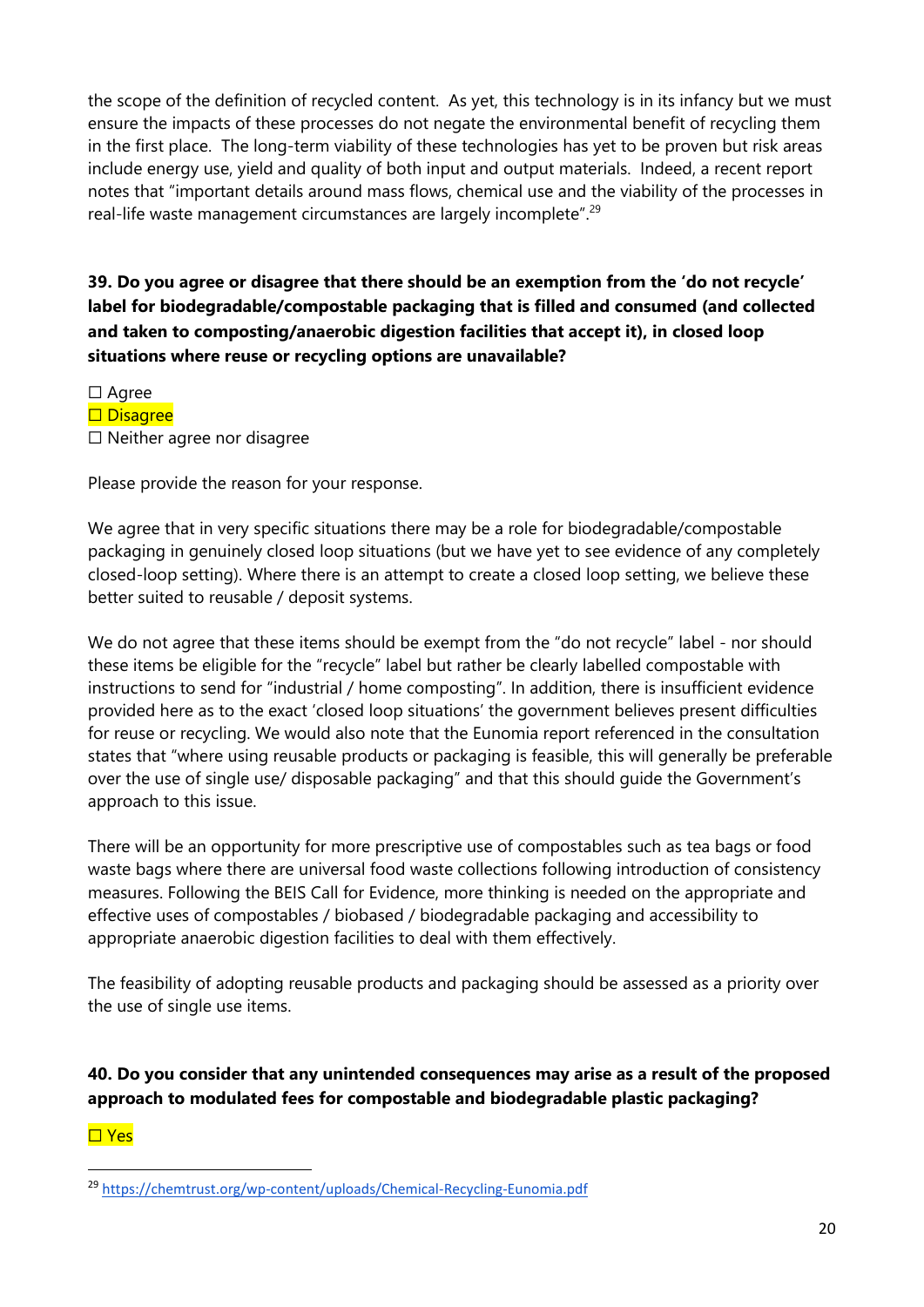the scope of the definition of recycled content. As yet, this technology is in its infancy but we must ensure the impacts of these processes do not negate the environmental benefit of recycling them in the first place. The long-term viability of these technologies has yet to be proven but risk areas include energy use, yield and quality of both input and output materials. Indeed, a recent report notes that "important details around mass flows, chemical use and the viability of the processes in real-life waste management circumstances are largely incomplete".<sup>29</sup>

**39. Do you agree or disagree that there should be an exemption from the 'do not recycle' label for biodegradable/compostable packaging that is filled and consumed (and collected and taken to composting/anaerobic digestion facilities that accept it), in closed loop situations where reuse or recycling options are unavailable?** 

☐ Agree □ Disagree ☐ Neither agree nor disagree

Please provide the reason for your response.

We agree that in very specific situations there may be a role for biodegradable/compostable packaging in genuinely closed loop situations (but we have yet to see evidence of any completely closed-loop setting). Where there is an attempt to create a closed loop setting, we believe these better suited to reusable / deposit systems.

We do not agree that these items should be exempt from the "do not recycle" label - nor should these items be eligible for the "recycle" label but rather be clearly labelled compostable with instructions to send for "industrial / home composting". In addition, there is insufficient evidence provided here as to the exact 'closed loop situations' the government believes present difficulties for reuse or recycling. We would also note that the Eunomia report referenced in the consultation states that "where using reusable products or packaging is feasible, this will generally be preferable over the use of single use/ disposable packaging" and that this should guide the Government's approach to this issue.

There will be an opportunity for more prescriptive use of compostables such as tea bags or food waste bags where there are universal food waste collections following introduction of consistency measures. Following the BEIS Call for Evidence, more thinking is needed on the appropriate and effective uses of compostables / biobased / biodegradable packaging and accessibility to appropriate anaerobic digestion facilities to deal with them effectively.

The feasibility of adopting reusable products and packaging should be assessed as a priority over the use of single use items.

**40. Do you consider that any unintended consequences may arise as a result of the proposed approach to modulated fees for compostable and biodegradable plastic packaging?** 

☐ Yes

<sup>29</sup> <https://chemtrust.org/wp-content/uploads/Chemical-Recycling-Eunomia.pdf>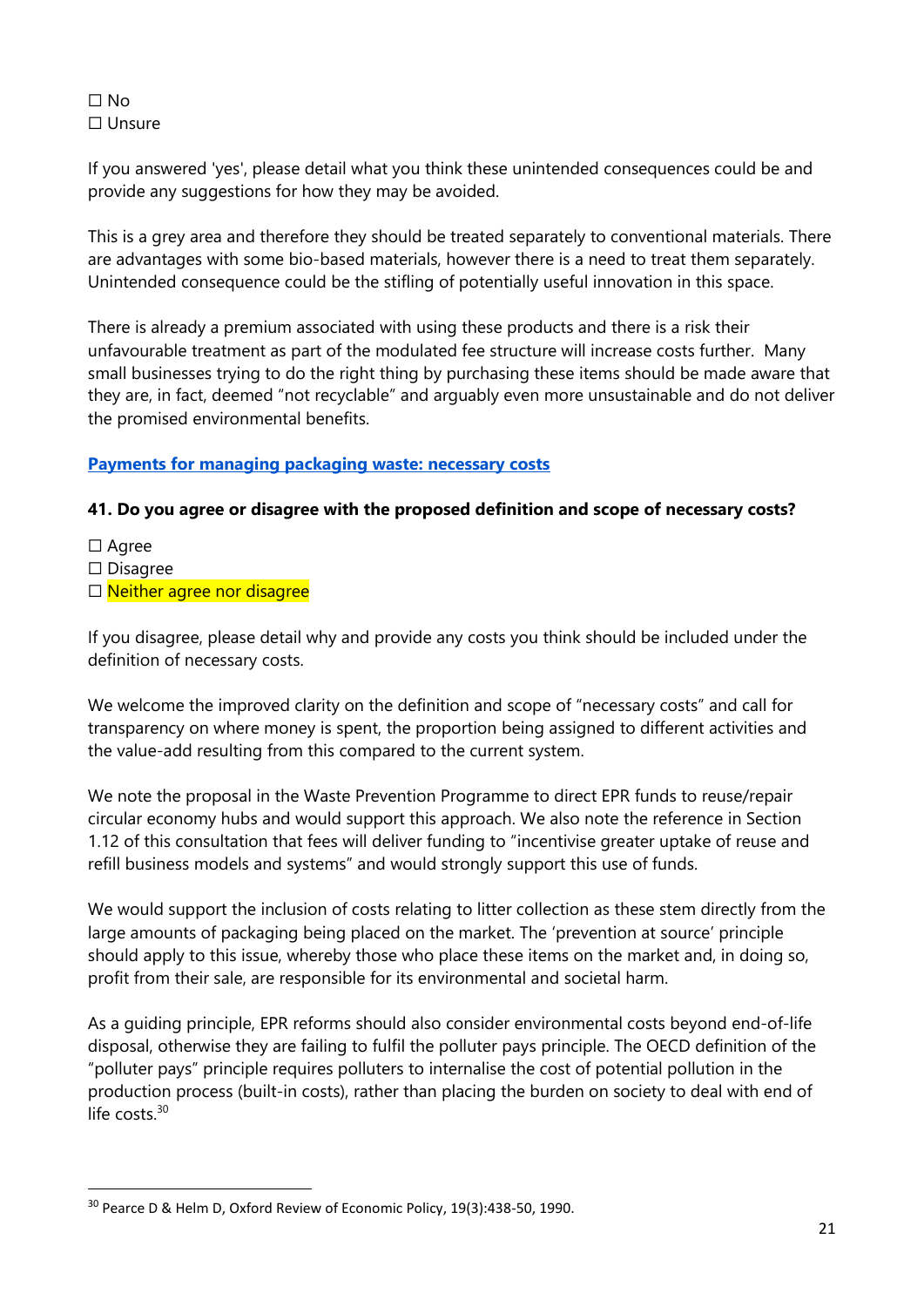#### ☐ No ☐ Unsure

If you answered 'yes', please detail what you think these unintended consequences could be and provide any suggestions for how they may be avoided.

This is a grey area and therefore they should be treated separately to conventional materials. There are advantages with some bio-based materials, however there is a need to treat them separately. Unintended consequence could be the stifling of potentially useful innovation in this space.

There is already a premium associated with using these products and there is a risk their unfavourable treatment as part of the modulated fee structure will increase costs further. Many small businesses trying to do the right thing by purchasing these items should be made aware that they are, in fact, deemed "not recyclable" and arguably even more unsustainable and do not deliver the promised environmental benefits.

#### **Payments for managing packaging waste: necessary costs**

#### **41. Do you agree or disagree with the proposed definition and scope of necessary costs?**

- ☐ Agree
- ☐ Disagree
- □ Neither agree nor disagree

If you disagree, please detail why and provide any costs you think should be included under the definition of necessary costs.

We welcome the improved clarity on the definition and scope of "necessary costs" and call for transparency on where money is spent, the proportion being assigned to different activities and the value-add resulting from this compared to the current system.

We note the proposal in the Waste Prevention Programme to direct EPR funds to reuse/repair circular economy hubs and would support this approach. We also note the reference in Section 1.12 of this consultation that fees will deliver funding to "incentivise greater uptake of reuse and refill business models and systems" and would strongly support this use of funds.

We would support the inclusion of costs relating to litter collection as these stem directly from the large amounts of packaging being placed on the market. The 'prevention at source' principle should apply to this issue, whereby those who place these items on the market and, in doing so, profit from their sale, are responsible for its environmental and societal harm.

As a guiding principle, EPR reforms should also consider environmental costs beyond end-of-life disposal, otherwise they are failing to fulfil the polluter pays principle. The OECD definition of the "polluter pays" principle requires polluters to internalise the cost of potential pollution in the production process (built-in costs), rather than placing the burden on society to deal with end of life costs.<sup>30</sup>

<sup>30</sup> Pearce D & Helm D, Oxford Review of Economic Policy, 19(3):438-50, 1990.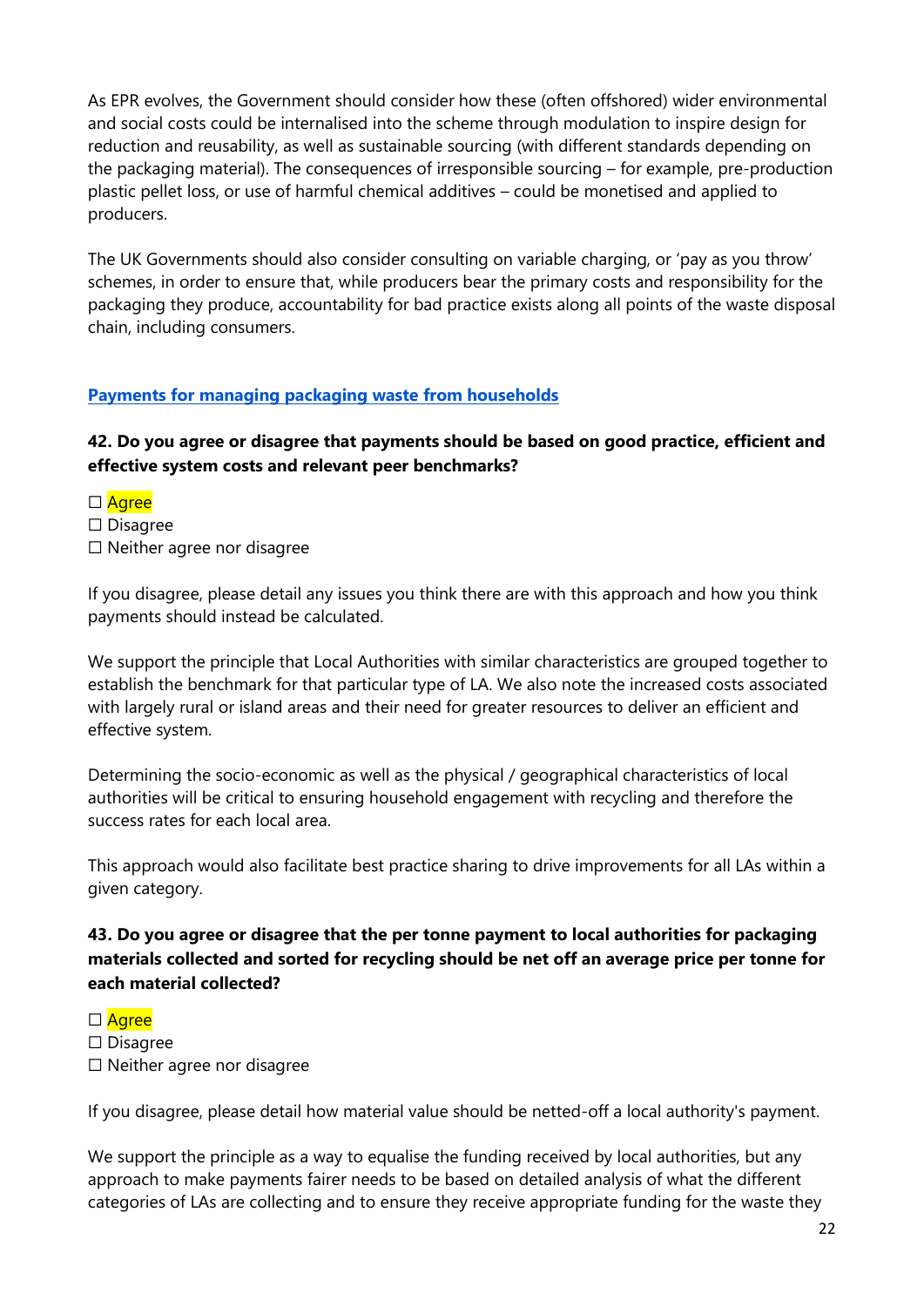As EPR evolves, the Government should consider how these (often offshored) wider environmental and social costs could be internalised into the scheme through modulation to inspire design for reduction and reusability, as well as sustainable sourcing (with different standards depending on the packaging material). The consequences of irresponsible sourcing – for example, pre-production plastic pellet loss, or use of harmful chemical additives – could be monetised and applied to producers.

The UK Governments should also consider consulting on variable charging, or 'pay as you throw' schemes, in order to ensure that, while producers bear the primary costs and responsibility for the packaging they produce, accountability for bad practice exists along all points of the waste disposal chain, including consumers.

#### **Payments for managing packaging waste from households**

#### **42. Do you agree or disagree that payments should be based on good practice, efficient and effective system costs and relevant peer benchmarks?**

- □ Agree
- ☐ Disagree
- ☐ Neither agree nor disagree

If you disagree, please detail any issues you think there are with this approach and how you think payments should instead be calculated.

We support the principle that Local Authorities with similar characteristics are grouped together to establish the benchmark for that particular type of LA. We also note the increased costs associated with largely rural or island areas and their need for greater resources to deliver an efficient and effective system.

Determining the socio-economic as well as the physical / geographical characteristics of local authorities will be critical to ensuring household engagement with recycling and therefore the success rates for each local area.

This approach would also facilitate best practice sharing to drive improvements for all LAs within a given category.

#### **43. Do you agree or disagree that the per tonne payment to local authorities for packaging materials collected and sorted for recycling should be net off an average price per tonne for each material collected?**

#### □ Agree

- ☐ Disagree
- ☐ Neither agree nor disagree

If you disagree, please detail how material value should be netted-off a local authority's payment.

We support the principle as a way to equalise the funding received by local authorities, but any approach to make payments fairer needs to be based on detailed analysis of what the different categories of LAs are collecting and to ensure they receive appropriate funding for the waste they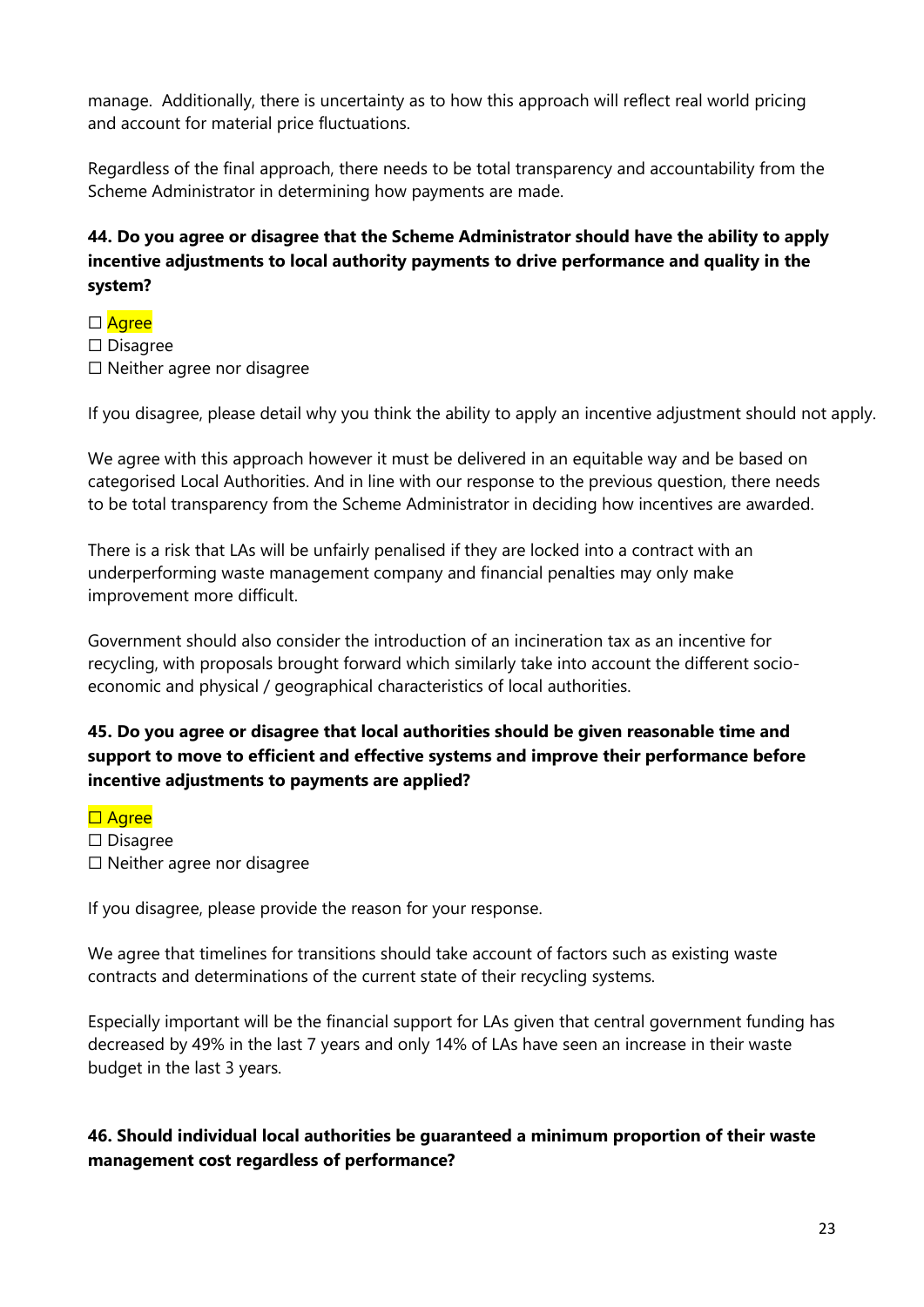manage. Additionally, there is uncertainty as to how this approach will reflect real world pricing and account for material price fluctuations.

Regardless of the final approach, there needs to be total transparency and accountability from the Scheme Administrator in determining how payments are made.

# **44. Do you agree or disagree that the Scheme Administrator should have the ability to apply incentive adjustments to local authority payments to drive performance and quality in the system?**

□ Agree ☐ Disagree ☐ Neither agree nor disagree

If you disagree, please detail why you think the ability to apply an incentive adjustment should not apply.

We agree with this approach however it must be delivered in an equitable way and be based on categorised Local Authorities. And in line with our response to the previous question, there needs to be total transparency from the Scheme Administrator in deciding how incentives are awarded.

There is a risk that LAs will be unfairly penalised if they are locked into a contract with an underperforming waste management company and financial penalties may only make improvement more difficult.

Government should also consider the introduction of an incineration tax as an incentive for recycling, with proposals brought forward which similarly take into account the different socioeconomic and physical / geographical characteristics of local authorities.

# **45. Do you agree or disagree that local authorities should be given reasonable time and support to move to efficient and effective systems and improve their performance before incentive adjustments to payments are applied?**

#### □ Agree

- ☐ Disagree
- ☐ Neither agree nor disagree

If you disagree, please provide the reason for your response.

We agree that timelines for transitions should take account of factors such as existing waste contracts and determinations of the current state of their recycling systems.

Especially important will be the financial support for LAs given that central government funding has decreased by 49% in the last 7 years and only 14% of LAs have seen an increase in their waste budget in the last 3 years.

#### **46. Should individual local authorities be guaranteed a minimum proportion of their waste management cost regardless of performance?**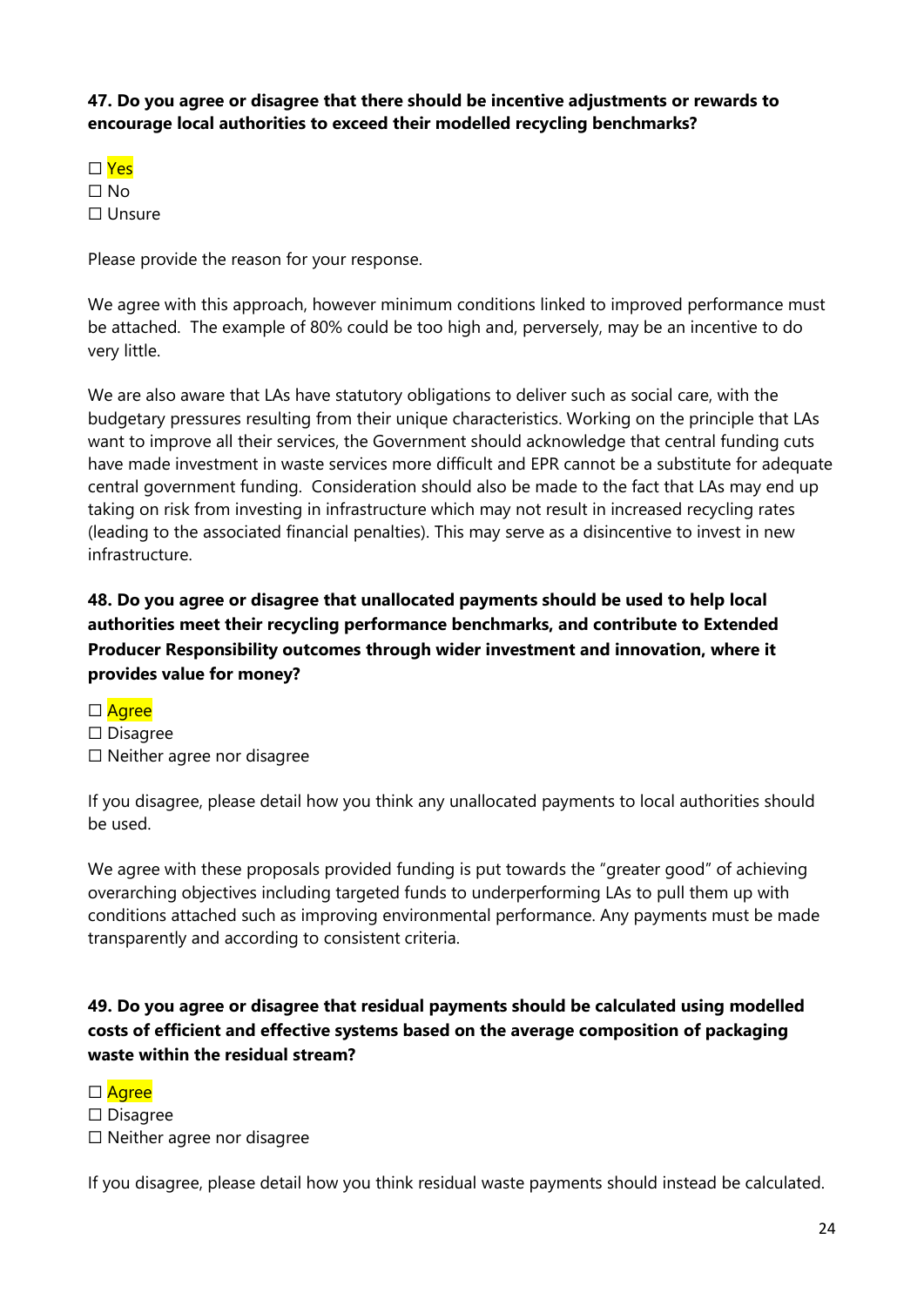**47. Do you agree or disagree that there should be incentive adjustments or rewards to encourage local authorities to exceed their modelled recycling benchmarks?** 

☐ Yes ☐ No ☐ Unsure

Please provide the reason for your response.

We agree with this approach, however minimum conditions linked to improved performance must be attached. The example of 80% could be too high and, perversely, may be an incentive to do very little.

We are also aware that LAs have statutory obligations to deliver such as social care, with the budgetary pressures resulting from their unique characteristics. Working on the principle that LAs want to improve all their services, the Government should acknowledge that central funding cuts have made investment in waste services more difficult and EPR cannot be a substitute for adequate central government funding. Consideration should also be made to the fact that LAs may end up taking on risk from investing in infrastructure which may not result in increased recycling rates (leading to the associated financial penalties). This may serve as a disincentive to invest in new infrastructure.

**48. Do you agree or disagree that unallocated payments should be used to help local authorities meet their recycling performance benchmarks, and contribute to Extended Producer Responsibility outcomes through wider investment and innovation, where it provides value for money?** 

- □ Agree
- ☐ Disagree
- ☐ Neither agree nor disagree

If you disagree, please detail how you think any unallocated payments to local authorities should be used.

We agree with these proposals provided funding is put towards the "greater good" of achieving overarching objectives including targeted funds to underperforming LAs to pull them up with conditions attached such as improving environmental performance. Any payments must be made transparently and according to consistent criteria.

**49. Do you agree or disagree that residual payments should be calculated using modelled costs of efficient and effective systems based on the average composition of packaging waste within the residual stream?** 

□ Agree

☐ Disagree

☐ Neither agree nor disagree

If you disagree, please detail how you think residual waste payments should instead be calculated.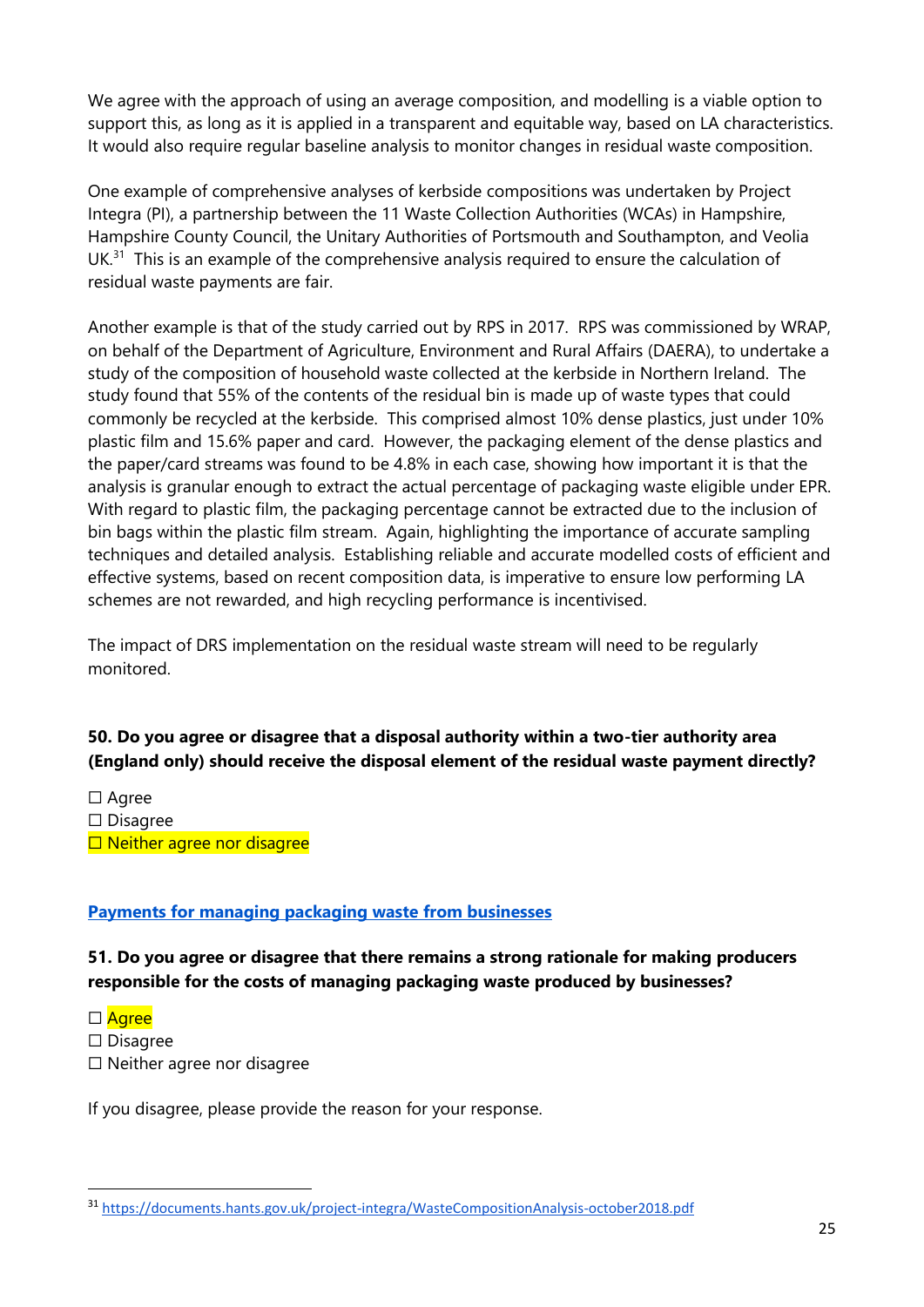We agree with the approach of using an average composition, and modelling is a viable option to support this, as long as it is applied in a transparent and equitable way, based on LA characteristics. It would also require regular baseline analysis to monitor changes in residual waste composition.

One example of comprehensive analyses of kerbside compositions was undertaken by Project Integra (PI), a partnership between the 11 Waste Collection Authorities (WCAs) in Hampshire, Hampshire County Council, the Unitary Authorities of Portsmouth and Southampton, and Veolia  $UK.<sup>31</sup>$  This is an example of the comprehensive analysis required to ensure the calculation of residual waste payments are fair.

Another example is that of the study carried out by RPS in 2017. RPS was commissioned by WRAP, on behalf of the Department of Agriculture, Environment and Rural Affairs (DAERA), to undertake a study of the composition of household waste collected at the kerbside in Northern Ireland. The study found that 55% of the contents of the residual bin is made up of waste types that could commonly be recycled at the kerbside. This comprised almost 10% dense plastics, just under 10% plastic film and 15.6% paper and card. However, the packaging element of the dense plastics and the paper/card streams was found to be 4.8% in each case, showing how important it is that the analysis is granular enough to extract the actual percentage of packaging waste eligible under EPR. With regard to plastic film, the packaging percentage cannot be extracted due to the inclusion of bin bags within the plastic film stream. Again, highlighting the importance of accurate sampling techniques and detailed analysis. Establishing reliable and accurate modelled costs of efficient and effective systems, based on recent composition data, is imperative to ensure low performing LA schemes are not rewarded, and high recycling performance is incentivised.

The impact of DRS implementation on the residual waste stream will need to be regularly monitored.

#### **50. Do you agree or disagree that a disposal authority within a two-tier authority area (England only) should receive the disposal element of the residual waste payment directly?**

☐ Agree ☐ Disagree □ Neither agree nor disagree

#### **Payments for managing packaging waste from businesses**

#### **51. Do you agree or disagree that there remains a strong rationale for making producers responsible for the costs of managing packaging waste produced by businesses?**

- □ Agree
- ☐ Disagree
- ☐ Neither agree nor disagree

If you disagree, please provide the reason for your response.

<sup>31</sup> <https://documents.hants.gov.uk/project-integra/WasteCompositionAnalysis-october2018.pdf>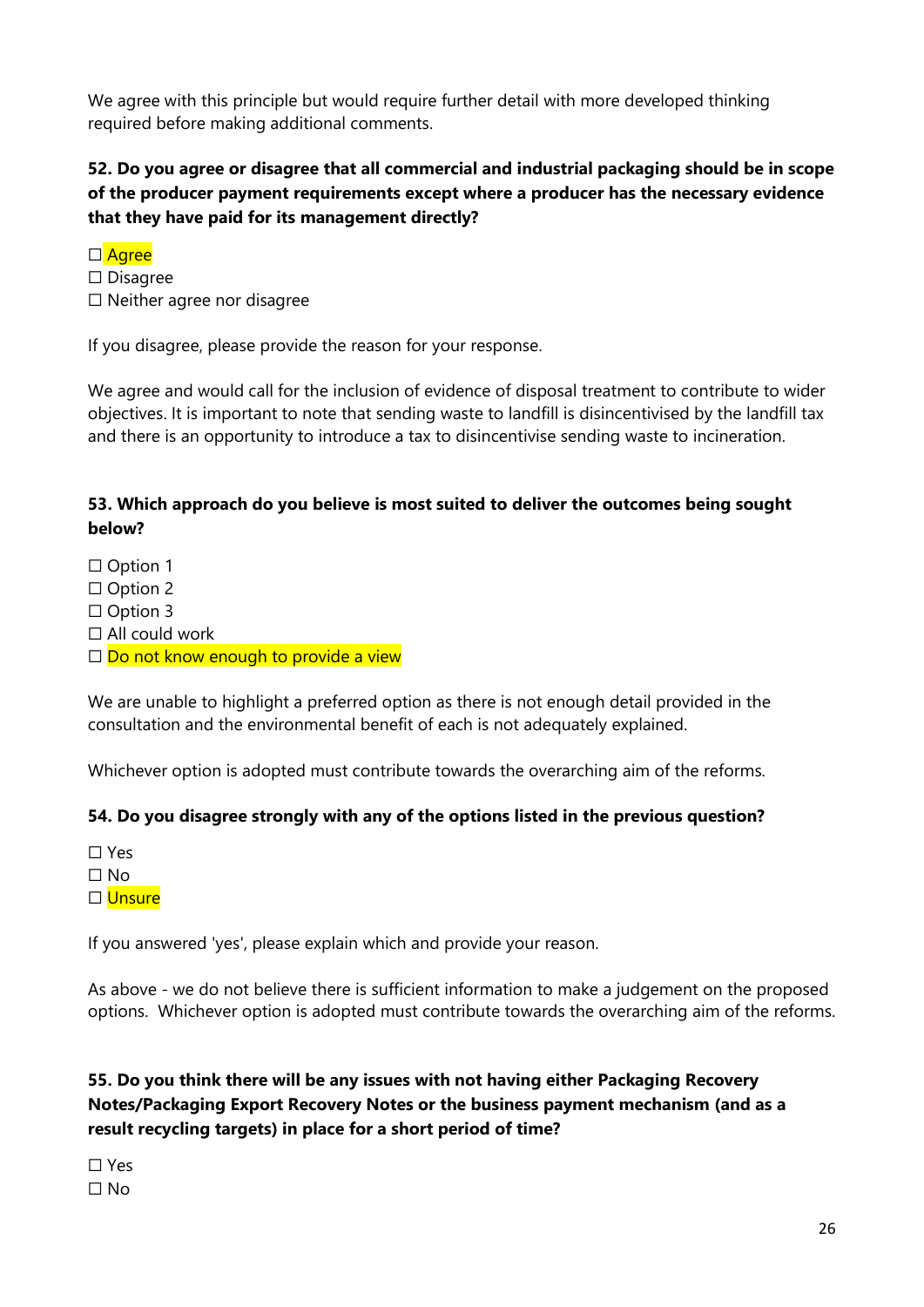We agree with this principle but would require further detail with more developed thinking required before making additional comments.

# **52. Do you agree or disagree that all commercial and industrial packaging should be in scope of the producer payment requirements except where a producer has the necessary evidence that they have paid for its management directly?**

- □ Agree
- ☐ Disagree
- ☐ Neither agree nor disagree

If you disagree, please provide the reason for your response.

We agree and would call for the inclusion of evidence of disposal treatment to contribute to wider objectives. It is important to note that sending waste to landfill is disincentivised by the landfill tax and there is an opportunity to introduce a tax to disincentivise sending waste to incineration.

# **53. Which approach do you believe is most suited to deliver the outcomes being sought below?**

□ Option 1 □ Option 2 □ Option 3  $\Box$  All could work □ Do not know enough to provide a view

We are unable to highlight a preferred option as there is not enough detail provided in the consultation and the environmental benefit of each is not adequately explained.

Whichever option is adopted must contribute towards the overarching aim of the reforms.

#### **54. Do you disagree strongly with any of the options listed in the previous question?**

☐ Yes  $\Box$  No □ Unsure

If you answered 'yes', please explain which and provide your reason.

As above - we do not believe there is sufficient information to make a judgement on the proposed options. Whichever option is adopted must contribute towards the overarching aim of the reforms.

# **55. Do you think there will be any issues with not having either Packaging Recovery Notes/Packaging Export Recovery Notes or the business payment mechanism (and as a result recycling targets) in place for a short period of time?**

☐ Yes ☐ No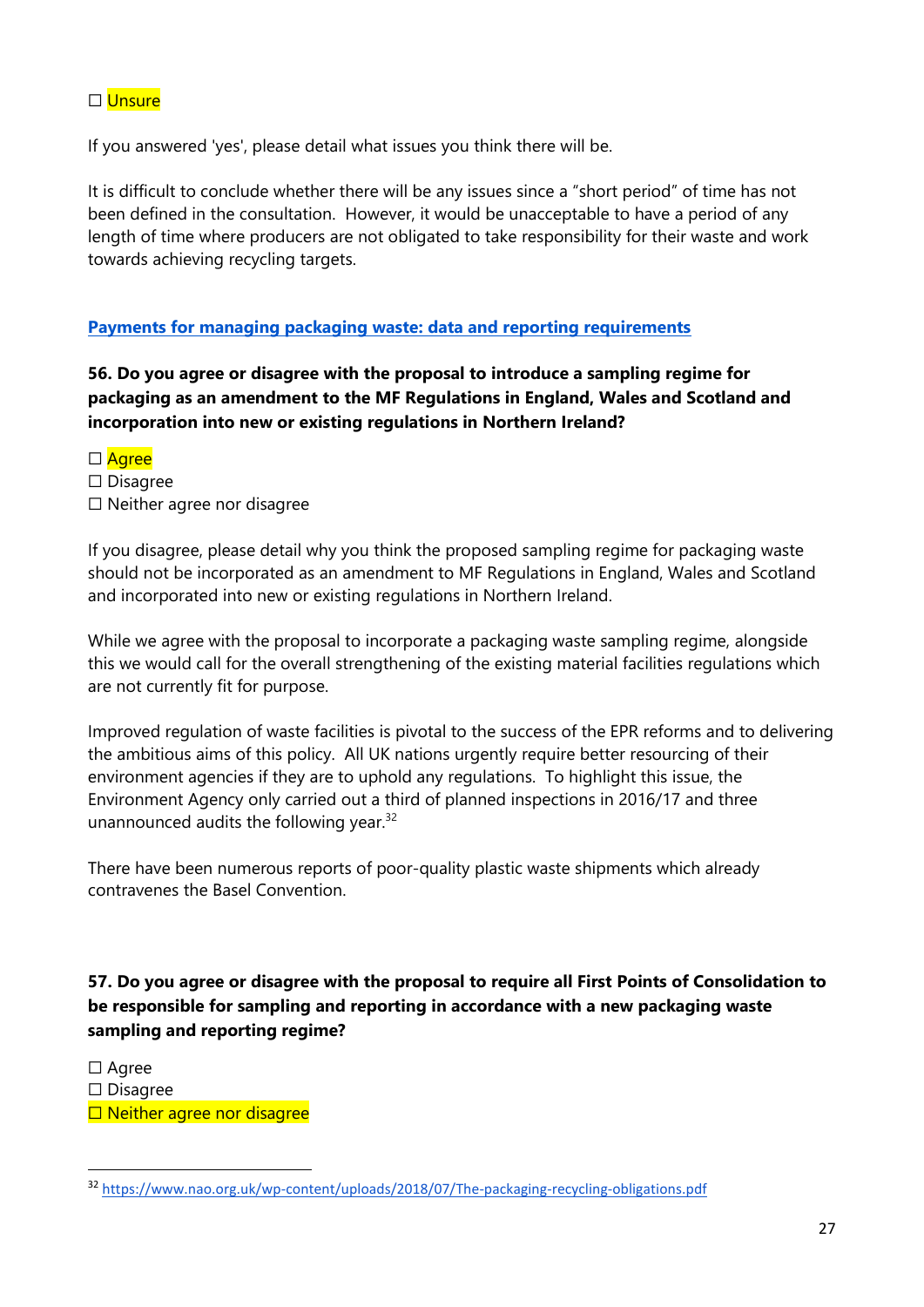#### ☐ Unsure

If you answered 'yes', please detail what issues you think there will be.

It is difficult to conclude whether there will be any issues since a "short period" of time has not been defined in the consultation. However, it would be unacceptable to have a period of any length of time where producers are not obligated to take responsibility for their waste and work towards achieving recycling targets.

#### **Payments for managing packaging waste: data and reporting requirements**

**56. Do you agree or disagree with the proposal to introduce a sampling regime for packaging as an amendment to the MF Regulations in England, Wales and Scotland and incorporation into new or existing regulations in Northern Ireland?** 

□ Agree ☐ Disagree ☐ Neither agree nor disagree

If you disagree, please detail why you think the proposed sampling regime for packaging waste should not be incorporated as an amendment to MF Regulations in England, Wales and Scotland and incorporated into new or existing regulations in Northern Ireland.

While we agree with the proposal to incorporate a packaging waste sampling regime, alongside this we would call for the overall strengthening of the existing material facilities regulations which are not currently fit for purpose.

Improved regulation of waste facilities is pivotal to the success of the EPR reforms and to delivering the ambitious aims of this policy. All UK nations urgently require better resourcing of their environment agencies if they are to uphold any regulations. To highlight this issue, the Environment Agency only carried out a third of planned inspections in 2016/17 and three unannounced audits the following year. $32$ 

There have been numerous reports of poor-quality plastic waste shipments which already contravenes the Basel Convention.

# **57. Do you agree or disagree with the proposal to require all First Points of Consolidation to be responsible for sampling and reporting in accordance with a new packaging waste sampling and reporting regime?**

☐ Agree ☐ Disagree □ Neither agree nor disagree

<sup>32</sup> <https://www.nao.org.uk/wp-content/uploads/2018/07/The-packaging-recycling-obligations.pdf>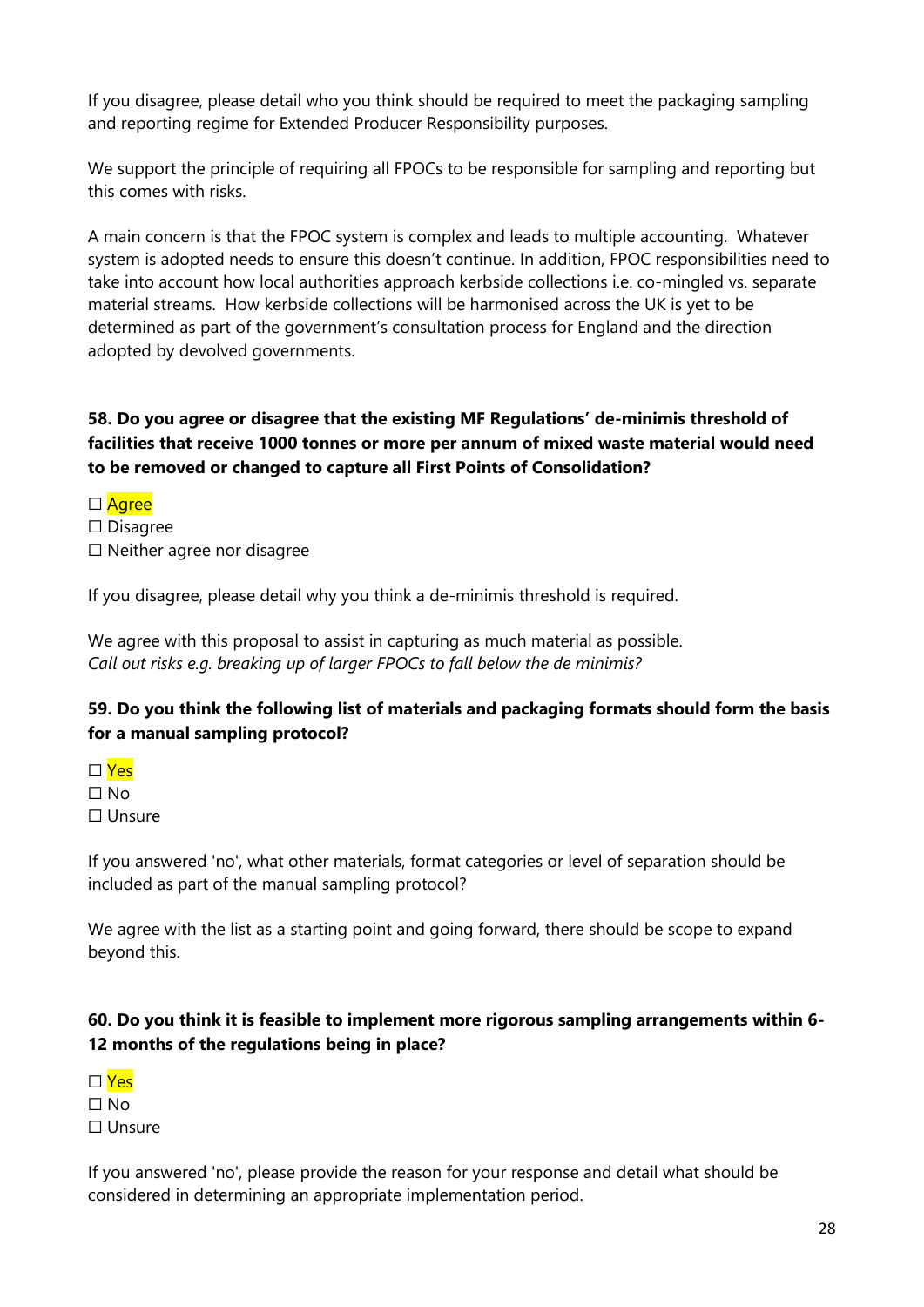If you disagree, please detail who you think should be required to meet the packaging sampling and reporting regime for Extended Producer Responsibility purposes.

We support the principle of requiring all FPOCs to be responsible for sampling and reporting but this comes with risks.

A main concern is that the FPOC system is complex and leads to multiple accounting. Whatever system is adopted needs to ensure this doesn't continue. In addition, FPOC responsibilities need to take into account how local authorities approach kerbside collections i.e. co-mingled vs. separate material streams. How kerbside collections will be harmonised across the UK is yet to be determined as part of the government's consultation process for England and the direction adopted by devolved governments.

### **58. Do you agree or disagree that the existing MF Regulations' de-minimis threshold of facilities that receive 1000 tonnes or more per annum of mixed waste material would need to be removed or changed to capture all First Points of Consolidation?**

- □ Agree
- ☐ Disagree
- ☐ Neither agree nor disagree

If you disagree, please detail why you think a de-minimis threshold is required.

We agree with this proposal to assist in capturing as much material as possible. *Call out risks e.g. breaking up of larger FPOCs to fall below the de minimis?* 

#### **59. Do you think the following list of materials and packaging formats should form the basis for a manual sampling protocol?**

- ☐ Yes
- $\Box$  No ☐ Unsure

If you answered 'no', what other materials, format categories or level of separation should be included as part of the manual sampling protocol?

We agree with the list as a starting point and going forward, there should be scope to expand beyond this.

# **60. Do you think it is feasible to implement more rigorous sampling arrangements within 6- 12 months of the regulations being in place?**



 $\Box$  No

☐ Unsure

If you answered 'no', please provide the reason for your response and detail what should be considered in determining an appropriate implementation period.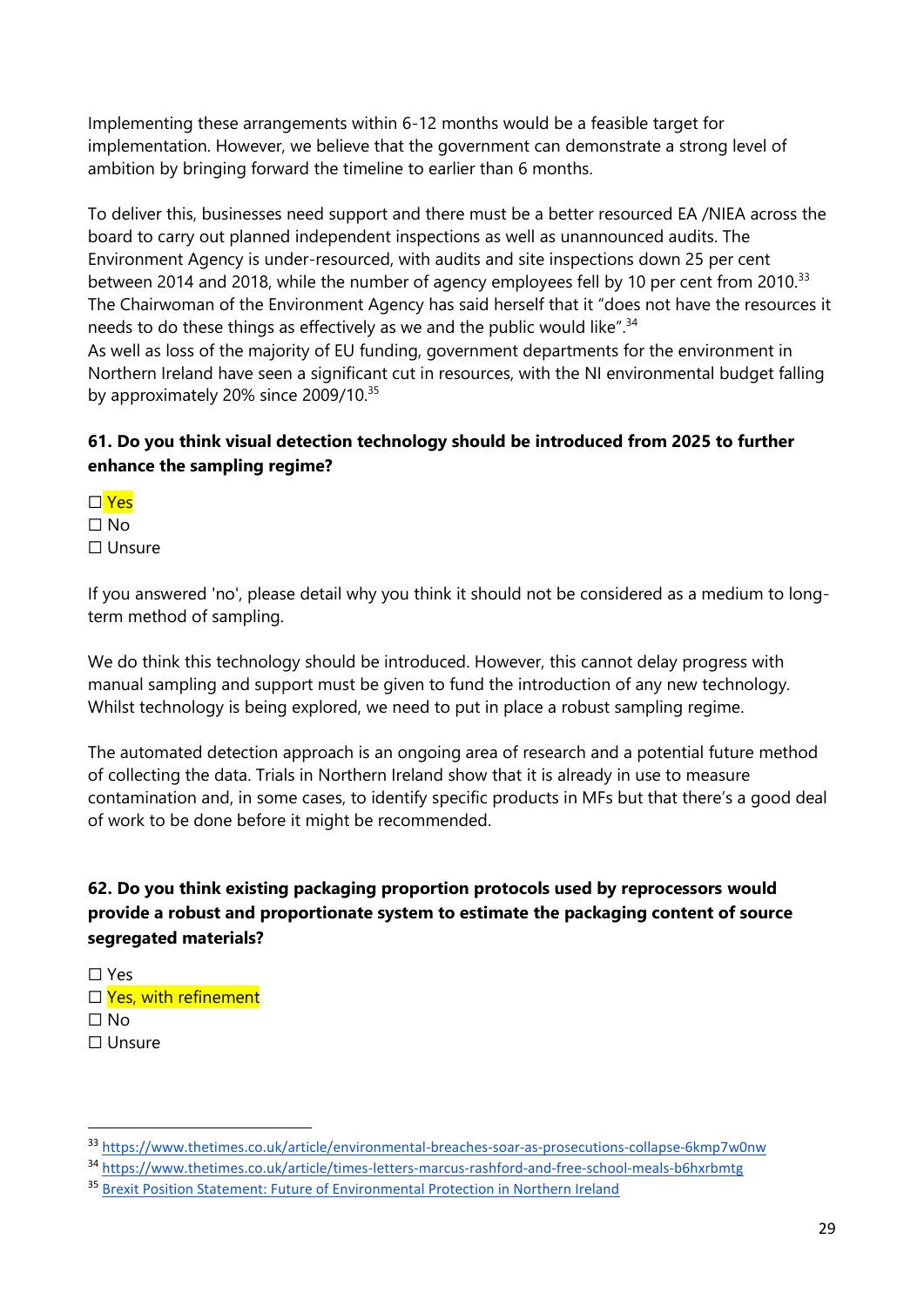Implementing these arrangements within 6-12 months would be a feasible target for implementation. However, we believe that the government can demonstrate a strong level of ambition by bringing forward the timeline to earlier than 6 months.

To deliver this, businesses need support and there must be a better resourced EA /NIEA across the board to carry out planned independent inspections as well as unannounced audits. The Environment Agency is under-resourced, with audits and site inspections down 25 per cent between 2014 and 2018, while the number of agency employees fell by 10 per cent from 2010.<sup>33</sup> The Chairwoman of the Environment Agency has said herself that it "does not have the resources it needs to do these things as effectively as we and the public would like".<sup>34</sup>

As well as loss of the majority of EU funding, government departments for the environment in Northern Ireland have seen a significant cut in resources, with the NI environmental budget falling by approximately 20% since 2009/10.<sup>35</sup>

# **61. Do you think visual detection technology should be introduced from 2025 to further enhance the sampling regime?**

- ☐ Yes
- ☐ No
- ☐ Unsure

If you answered 'no', please detail why you think it should not be considered as a medium to longterm method of sampling.

We do think this technology should be introduced. However, this cannot delay progress with manual sampling and support must be given to fund the introduction of any new technology. Whilst technology is being explored, we need to put in place a robust sampling regime.

The automated detection approach is an ongoing area of research and a potential future method of collecting the data. Trials in Northern Ireland show that it is already in use to measure contamination and, in some cases, to identify specific products in MFs but that there's a good deal of work to be done before it might be recommended.

# **62. Do you think existing packaging proportion protocols used by reprocessors would provide a robust and proportionate system to estimate the packaging content of source segregated materials?**

☐ Yes □ Yes, with refinement  $\Box$  No ☐ Unsure

<sup>33</sup> <https://www.thetimes.co.uk/article/environmental-breaches-soar-as-prosecutions-collapse-6kmp7w0nw>

<sup>34</sup> <https://www.thetimes.co.uk/article/times-letters-marcus-rashford-and-free-school-meals-b6hxrbmtg>

<sup>35</sup> [Brexit Position Statement: Future of Environmental Protection in Northern Ireland](https://www.nienvironmentlink.org/cmsfiles/NMNI-Brexit-Position-Statements---Nature.pdf)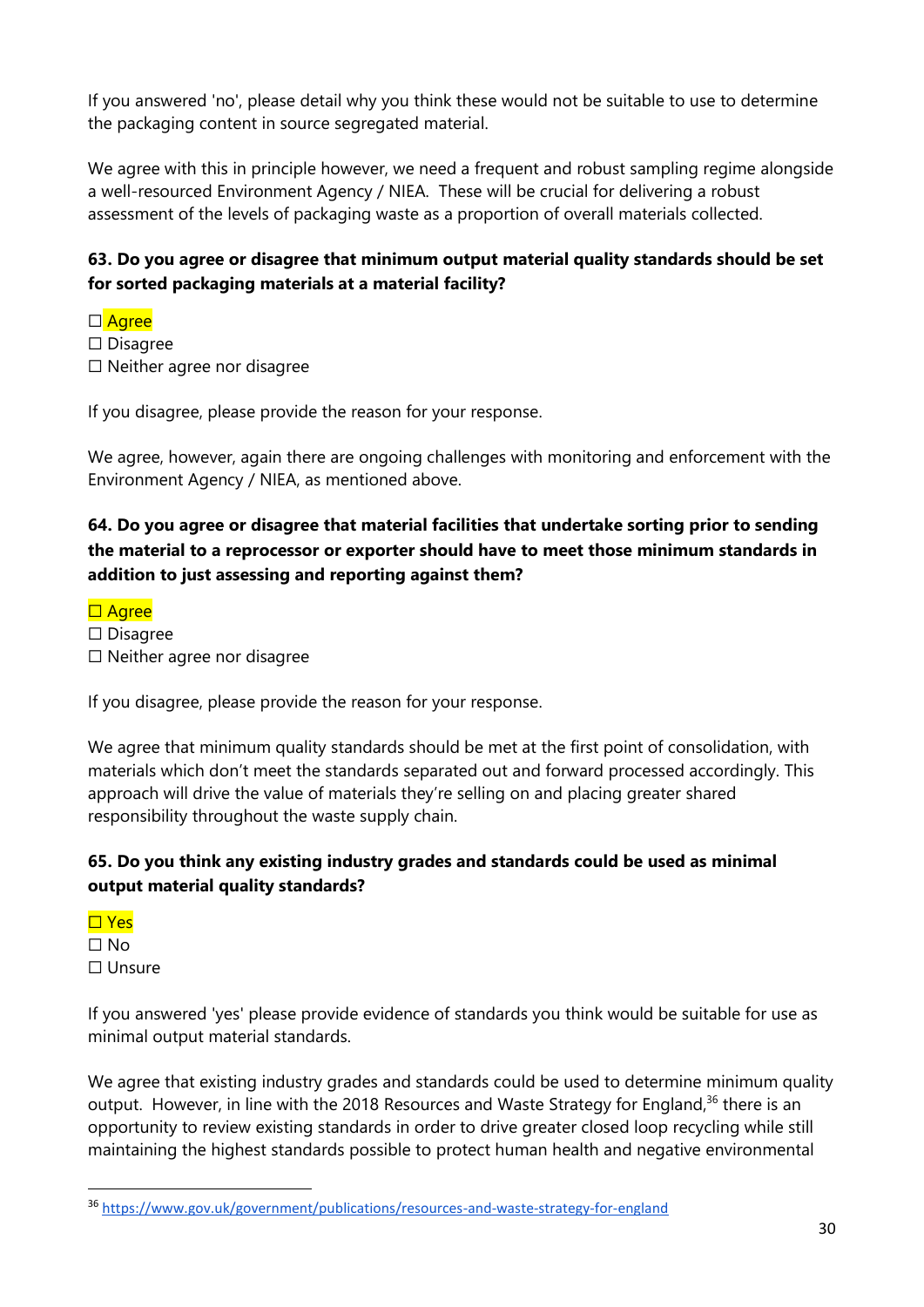If you answered 'no', please detail why you think these would not be suitable to use to determine the packaging content in source segregated material.

We agree with this in principle however, we need a frequent and robust sampling regime alongside a well-resourced Environment Agency / NIEA. These will be crucial for delivering a robust assessment of the levels of packaging waste as a proportion of overall materials collected.

# **63. Do you agree or disagree that minimum output material quality standards should be set for sorted packaging materials at a material facility?**

□ Agree ☐ Disagree ☐ Neither agree nor disagree

If you disagree, please provide the reason for your response.

We agree, however, again there are ongoing challenges with monitoring and enforcement with the Environment Agency / NIEA, as mentioned above.

# **64. Do you agree or disagree that material facilities that undertake sorting prior to sending the material to a reprocessor or exporter should have to meet those minimum standards in addition to just assessing and reporting against them?**

#### □ Agree

☐ Disagree

☐ Neither agree nor disagree

If you disagree, please provide the reason for your response.

We agree that minimum quality standards should be met at the first point of consolidation, with materials which don't meet the standards separated out and forward processed accordingly. This approach will drive the value of materials they're selling on and placing greater shared responsibility throughout the waste supply chain.

# **65. Do you think any existing industry grades and standards could be used as minimal output material quality standards?**

☐ Yes ☐ No ☐ Unsure

If you answered 'yes' please provide evidence of standards you think would be suitable for use as minimal output material standards.

We agree that existing industry grades and standards could be used to determine minimum quality output. However, in line with the 2018 Resources and Waste Strategy for England,<sup>36</sup> there is an opportunity to review existing standards in order to drive greater closed loop recycling while still maintaining the highest standards possible to protect human health and negative environmental

<sup>36</sup> <https://www.gov.uk/government/publications/resources-and-waste-strategy-for-england>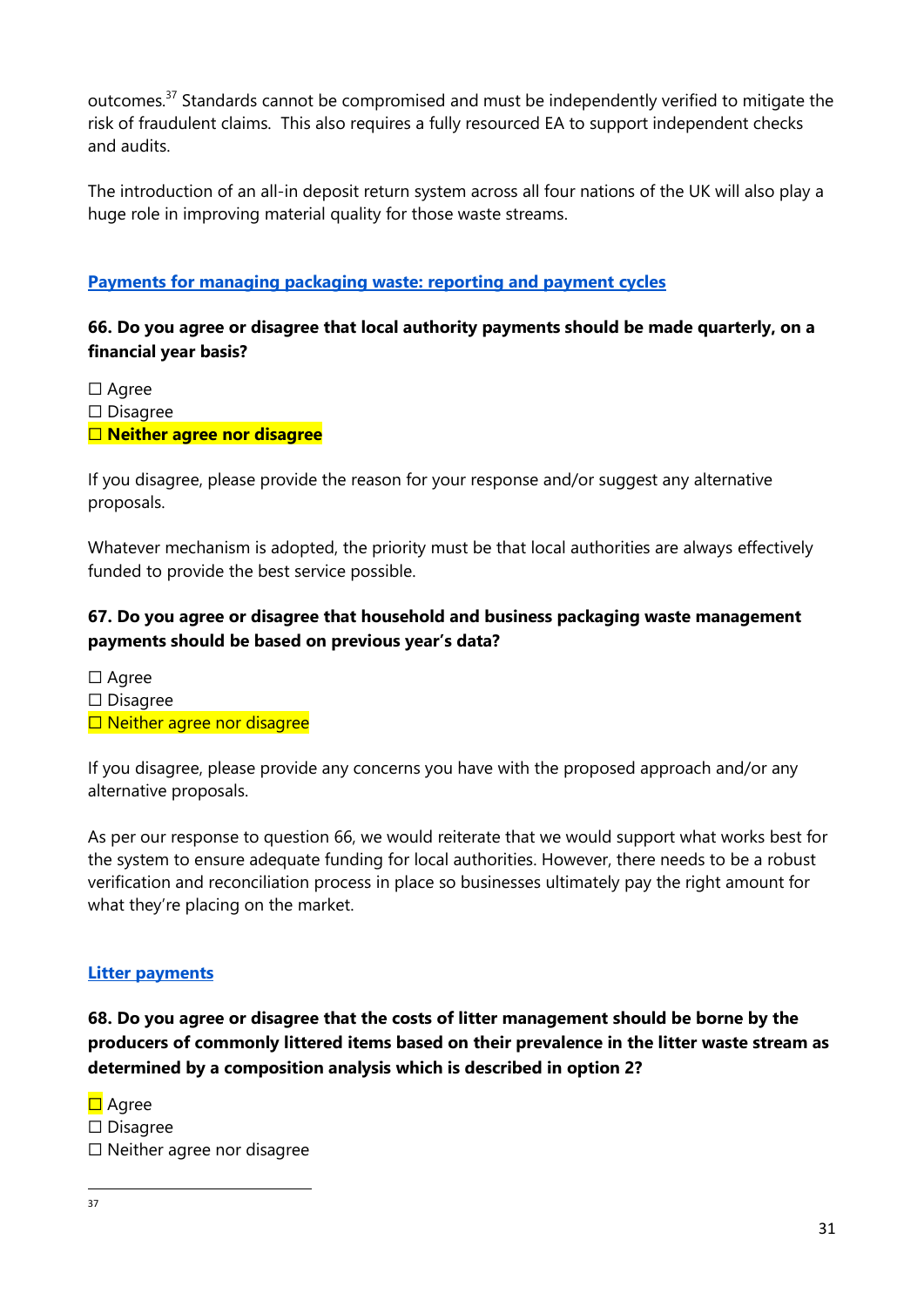outcomes.<sup>37</sup> Standards cannot be compromised and must be independently verified to mitigate the risk of fraudulent claims. This also requires a fully resourced EA to support independent checks and audits.

The introduction of an all-in deposit return system across all four nations of the UK will also play a huge role in improving material quality for those waste streams.

#### **Payments for managing packaging waste: reporting and payment cycles**

#### **66. Do you agree or disagree that local authority payments should be made quarterly, on a financial year basis?**

☐ Agree

☐ Disagree

☐ **Neither agree nor disagree**

If you disagree, please provide the reason for your response and/or suggest any alternative proposals.

Whatever mechanism is adopted, the priority must be that local authorities are always effectively funded to provide the best service possible.

## **67. Do you agree or disagree that household and business packaging waste management payments should be based on previous year's data?**

☐ Agree ☐ Disagree □ Neither agree nor disagree

If you disagree, please provide any concerns you have with the proposed approach and/or any alternative proposals.

As per our response to question 66, we would reiterate that we would support what works best for the system to ensure adequate funding for local authorities. However, there needs to be a robust verification and reconciliation process in place so businesses ultimately pay the right amount for what they're placing on the market.

#### **Litter payments**

**68. Do you agree or disagree that the costs of litter management should be borne by the producers of commonly littered items based on their prevalence in the litter waste stream as determined by a composition analysis which is described in option 2?** 

**□** Agree ☐ Disagree

☐ Neither agree nor disagree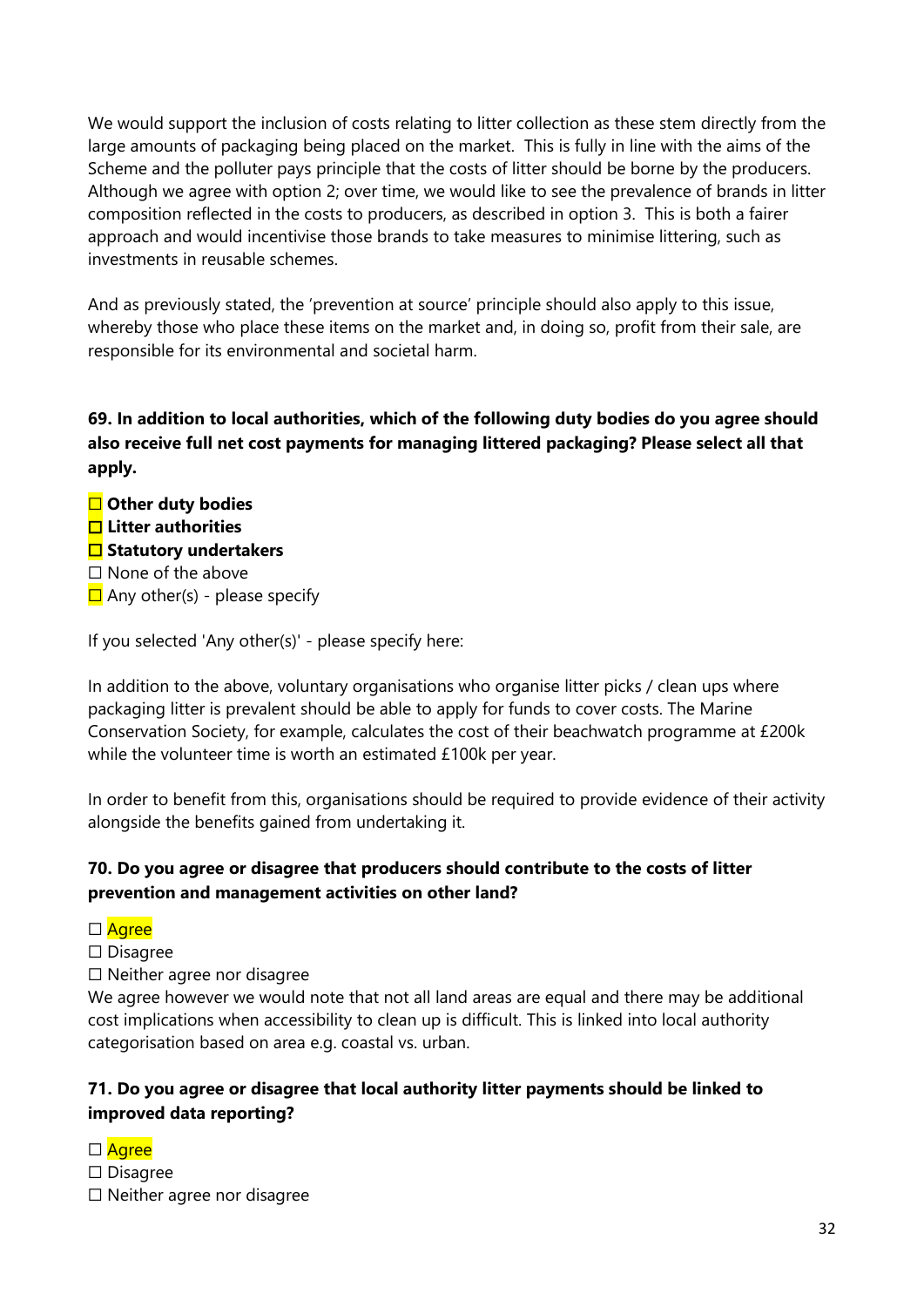We would support the inclusion of costs relating to litter collection as these stem directly from the large amounts of packaging being placed on the market. This is fully in line with the aims of the Scheme and the polluter pays principle that the costs of litter should be borne by the producers. Although we agree with option 2; over time, we would like to see the prevalence of brands in litter composition reflected in the costs to producers, as described in option 3. This is both a fairer approach and would incentivise those brands to take measures to minimise littering, such as investments in reusable schemes.

And as previously stated, the 'prevention at source' principle should also apply to this issue, whereby those who place these items on the market and, in doing so, profit from their sale, are responsible for its environmental and societal harm.

**69. In addition to local authorities, which of the following duty bodies do you agree should also receive full net cost payments for managing littered packaging? Please select all that apply.** 

☐ **Other duty bodies** ☐ **Litter authorities** ☐ **Statutory undertakers** ☐ None of the above  $\Box$  Any other(s) - please specify

If you selected 'Any other(s)' - please specify here:

In addition to the above, voluntary organisations who organise litter picks / clean ups where packaging litter is prevalent should be able to apply for funds to cover costs. The Marine Conservation Society, for example, calculates the cost of their beachwatch programme at £200k while the volunteer time is worth an estimated £100k per year.

In order to benefit from this, organisations should be required to provide evidence of their activity alongside the benefits gained from undertaking it.

#### **70. Do you agree or disagree that producers should contribute to the costs of litter prevention and management activities on other land?**

□ Agree

☐ Disagree

☐ Neither agree nor disagree

We agree however we would note that not all land areas are equal and there may be additional cost implications when accessibility to clean up is difficult. This is linked into local authority categorisation based on area e.g. coastal vs. urban.

#### **71. Do you agree or disagree that local authority litter payments should be linked to improved data reporting?**

- □ Agree
- ☐ Disagree
- ☐ Neither agree nor disagree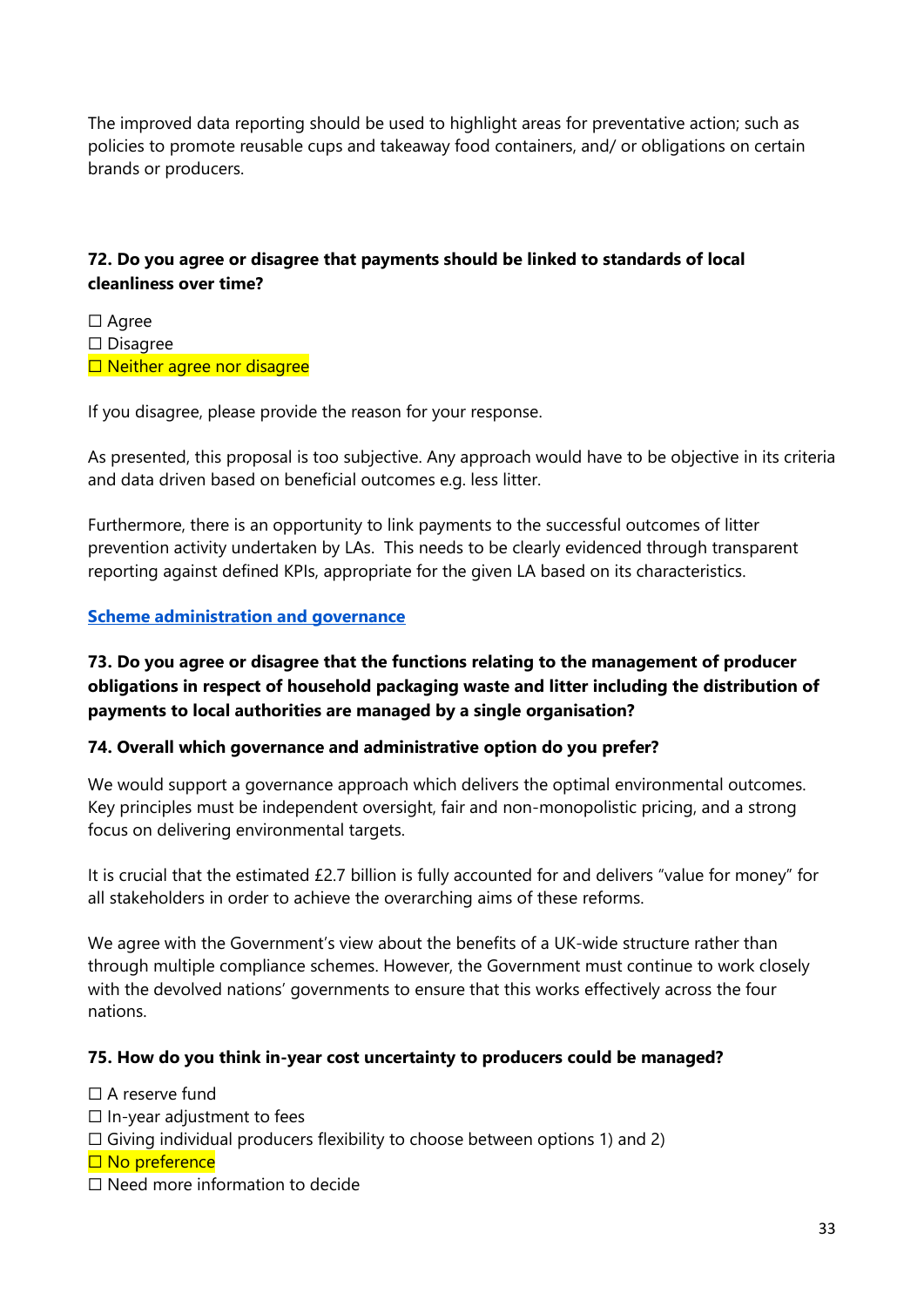The improved data reporting should be used to highlight areas for preventative action; such as policies to promote reusable cups and takeaway food containers, and/ or obligations on certain brands or producers.

#### **72. Do you agree or disagree that payments should be linked to standards of local cleanliness over time?**

□ Agree ☐ Disagree □ Neither agree nor disagree

If you disagree, please provide the reason for your response.

As presented, this proposal is too subjective. Any approach would have to be objective in its criteria and data driven based on beneficial outcomes e.g. less litter.

Furthermore, there is an opportunity to link payments to the successful outcomes of litter prevention activity undertaken by LAs. This needs to be clearly evidenced through transparent reporting against defined KPIs, appropriate for the given LA based on its characteristics.

#### **Scheme administration and governance**

#### **73. Do you agree or disagree that the functions relating to the management of producer obligations in respect of household packaging waste and litter including the distribution of payments to local authorities are managed by a single organisation?**

#### **74. Overall which governance and administrative option do you prefer?**

We would support a governance approach which delivers the optimal environmental outcomes. Key principles must be independent oversight, fair and non-monopolistic pricing, and a strong focus on delivering environmental targets.

It is crucial that the estimated £2.7 billion is fully accounted for and delivers "value for money" for all stakeholders in order to achieve the overarching aims of these reforms.

We agree with the Government's view about the benefits of a UK-wide structure rather than through multiple compliance schemes. However, the Government must continue to work closely with the devolved nations' governments to ensure that this works effectively across the four nations.

#### **75. How do you think in-year cost uncertainty to producers could be managed?**

 $\Box$  A reserve fund

- $\Box$  In-year adjustment to fees
- $\Box$  Giving individual producers flexibility to choose between options 1) and 2)
- □ No preference
- ☐ Need more information to decide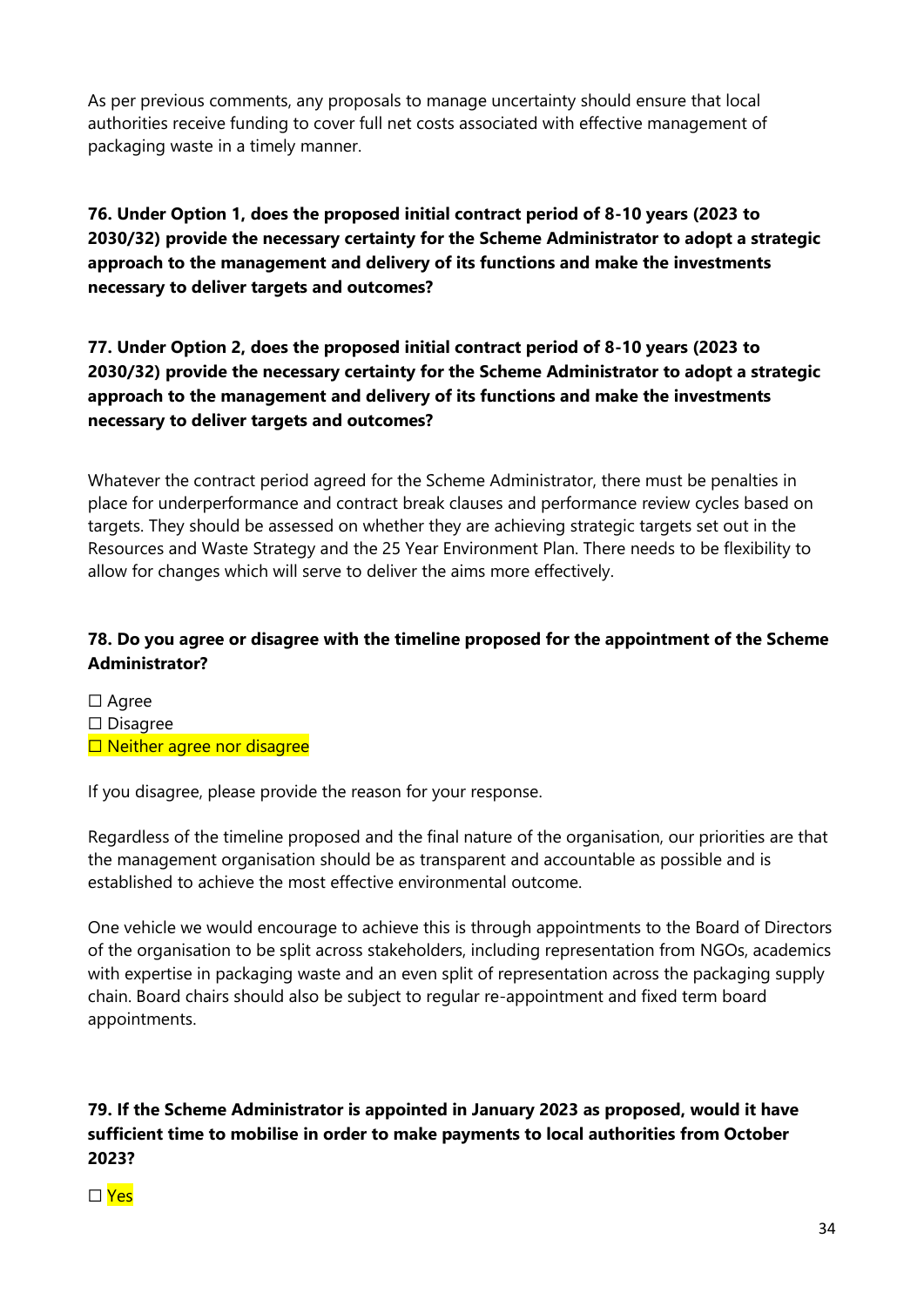As per previous comments, any proposals to manage uncertainty should ensure that local authorities receive funding to cover full net costs associated with effective management of packaging waste in a timely manner.

# **76. Under Option 1, does the proposed initial contract period of 8-10 years (2023 to 2030/32) provide the necessary certainty for the Scheme Administrator to adopt a strategic approach to the management and delivery of its functions and make the investments necessary to deliver targets and outcomes?**

# **77. Under Option 2, does the proposed initial contract period of 8-10 years (2023 to 2030/32) provide the necessary certainty for the Scheme Administrator to adopt a strategic approach to the management and delivery of its functions and make the investments necessary to deliver targets and outcomes?**

Whatever the contract period agreed for the Scheme Administrator, there must be penalties in place for underperformance and contract break clauses and performance review cycles based on targets. They should be assessed on whether they are achieving strategic targets set out in the Resources and Waste Strategy and the 25 Year Environment Plan. There needs to be flexibility to allow for changes which will serve to deliver the aims more effectively.

# **78. Do you agree or disagree with the timeline proposed for the appointment of the Scheme Administrator?**

☐ Agree ☐ Disagree □ Neither agree nor disagree

If you disagree, please provide the reason for your response.

Regardless of the timeline proposed and the final nature of the organisation, our priorities are that the management organisation should be as transparent and accountable as possible and is established to achieve the most effective environmental outcome.

One vehicle we would encourage to achieve this is through appointments to the Board of Directors of the organisation to be split across stakeholders, including representation from NGOs, academics with expertise in packaging waste and an even split of representation across the packaging supply chain. Board chairs should also be subject to regular re-appointment and fixed term board appointments.

# **79. If the Scheme Administrator is appointed in January 2023 as proposed, would it have sufficient time to mobilise in order to make payments to local authorities from October 2023?**

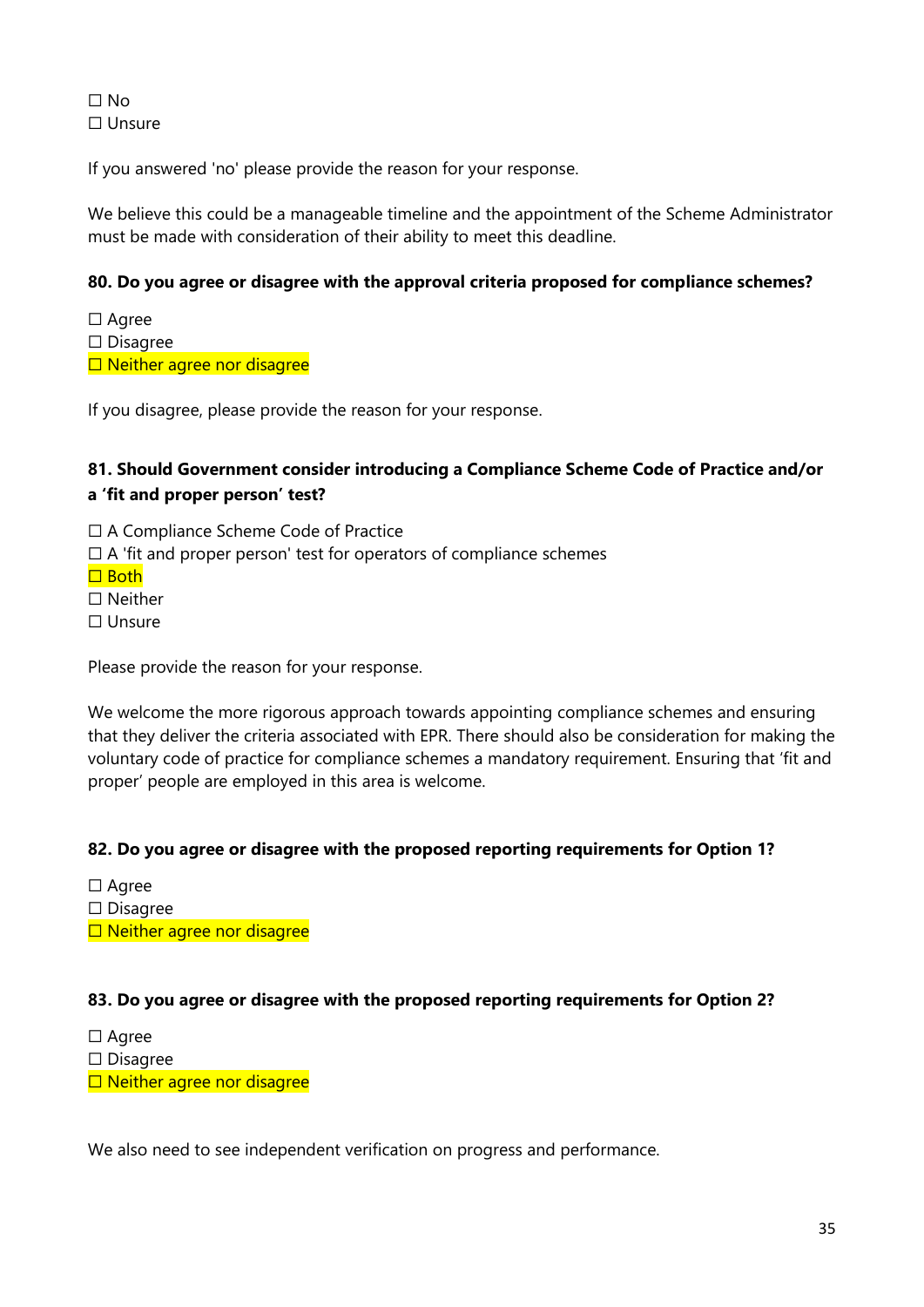☐ No ☐ Unsure

If you answered 'no' please provide the reason for your response.

We believe this could be a manageable timeline and the appointment of the Scheme Administrator must be made with consideration of their ability to meet this deadline.

#### **80. Do you agree or disagree with the approval criteria proposed for compliance schemes?**

☐ Agree ☐ Disagree □ Neither agree nor disagree

If you disagree, please provide the reason for your response.

#### **81. Should Government consider introducing a Compliance Scheme Code of Practice and/or a 'fit and proper person' test?**

☐ A Compliance Scheme Code of Practice

 $\Box$  A 'fit and proper person' test for operators of compliance schemes

☐ Both

☐ Neither

☐ Unsure

Please provide the reason for your response.

We welcome the more rigorous approach towards appointing compliance schemes and ensuring that they deliver the criteria associated with EPR. There should also be consideration for making the voluntary code of practice for compliance schemes a mandatory requirement. Ensuring that 'fit and proper' people are employed in this area is welcome.

#### **82. Do you agree or disagree with the proposed reporting requirements for Option 1?**

☐ Agree

☐ Disagree

□ Neither agree nor disagree

#### **83. Do you agree or disagree with the proposed reporting requirements for Option 2?**

☐ Agree

☐ Disagree

□ Neither agree nor disagree

We also need to see independent verification on progress and performance.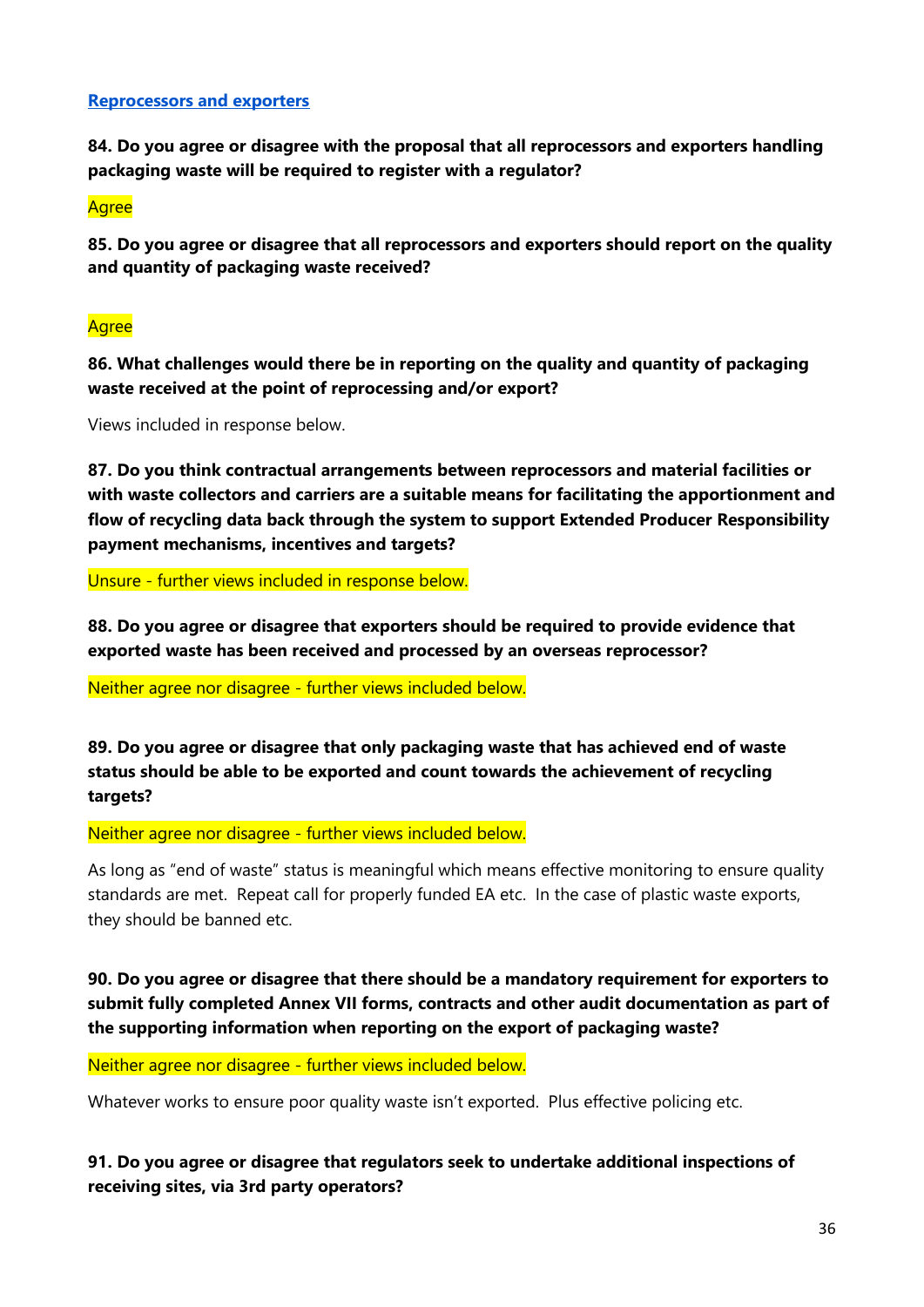#### **Reprocessors and exporters**

**84. Do you agree or disagree with the proposal that all reprocessors and exporters handling packaging waste will be required to register with a regulator?** 

**Agree** 

**85. Do you agree or disagree that all reprocessors and exporters should report on the quality and quantity of packaging waste received?** 

## **Agree**

**86. What challenges would there be in reporting on the quality and quantity of packaging waste received at the point of reprocessing and/or export?** 

Views included in response below.

**87. Do you think contractual arrangements between reprocessors and material facilities or with waste collectors and carriers are a suitable means for facilitating the apportionment and flow of recycling data back through the system to support Extended Producer Responsibility payment mechanisms, incentives and targets?** 

Unsure - further views included in response below.

**88. Do you agree or disagree that exporters should be required to provide evidence that exported waste has been received and processed by an overseas reprocessor?** 

Neither agree nor disagree - further views included below.

**89. Do you agree or disagree that only packaging waste that has achieved end of waste status should be able to be exported and count towards the achievement of recycling targets?** 

Neither agree nor disagree - further views included below.

As long as "end of waste" status is meaningful which means effective monitoring to ensure quality standards are met. Repeat call for properly funded EA etc. In the case of plastic waste exports, they should be banned etc.

**90. Do you agree or disagree that there should be a mandatory requirement for exporters to submit fully completed Annex VII forms, contracts and other audit documentation as part of the supporting information when reporting on the export of packaging waste?** 

Neither agree nor disagree - further views included below.

Whatever works to ensure poor quality waste isn't exported. Plus effective policing etc.

**91. Do you agree or disagree that regulators seek to undertake additional inspections of receiving sites, via 3rd party operators?**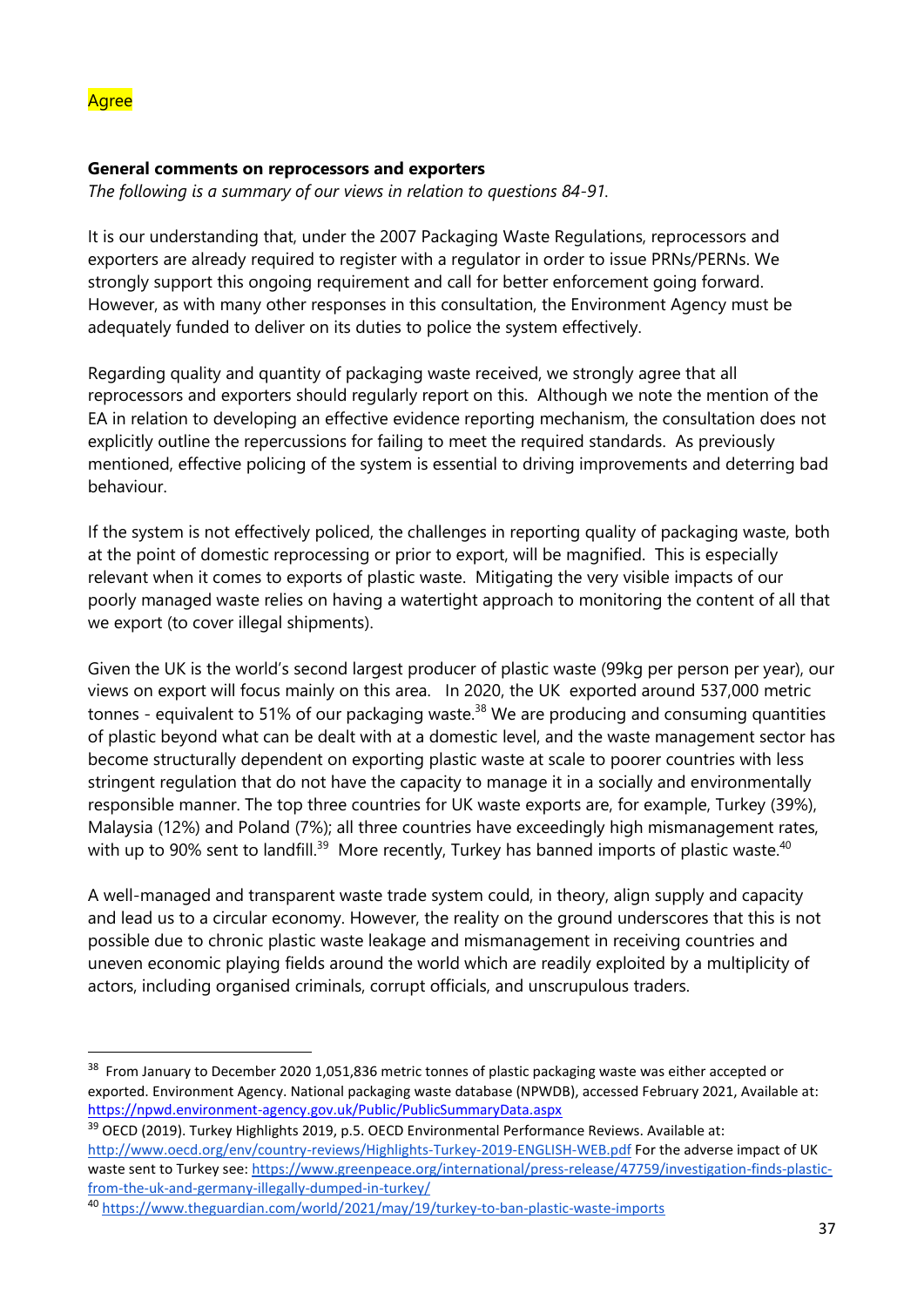#### **General comments on reprocessors and exporters**

*The following is a summary of our views in relation to questions 84-91.*

It is our understanding that, under the 2007 Packaging Waste Regulations, reprocessors and exporters are already required to register with a regulator in order to issue PRNs/PERNs. We strongly support this ongoing requirement and call for better enforcement going forward. However, as with many other responses in this consultation, the Environment Agency must be adequately funded to deliver on its duties to police the system effectively.

Regarding quality and quantity of packaging waste received, we strongly agree that all reprocessors and exporters should regularly report on this. Although we note the mention of the EA in relation to developing an effective evidence reporting mechanism, the consultation does not explicitly outline the repercussions for failing to meet the required standards. As previously mentioned, effective policing of the system is essential to driving improvements and deterring bad behaviour.

If the system is not effectively policed, the challenges in reporting quality of packaging waste, both at the point of domestic reprocessing or prior to export, will be magnified. This is especially relevant when it comes to exports of plastic waste. Mitigating the very visible impacts of our poorly managed waste relies on having a watertight approach to monitoring the content of all that we export (to cover illegal shipments).

Given the UK is the world's second largest producer of plastic waste (99kg per person per year), our views on export will focus mainly on this area. In 2020, the UK exported around 537,000 metric tonnes - equivalent to 51% of our packaging waste.<sup>38</sup> We are producing and consuming quantities of plastic beyond what can be dealt with at a domestic level, and the waste management sector has become structurally dependent on exporting plastic waste at scale to poorer countries with less stringent regulation that do not have the capacity to manage it in a socially and environmentally responsible manner. The top three countries for UK waste exports are, for example, Turkey (39%), Malaysia (12%) and Poland (7%); all three countries have exceedingly high mismanagement rates, with up to 90% sent to landfill.<sup>39</sup> More recently, Turkey has banned imports of plastic waste.<sup>40</sup>

A well-managed and transparent waste trade system could, in theory, align supply and capacity and lead us to a circular economy. However, the reality on the ground underscores that this is not possible due to chronic plastic waste leakage and mismanagement in receiving countries and uneven economic playing fields around the world which are readily exploited by a multiplicity of actors, including organised criminals, corrupt officials, and unscrupulous traders.

<sup>&</sup>lt;sup>38</sup> From January to December 2020 1,051,836 metric tonnes of plastic packaging waste was either accepted or exported. Environment Agency. National packaging waste database (NPWDB), accessed February 2021, Available at: <https://npwd.environment-agency.gov.uk/Public/PublicSummaryData.aspx>

<sup>&</sup>lt;sup>39</sup> OECD (2019). Turkey Highlights 2019, p.5. OECD Environmental Performance Reviews. Available at: <http://www.oecd.org/env/country-reviews/Highlights-Turkey-2019-ENGLISH-WEB.pdf> For the adverse impact of UK waste sent to Turkey see[: https://www.greenpeace.org/international/press-release/47759/investigation-finds-plastic](https://www.greenpeace.org/international/press-release/47759/investigation-finds-plastic-from-the-uk-and-germany-illegally-dumped-in-turkey/)[from-the-uk-and-germany-illegally-dumped-in-turkey/](https://www.greenpeace.org/international/press-release/47759/investigation-finds-plastic-from-the-uk-and-germany-illegally-dumped-in-turkey/)

<sup>40</sup> <https://www.theguardian.com/world/2021/may/19/turkey-to-ban-plastic-waste-imports>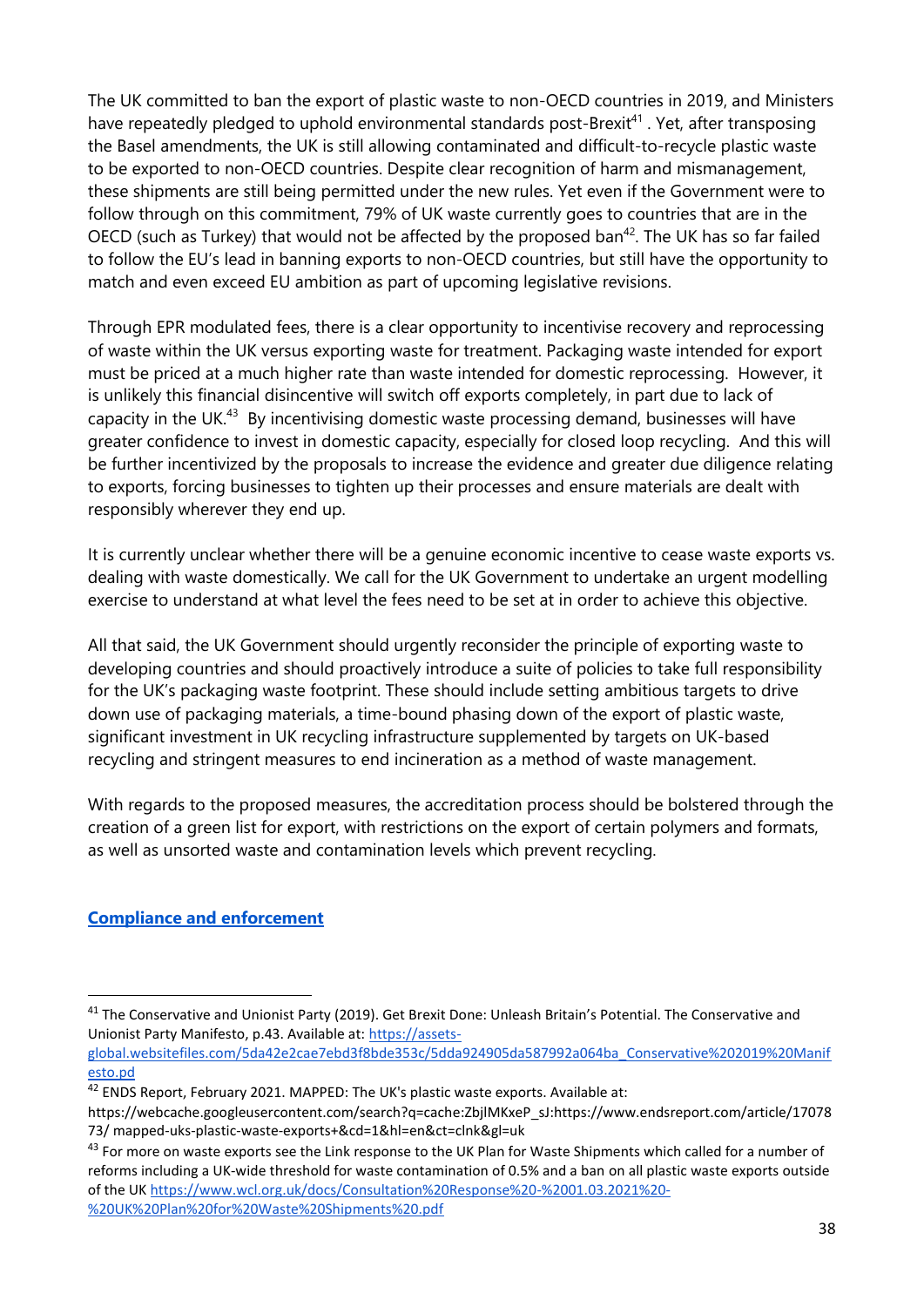The UK committed to ban the export of plastic waste to non-OECD countries in 2019, and Ministers have repeatedly pledged to uphold environmental standards post-Brexit<sup>41</sup>. Yet, after transposing the Basel amendments, the UK is still allowing contaminated and difficult-to-recycle plastic waste to be exported to non-OECD countries. Despite clear recognition of harm and mismanagement, these shipments are still being permitted under the new rules. Yet even if the Government were to follow through on this commitment, 79% of UK waste currently goes to countries that are in the OECD (such as Turkey) that would not be affected by the proposed ban<sup>42</sup>. The UK has so far failed to follow the EU's lead in banning exports to non-OECD countries, but still have the opportunity to match and even exceed EU ambition as part of upcoming legislative revisions.

Through EPR modulated fees, there is a clear opportunity to incentivise recovery and reprocessing of waste within the UK versus exporting waste for treatment. Packaging waste intended for export must be priced at a much higher rate than waste intended for domestic reprocessing. However, it is unlikely this financial disincentive will switch off exports completely, in part due to lack of capacity in the UK.<sup>43</sup> By incentivising domestic waste processing demand, businesses will have greater confidence to invest in domestic capacity, especially for closed loop recycling. And this will be further incentivized by the proposals to increase the evidence and greater due diligence relating to exports, forcing businesses to tighten up their processes and ensure materials are dealt with responsibly wherever they end up.

It is currently unclear whether there will be a genuine economic incentive to cease waste exports vs. dealing with waste domestically. We call for the UK Government to undertake an urgent modelling exercise to understand at what level the fees need to be set at in order to achieve this objective.

All that said, the UK Government should urgently reconsider the principle of exporting waste to developing countries and should proactively introduce a suite of policies to take full responsibility for the UK's packaging waste footprint. These should include setting ambitious targets to drive down use of packaging materials, a time-bound phasing down of the export of plastic waste, significant investment in UK recycling infrastructure supplemented by targets on UK-based recycling and stringent measures to end incineration as a method of waste management.

With regards to the proposed measures, the accreditation process should be bolstered through the creation of a green list for export, with restrictions on the export of certain polymers and formats, as well as unsorted waste and contamination levels which prevent recycling.

#### **Compliance and enforcement**

[global.websitefiles.com/5da42e2cae7ebd3f8bde353c/5dda924905da587992a064ba\\_Conservative%202019%20Manif](https://assets-global.websitefiles.com/5da42e2cae7ebd3f8bde353c/5dda924905da587992a064ba_Conservative%202019%20Manifesto.pd) [esto.pd](https://assets-global.websitefiles.com/5da42e2cae7ebd3f8bde353c/5dda924905da587992a064ba_Conservative%202019%20Manifesto.pd)

<sup>&</sup>lt;sup>41</sup> The Conservative and Unionist Party (2019). Get Brexit Done: Unleash Britain's Potential. The Conservative and Unionist Party Manifesto, p.43. Available at: [https://assets-](https://assets-global.websitefiles.com/5da42e2cae7ebd3f8bde353c/5dda924905da587992a064ba_Conservative%202019%20Manifesto.pd)

<sup>&</sup>lt;sup>42</sup> ENDS Report, February 2021. MAPPED: The UK's plastic waste exports. Available at:

https://webcache.googleusercontent.com/search?q=cache:ZbjlMKxeP\_sJ:https://www.endsreport.com/article/17078 73/ mapped-uks-plastic-waste-exports+&cd=1&hl=en&ct=clnk&gl=uk

<sup>&</sup>lt;sup>43</sup> For more on waste exports see the Link response to the UK Plan for Waste Shipments which called for a number of reforms including a UK-wide threshold for waste contamination of 0.5% and a ban on all plastic waste exports outside of the UK [https://www.wcl.org.uk/docs/Consultation%20Response%20-%2001.03.2021%20-](https://www.wcl.org.uk/docs/Consultation%20Response%20-%2001.03.2021%20-%20UK%20Plan%20for%20Waste%20Shipments%20.pdf) [%20UK%20Plan%20for%20Waste%20Shipments%20.pdf](https://www.wcl.org.uk/docs/Consultation%20Response%20-%2001.03.2021%20-%20UK%20Plan%20for%20Waste%20Shipments%20.pdf)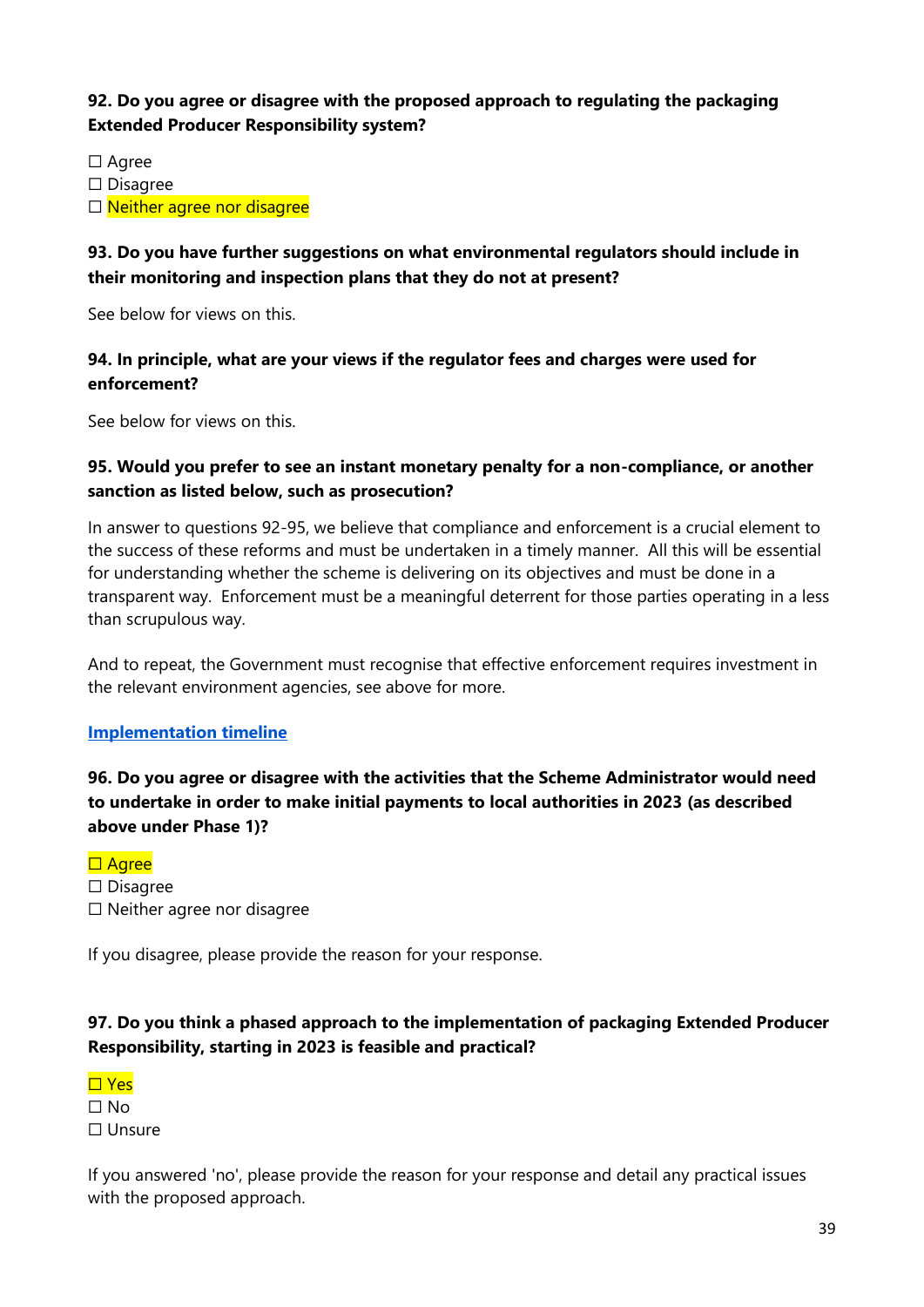## **92. Do you agree or disagree with the proposed approach to regulating the packaging Extended Producer Responsibility system?**

☐ Agree

☐ Disagree

□ Neither agree nor disagree

#### **93. Do you have further suggestions on what environmental regulators should include in their monitoring and inspection plans that they do not at present?**

See below for views on this.

#### **94. In principle, what are your views if the regulator fees and charges were used for enforcement?**

See below for views on this.

#### **95. Would you prefer to see an instant monetary penalty for a non-compliance, or another sanction as listed below, such as prosecution?**

In answer to questions 92-95, we believe that compliance and enforcement is a crucial element to the success of these reforms and must be undertaken in a timely manner. All this will be essential for understanding whether the scheme is delivering on its objectives and must be done in a transparent way. Enforcement must be a meaningful deterrent for those parties operating in a less than scrupulous way.

And to repeat, the Government must recognise that effective enforcement requires investment in the relevant environment agencies, see above for more.

#### **Implementation timeline**

# **96. Do you agree or disagree with the activities that the Scheme Administrator would need to undertake in order to make initial payments to local authorities in 2023 (as described above under Phase 1)?**

# □ Agree

☐ Disagree ☐ Neither agree nor disagree

If you disagree, please provide the reason for your response.

# **97. Do you think a phased approach to the implementation of packaging Extended Producer Responsibility, starting in 2023 is feasible and practical?**



If you answered 'no', please provide the reason for your response and detail any practical issues with the proposed approach.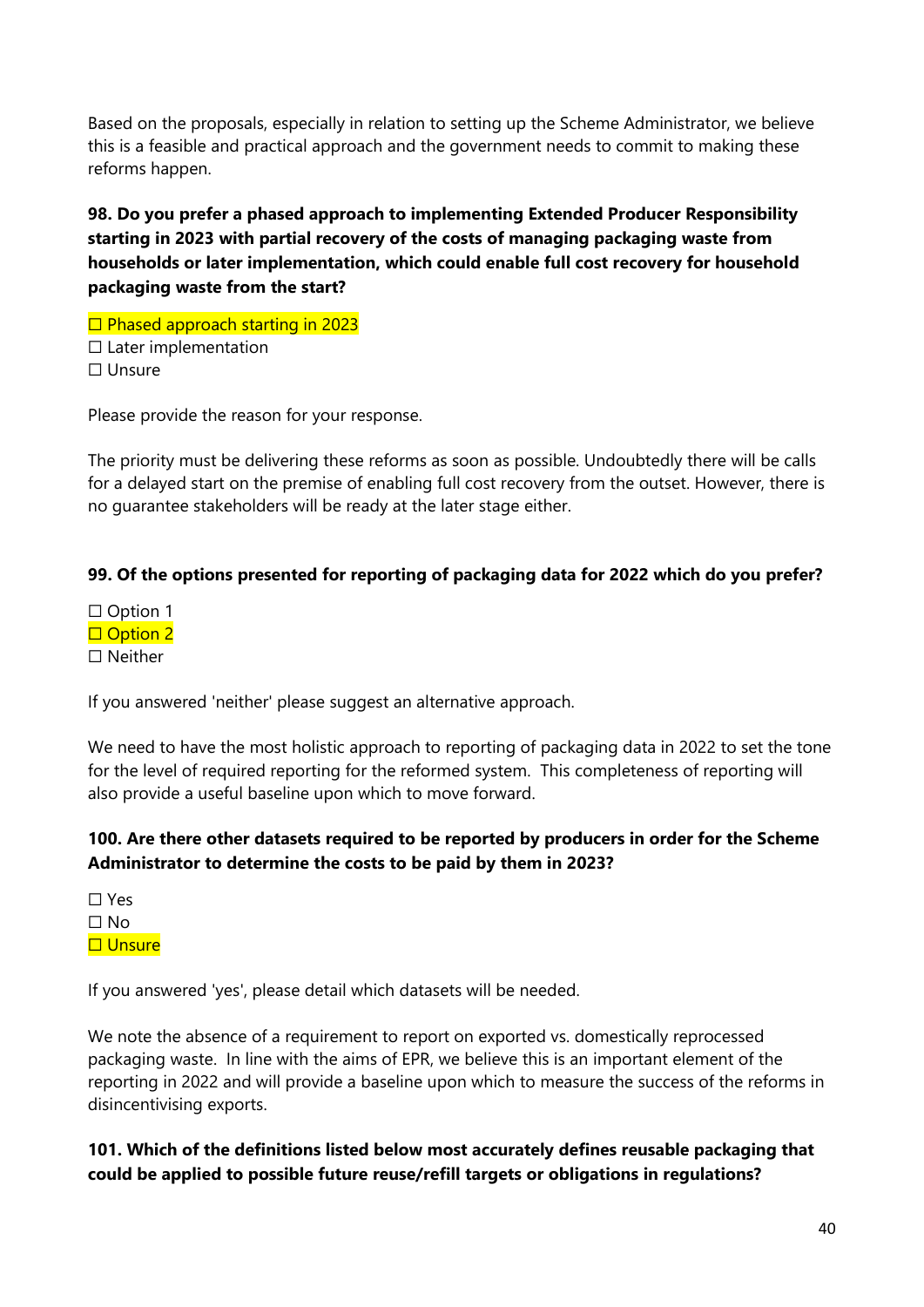Based on the proposals, especially in relation to setting up the Scheme Administrator, we believe this is a feasible and practical approach and the government needs to commit to making these reforms happen.

# **98. Do you prefer a phased approach to implementing Extended Producer Responsibility starting in 2023 with partial recovery of the costs of managing packaging waste from households or later implementation, which could enable full cost recovery for household packaging waste from the start?**

□ Phased approach starting in 2023  $\Box$  Later implementation ☐ Unsure

Please provide the reason for your response.

The priority must be delivering these reforms as soon as possible. Undoubtedly there will be calls for a delayed start on the premise of enabling full cost recovery from the outset. However, there is no guarantee stakeholders will be ready at the later stage either.

#### **99. Of the options presented for reporting of packaging data for 2022 which do you prefer?**

□ Option 1 □ Option 2 ☐ Neither

If you answered 'neither' please suggest an alternative approach.

We need to have the most holistic approach to reporting of packaging data in 2022 to set the tone for the level of required reporting for the reformed system. This completeness of reporting will also provide a useful baseline upon which to move forward.

#### **100. Are there other datasets required to be reported by producers in order for the Scheme Administrator to determine the costs to be paid by them in 2023?**

☐ Yes ☐ No ☐ Unsure

If you answered 'yes', please detail which datasets will be needed.

We note the absence of a requirement to report on exported vs. domestically reprocessed packaging waste. In line with the aims of EPR, we believe this is an important element of the reporting in 2022 and will provide a baseline upon which to measure the success of the reforms in disincentivising exports.

**101. Which of the definitions listed below most accurately defines reusable packaging that could be applied to possible future reuse/refill targets or obligations in regulations?**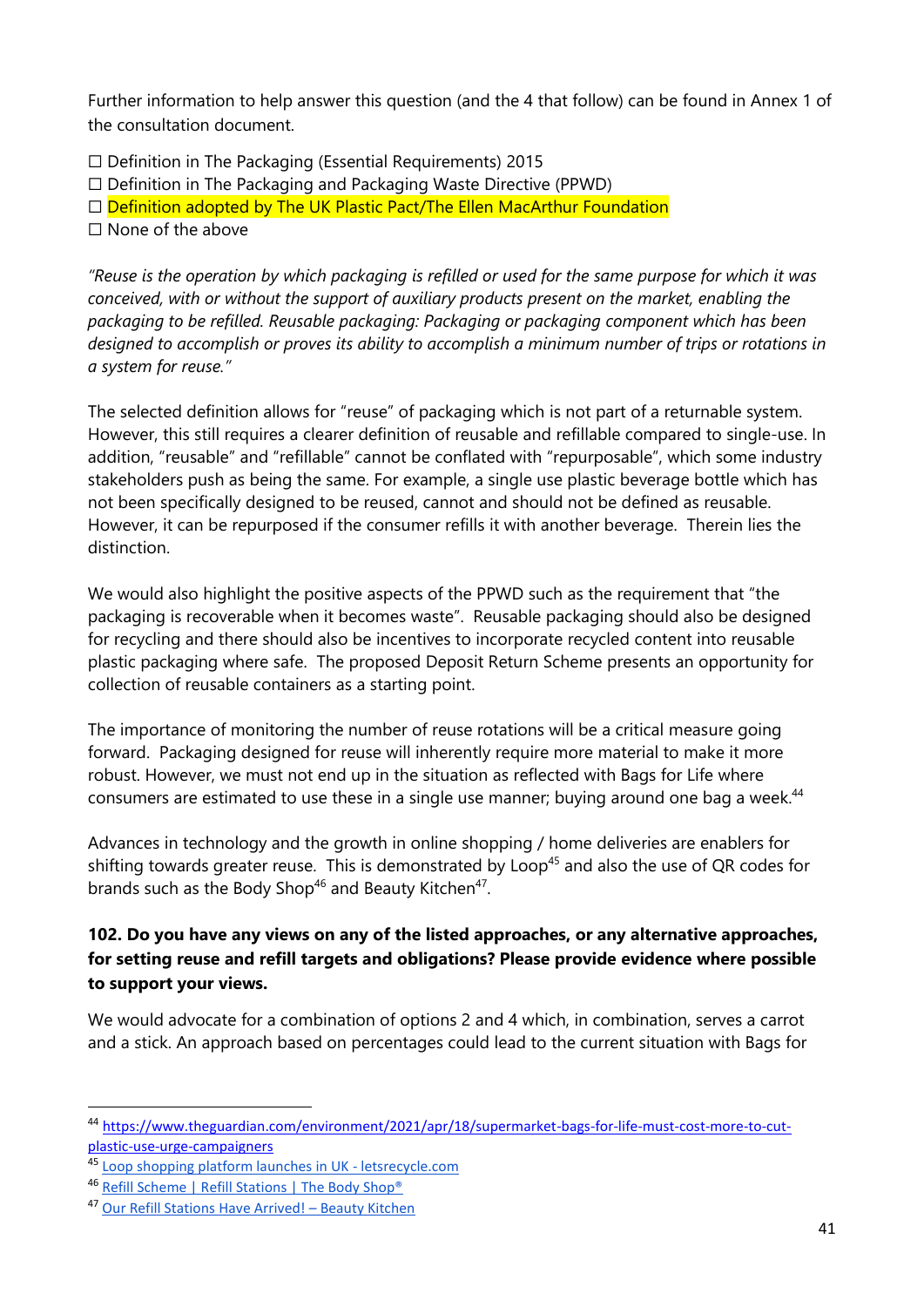Further information to help answer this question (and the 4 that follow) can be found in Annex 1 of the consultation document.

☐ Definition in The Packaging (Essential Requirements) 2015

 $\Box$  Definition in The Packaging and Packaging Waste Directive (PPWD)

□ Definition adopted by The UK Plastic Pact/The Ellen MacArthur Foundation

☐ None of the above

*"Reuse is the operation by which packaging is refilled or used for the same purpose for which it was conceived, with or without the support of auxiliary products present on the market, enabling the packaging to be refilled. Reusable packaging: Packaging or packaging component which has been designed to accomplish or proves its ability to accomplish a minimum number of trips or rotations in a system for reuse."*

The selected definition allows for "reuse" of packaging which is not part of a returnable system. However, this still requires a clearer definition of reusable and refillable compared to single-use. In addition, "reusable" and "refillable" cannot be conflated with "repurposable", which some industry stakeholders push as being the same. For example, a single use plastic beverage bottle which has not been specifically designed to be reused, cannot and should not be defined as reusable. However, it can be repurposed if the consumer refills it with another beverage. Therein lies the distinction.

We would also highlight the positive aspects of the PPWD such as the requirement that "the packaging is recoverable when it becomes waste". Reusable packaging should also be designed for recycling and there should also be incentives to incorporate recycled content into reusable plastic packaging where safe. The proposed Deposit Return Scheme presents an opportunity for collection of reusable containers as a starting point.

The importance of monitoring the number of reuse rotations will be a critical measure going forward. Packaging designed for reuse will inherently require more material to make it more robust. However, we must not end up in the situation as reflected with Bags for Life where consumers are estimated to use these in a single use manner; buying around one bag a week.<sup>44</sup>

Advances in technology and the growth in online shopping / home deliveries are enablers for shifting towards greater reuse. This is demonstrated by Loop<sup>45</sup> and also the use of QR codes for brands such as the Body Shop<sup>46</sup> and Beauty Kitchen<sup>47</sup>.

# **102. Do you have any views on any of the listed approaches, or any alternative approaches, for setting reuse and refill targets and obligations? Please provide evidence where possible to support your views.**

We would advocate for a combination of options 2 and 4 which, in combination, serves a carrot and a stick. An approach based on percentages could lead to the current situation with Bags for

<sup>44</sup> [https://www.theguardian.com/environment/2021/apr/18/supermarket-bags-for-life-must-cost-more-to-cut](https://www.theguardian.com/environment/2021/apr/18/supermarket-bags-for-life-must-cost-more-to-cut-plastic-use-urge-campaigners)[plastic-use-urge-campaigners](https://www.theguardian.com/environment/2021/apr/18/supermarket-bags-for-life-must-cost-more-to-cut-plastic-use-urge-campaigners)

<sup>45</sup> [Loop shopping platform launches in UK -](https://www.letsrecycle.com/news/latest-news/loop-shopping-platform-launches-in-uk/) letsrecycle.com

<sup>46</sup> [Refill Scheme | Refill Stations | The Body Shop®](https://www.thebodyshop.com/en-gb/about-us/brand-values/sustainability/refill-scheme/a/a00048)

<sup>47</sup> [Our Refill Stations Have Arrived!](https://beautykitchen.co.uk/blogs/news/beauty-kitchen-s-return-refill-repeat-refill-stations-have-arrived) – Beauty Kitchen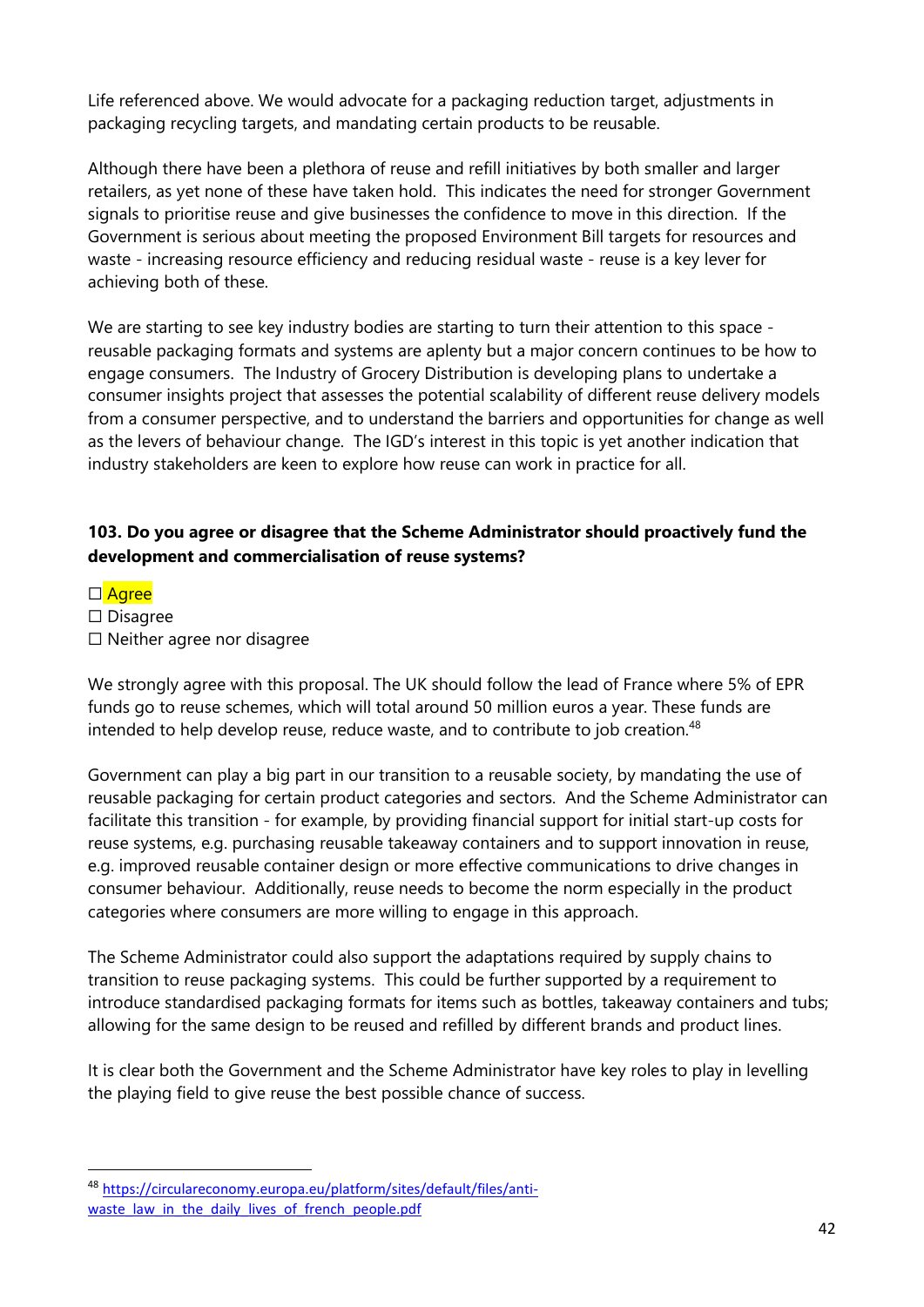Life referenced above. We would advocate for a packaging reduction target, adjustments in packaging recycling targets, and mandating certain products to be reusable.

Although there have been a plethora of reuse and refill initiatives by both smaller and larger retailers, as yet none of these have taken hold. This indicates the need for stronger Government signals to prioritise reuse and give businesses the confidence to move in this direction. If the Government is serious about meeting the proposed Environment Bill targets for resources and waste - increasing resource efficiency and reducing residual waste - reuse is a key lever for achieving both of these.

We are starting to see key industry bodies are starting to turn their attention to this space reusable packaging formats and systems are aplenty but a major concern continues to be how to engage consumers. The Industry of Grocery Distribution is developing plans to undertake a consumer insights project that assesses the potential scalability of different reuse delivery models from a consumer perspective, and to understand the barriers and opportunities for change as well as the levers of behaviour change. The IGD's interest in this topic is yet another indication that industry stakeholders are keen to explore how reuse can work in practice for all.

#### **103. Do you agree or disagree that the Scheme Administrator should proactively fund the development and commercialisation of reuse systems?**

□ Agree ☐ Disagree ☐ Neither agree nor disagree

We strongly agree with this proposal. The UK should follow the lead of France where 5% of EPR funds go to reuse schemes, which will total around 50 million euros a year. These funds are intended to help develop reuse, reduce waste, and to contribute to job creation.<sup>48</sup>

Government can play a big part in our transition to a reusable society, by mandating the use of reusable packaging for certain product categories and sectors. And the Scheme Administrator can facilitate this transition - for example, by providing financial support for initial start-up costs for reuse systems, e.g. purchasing reusable takeaway containers and to support innovation in reuse, e.g. improved reusable container design or more effective communications to drive changes in consumer behaviour. Additionally, reuse needs to become the norm especially in the product categories where consumers are more willing to engage in this approach.

The Scheme Administrator could also support the adaptations required by supply chains to transition to reuse packaging systems. This could be further supported by a requirement to introduce standardised packaging formats for items such as bottles, takeaway containers and tubs; allowing for the same design to be reused and refilled by different brands and product lines.

It is clear both the Government and the Scheme Administrator have key roles to play in levelling the playing field to give reuse the best possible chance of success.

<sup>48</sup> [https://circulareconomy.europa.eu/platform/sites/default/files/anti](https://circulareconomy.europa.eu/platform/sites/default/files/anti-waste_law_in_the_daily_lives_of_french_people.pdf)waste law in the daily lives of french people.pdf